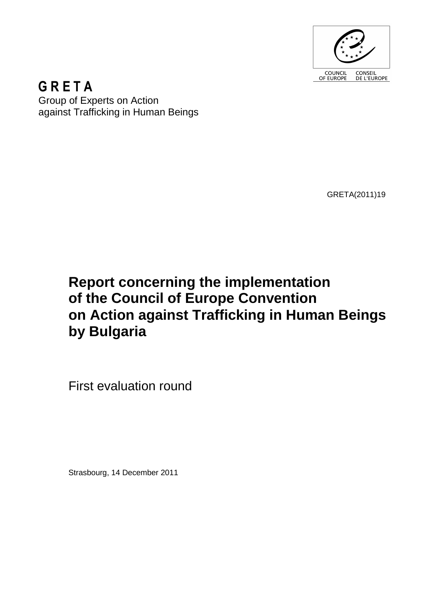

**GRETA** Group of Experts on Action against Trafficking in Human Beings

GRETA(2011)19

# **Report concerning the implementation of the Council of Europe Convention on Action against Trafficking in Human Beings by Bulgaria**

First evaluation round

Strasbourg, 14 December 2011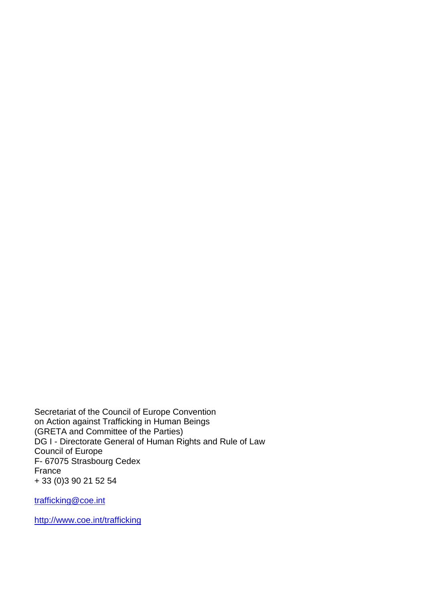Secretariat of the Council of Europe Convention on Action against Trafficking in Human Beings GRETA and Committee of the Parties) DG I - Directorate General of Human Rights and Rule of Law Council of Europe F- 67075 Strasbourg Cedex France + 33 (0)3 90 21 52 54

trafficking@coe.int

http://www.coe.int/trafficking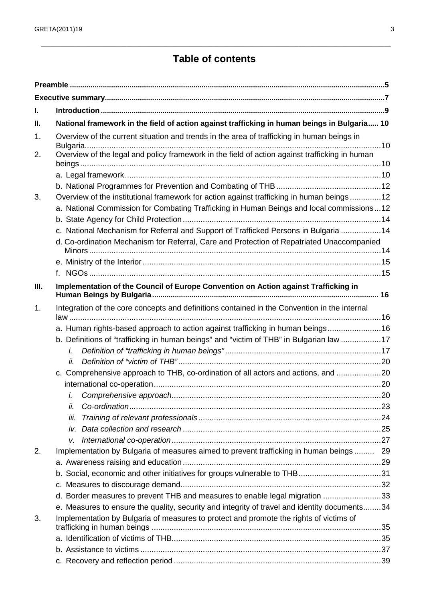## **Table of contents**

\_\_\_\_\_\_\_\_\_\_\_\_\_\_\_\_\_\_\_\_\_\_\_\_\_\_\_\_\_\_\_\_\_\_\_\_\_\_\_\_\_\_\_\_\_\_\_\_\_\_\_\_\_\_\_\_\_\_\_\_\_\_\_\_\_\_\_\_\_\_\_\_\_\_\_\_\_\_\_\_\_\_\_\_\_\_\_\_\_\_\_\_\_\_\_\_\_\_\_\_\_\_\_\_\_\_\_\_\_\_

| L    |                                                                                                |  |  |  |
|------|------------------------------------------------------------------------------------------------|--|--|--|
| Ш.   | National framework in the field of action against trafficking in human beings in Bulgaria 10   |  |  |  |
| 1.   | Overview of the current situation and trends in the area of trafficking in human beings in     |  |  |  |
| 2.   | Overview of the legal and policy framework in the field of action against trafficking in human |  |  |  |
|      |                                                                                                |  |  |  |
|      |                                                                                                |  |  |  |
| 3.   | Overview of the institutional framework for action against trafficking in human beings12       |  |  |  |
|      | a. National Commission for Combating Trafficking in Human Beings and local commissions12       |  |  |  |
|      |                                                                                                |  |  |  |
|      | c. National Mechanism for Referral and Support of Trafficked Persons in Bulgaria 14            |  |  |  |
|      | d. Co-ordination Mechanism for Referral, Care and Protection of Repatriated Unaccompanied      |  |  |  |
|      |                                                                                                |  |  |  |
|      |                                                                                                |  |  |  |
|      |                                                                                                |  |  |  |
| III. | Implementation of the Council of Europe Convention on Action against Trafficking in            |  |  |  |
| 1.   | Integration of the core concepts and definitions contained in the Convention in the internal   |  |  |  |
|      | a. Human rights-based approach to action against trafficking in human beings16                 |  |  |  |
|      | b. Definitions of "trafficking in human beings" and "victim of THB" in Bulgarian law 17        |  |  |  |
|      | i.                                                                                             |  |  |  |
|      | İİ.                                                                                            |  |  |  |
|      | c. Comprehensive approach to THB, co-ordination of all actors and actions, and 20              |  |  |  |
|      |                                                                                                |  |  |  |
|      | $\dot{L}$                                                                                      |  |  |  |
|      | İİ.                                                                                            |  |  |  |
|      | İİİ.                                                                                           |  |  |  |
|      | iv.                                                                                            |  |  |  |
|      | v.                                                                                             |  |  |  |
| 2.   | Implementation by Bulgaria of measures aimed to prevent trafficking in human beings 29         |  |  |  |
|      |                                                                                                |  |  |  |
|      | b. Social, economic and other initiatives for groups vulnerable to THB31                       |  |  |  |
|      |                                                                                                |  |  |  |
|      | d. Border measures to prevent THB and measures to enable legal migration 33                    |  |  |  |
|      | e. Measures to ensure the quality, security and integrity of travel and identity documents34   |  |  |  |
| 3.   | Implementation by Bulgaria of measures to protect and promote the rights of victims of         |  |  |  |
|      |                                                                                                |  |  |  |
|      |                                                                                                |  |  |  |
|      |                                                                                                |  |  |  |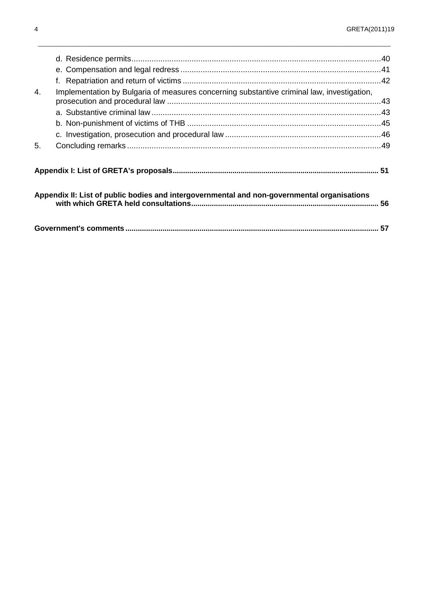| 4.                                                                                          | Implementation by Bulgaria of measures concerning substantive criminal law, investigation, |  |  |  |
|---------------------------------------------------------------------------------------------|--------------------------------------------------------------------------------------------|--|--|--|
|                                                                                             |                                                                                            |  |  |  |
|                                                                                             |                                                                                            |  |  |  |
|                                                                                             |                                                                                            |  |  |  |
| 5.                                                                                          |                                                                                            |  |  |  |
|                                                                                             |                                                                                            |  |  |  |
|                                                                                             |                                                                                            |  |  |  |
|                                                                                             |                                                                                            |  |  |  |
| Appendix II: List of public bodies and intergovernmental and non-governmental organisations |                                                                                            |  |  |  |
|                                                                                             |                                                                                            |  |  |  |
|                                                                                             |                                                                                            |  |  |  |
|                                                                                             |                                                                                            |  |  |  |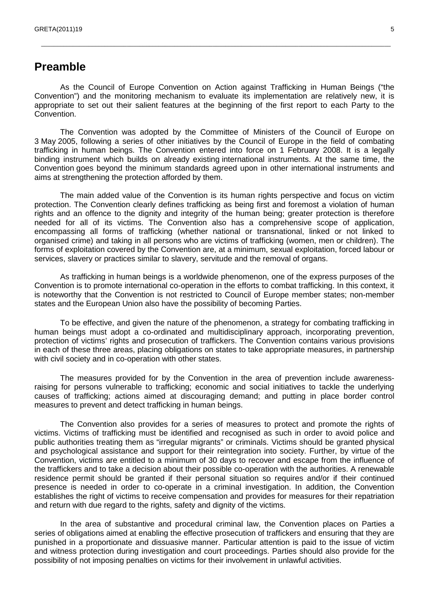### **Preamble**

As the Council of Europe Convention on Action against Trafficking in Human Beings ("the Convention") and the monitoring mechanism to evaluate its implementation are relatively new, it is appropriate to set out their salient features at the beginning of the first report to each Party to the Convention.

\_\_\_\_\_\_\_\_\_\_\_\_\_\_\_\_\_\_\_\_\_\_\_\_\_\_\_\_\_\_\_\_\_\_\_\_\_\_\_\_\_\_\_\_\_\_\_\_\_\_\_\_\_\_\_\_\_\_\_\_\_\_\_\_\_\_\_\_\_\_\_\_\_\_\_\_\_\_\_\_\_\_\_\_\_\_\_\_\_\_\_\_\_\_\_\_\_\_\_\_\_\_\_\_\_\_\_\_\_\_

The Convention was adopted by the Committee of Ministers of the Council of Europe on 3 May 2005, following a series of other initiatives by the Council of Europe in the field of combating trafficking in human beings. The Convention entered into force on 1 February 2008. It is a legally binding instrument which builds on already existing international instruments. At the same time, the Convention goes beyond the minimum standards agreed upon in other international instruments and aims at strengthening the protection afforded by them.

The main added value of the Convention is its human rights perspective and focus on victim protection. The Convention clearly defines trafficking as being first and foremost a violation of human rights and an offence to the dignity and integrity of the human being; greater protection is therefore needed for all of its victims. The Convention also has a comprehensive scope of application, encompassing all forms of trafficking (whether national or transnational, linked or not linked to organised crime) and taking in all persons who are victims of trafficking (women, men or children). The forms of exploitation covered by the Convention are, at a minimum, sexual exploitation, forced labour or services, slavery or practices similar to slavery, servitude and the removal of organs.

As trafficking in human beings is a worldwide phenomenon, one of the express purposes of the Convention is to promote international co-operation in the efforts to combat trafficking. In this context, it is noteworthy that the Convention is not restricted to Council of Europe member states; non-member states and the European Union also have the possibility of becoming Parties.

To be effective, and given the nature of the phenomenon, a strategy for combating trafficking in human beings must adopt a co-ordinated and multidisciplinary approach, incorporating prevention, protection of victims' rights and prosecution of traffickers. The Convention contains various provisions in each of these three areas, placing obligations on states to take appropriate measures, in partnership with civil society and in co-operation with other states.

The measures provided for by the Convention in the area of prevention include awarenessraising for persons vulnerable to trafficking; economic and social initiatives to tackle the underlying causes of trafficking; actions aimed at discouraging demand; and putting in place border control measures to prevent and detect trafficking in human beings.

The Convention also provides for a series of measures to protect and promote the rights of victims. Victims of trafficking must be identified and recognised as such in order to avoid police and public authorities treating them as "irregular migrants" or criminals. Victims should be granted physical and psychological assistance and support for their reintegration into society. Further, by virtue of the Convention, victims are entitled to a minimum of 30 days to recover and escape from the influence of the traffickers and to take a decision about their possible co-operation with the authorities. A renewable residence permit should be granted if their personal situation so requires and/or if their continued presence is needed in order to co-operate in a criminal investigation. In addition, the Convention establishes the right of victims to receive compensation and provides for measures for their repatriation and return with due regard to the rights, safety and dignity of the victims.

In the area of substantive and procedural criminal law, the Convention places on Parties a series of obligations aimed at enabling the effective prosecution of traffickers and ensuring that they are punished in a proportionate and dissuasive manner. Particular attention is paid to the issue of victim and witness protection during investigation and court proceedings. Parties should also provide for the possibility of not imposing penalties on victims for their involvement in unlawful activities.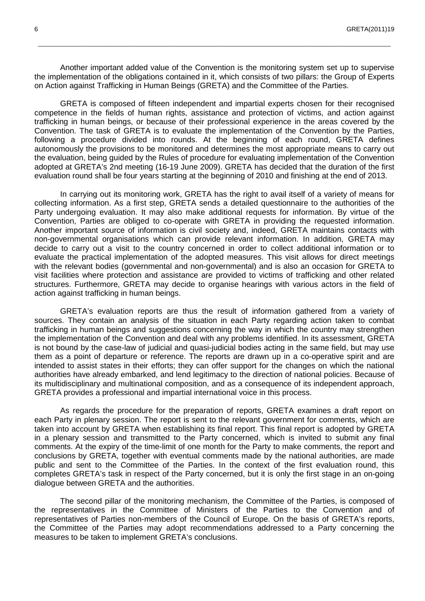Another important added value of the Convention is the monitoring system set up to supervise the implementation of the obligations contained in it, which consists of two pillars: the Group of Experts on Action against Trafficking in Human Beings (GRETA) and the Committee of the Parties.

\_\_\_\_\_\_\_\_\_\_\_\_\_\_\_\_\_\_\_\_\_\_\_\_\_\_\_\_\_\_\_\_\_\_\_\_\_\_\_\_\_\_\_\_\_\_\_\_\_\_\_\_\_\_\_\_\_\_\_\_\_\_\_\_\_\_\_\_\_\_\_\_\_\_\_\_\_\_\_\_\_\_\_\_\_\_\_\_\_\_\_\_\_\_\_\_\_\_\_\_\_\_\_\_\_\_\_\_\_\_\_

GRETA is composed of fifteen independent and impartial experts chosen for their recognised competence in the fields of human rights, assistance and protection of victims, and action against trafficking in human beings, or because of their professional experience in the areas covered by the Convention. The task of GRETA is to evaluate the implementation of the Convention by the Parties, following a procedure divided into rounds. At the beginning of each round, GRETA defines autonomously the provisions to be monitored and determines the most appropriate means to carry out the evaluation, being guided by the Rules of procedure for evaluating implementation of the Convention adopted at GRETA's 2nd meeting (16-19 June 2009). GRETA has decided that the duration of the first evaluation round shall be four years starting at the beginning of 2010 and finishing at the end of 2013.

In carrying out its monitoring work, GRETA has the right to avail itself of a variety of means for collecting information. As a first step, GRETA sends a detailed questionnaire to the authorities of the Party undergoing evaluation. It may also make additional requests for information. By virtue of the Convention, Parties are obliged to co-operate with GRETA in providing the requested information. Another important source of information is civil society and, indeed, GRETA maintains contacts with non-governmental organisations which can provide relevant information. In addition, GRETA may decide to carry out a visit to the country concerned in order to collect additional information or to evaluate the practical implementation of the adopted measures. This visit allows for direct meetings with the relevant bodies (governmental and non-governmental) and is also an occasion for GRETA to visit facilities where protection and assistance are provided to victims of trafficking and other related structures. Furthermore, GRETA may decide to organise hearings with various actors in the field of action against trafficking in human beings.

GRETA's evaluation reports are thus the result of information gathered from a variety of sources. They contain an analysis of the situation in each Party regarding action taken to combat trafficking in human beings and suggestions concerning the way in which the country may strengthen the implementation of the Convention and deal with any problems identified. In its assessment, GRETA is not bound by the case-law of judicial and quasi-judicial bodies acting in the same field, but may use them as a point of departure or reference. The reports are drawn up in a co-operative spirit and are intended to assist states in their efforts; they can offer support for the changes on which the national authorities have already embarked, and lend legitimacy to the direction of national policies. Because of its multidisciplinary and multinational composition, and as a consequence of its independent approach, GRETA provides a professional and impartial international voice in this process.

As regards the procedure for the preparation of reports, GRETA examines a draft report on each Party in plenary session. The report is sent to the relevant government for comments, which are taken into account by GRETA when establishing its final report. This final report is adopted by GRETA in a plenary session and transmitted to the Party concerned, which is invited to submit any final comments. At the expiry of the time-limit of one month for the Party to make comments, the report and conclusions by GRETA, together with eventual comments made by the national authorities, are made public and sent to the Committee of the Parties. In the context of the first evaluation round, this completes GRETA's task in respect of the Party concerned, but it is only the first stage in an on-going dialogue between GRETA and the authorities.

The second pillar of the monitoring mechanism, the Committee of the Parties, is composed of the representatives in the Committee of Ministers of the Parties to the Convention and of representatives of Parties non-members of the Council of Europe. On the basis of GRETA's reports, the Committee of the Parties may adopt recommendations addressed to a Party concerning the measures to be taken to implement GRETA's conclusions.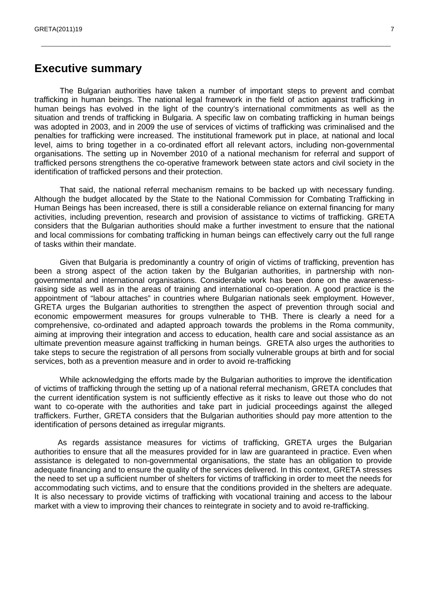## **Executive summary**

The Bulgarian authorities have taken a number of important steps to prevent and combat trafficking in human beings. The national legal framework in the field of action against trafficking in human beings has evolved in the light of the country's international commitments as well as the situation and trends of trafficking in Bulgaria. A specific law on combating trafficking in human beings was adopted in 2003, and in 2009 the use of services of victims of trafficking was criminalised and the penalties for trafficking were increased. The institutional framework put in place, at national and local level, aims to bring together in a co-ordinated effort all relevant actors, including non-governmental organisations. The setting up in November 2010 of a national mechanism for referral and support of trafficked persons strengthens the co-operative framework between state actors and civil society in the identification of trafficked persons and their protection.

\_\_\_\_\_\_\_\_\_\_\_\_\_\_\_\_\_\_\_\_\_\_\_\_\_\_\_\_\_\_\_\_\_\_\_\_\_\_\_\_\_\_\_\_\_\_\_\_\_\_\_\_\_\_\_\_\_\_\_\_\_\_\_\_\_\_\_\_\_\_\_\_\_\_\_\_\_\_\_\_\_\_\_\_\_\_\_\_\_\_\_\_\_\_\_\_\_\_\_\_\_\_\_\_\_\_\_\_\_\_

That said, the national referral mechanism remains to be backed up with necessary funding. Although the budget allocated by the State to the National Commission for Combating Trafficking in Human Beings has been increased, there is still a considerable reliance on external financing for many activities, including prevention, research and provision of assistance to victims of trafficking. GRETA considers that the Bulgarian authorities should make a further investment to ensure that the national and local commissions for combating trafficking in human beings can effectively carry out the full range of tasks within their mandate.

 Given that Bulgaria is predominantly a country of origin of victims of trafficking, prevention has been a strong aspect of the action taken by the Bulgarian authorities, in partnership with nongovernmental and international organisations. Considerable work has been done on the awarenessraising side as well as in the areas of training and international co-operation. A good practice is the appointment of "labour attaches" in countries where Bulgarian nationals seek employment. However, GRETA urges the Bulgarian authorities to strengthen the aspect of prevention through social and economic empowerment measures for groups vulnerable to THB. There is clearly a need for a comprehensive, co-ordinated and adapted approach towards the problems in the Roma community, aiming at improving their integration and access to education, health care and social assistance as an ultimate prevention measure against trafficking in human beings. GRETA also urges the authorities to take steps to secure the registration of all persons from socially vulnerable groups at birth and for social services, both as a prevention measure and in order to avoid re-trafficking

While acknowledging the efforts made by the Bulgarian authorities to improve the identification of victims of trafficking through the setting up of a national referral mechanism, GRETA concludes that the current identification system is not sufficiently effective as it risks to leave out those who do not want to co-operate with the authorities and take part in judicial proceedings against the alleged traffickers. Further, GRETA considers that the Bulgarian authorities should pay more attention to the identification of persons detained as irregular migrants.

As regards assistance measures for victims of trafficking, GRETA urges the Bulgarian authorities to ensure that all the measures provided for in law are guaranteed in practice. Even when assistance is delegated to non-governmental organisations, the state has an obligation to provide adequate financing and to ensure the quality of the services delivered. In this context, GRETA stresses the need to set up a sufficient number of shelters for victims of trafficking in order to meet the needs for accommodating such victims, and to ensure that the conditions provided in the shelters are adequate. It is also necessary to provide victims of trafficking with vocational training and access to the labour market with a view to improving their chances to reintegrate in society and to avoid re-trafficking.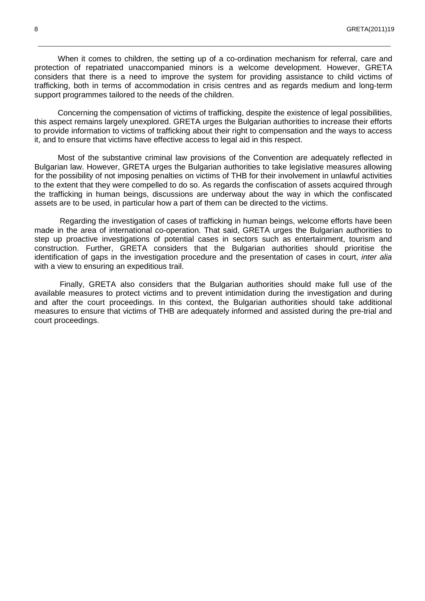When it comes to children, the setting up of a co-ordination mechanism for referral, care and protection of repatriated unaccompanied minors is a welcome development. However, GRETA considers that there is a need to improve the system for providing assistance to child victims of trafficking, both in terms of accommodation in crisis centres and as regards medium and long-term support programmes tailored to the needs of the children.

\_\_\_\_\_\_\_\_\_\_\_\_\_\_\_\_\_\_\_\_\_\_\_\_\_\_\_\_\_\_\_\_\_\_\_\_\_\_\_\_\_\_\_\_\_\_\_\_\_\_\_\_\_\_\_\_\_\_\_\_\_\_\_\_\_\_\_\_\_\_\_\_\_\_\_\_\_\_\_\_\_\_\_\_\_\_\_\_\_\_\_\_\_\_\_\_\_\_\_\_\_\_\_\_\_\_\_\_\_\_\_

Concerning the compensation of victims of trafficking, despite the existence of legal possibilities, this aspect remains largely unexplored. GRETA urges the Bulgarian authorities to increase their efforts to provide information to victims of trafficking about their right to compensation and the ways to access it, and to ensure that victims have effective access to legal aid in this respect.

Most of the substantive criminal law provisions of the Convention are adequately reflected in Bulgarian law. However, GRETA urges the Bulgarian authorities to take legislative measures allowing for the possibility of not imposing penalties on victims of THB for their involvement in unlawful activities to the extent that they were compelled to do so. As regards the confiscation of assets acquired through the trafficking in human beings, discussions are underway about the way in which the confiscated assets are to be used, in particular how a part of them can be directed to the victims.

Regarding the investigation of cases of trafficking in human beings, welcome efforts have been made in the area of international co-operation. That said, GRETA urges the Bulgarian authorities to step up proactive investigations of potential cases in sectors such as entertainment, tourism and construction. Further, GRETA considers that the Bulgarian authorities should prioritise the identification of gaps in the investigation procedure and the presentation of cases in court, *inter alia* with a view to ensuring an expeditious trail.

Finally, GRETA also considers that the Bulgarian authorities should make full use of the available measures to protect victims and to prevent intimidation during the investigation and during and after the court proceedings. In this context, the Bulgarian authorities should take additional measures to ensure that victims of THB are adequately informed and assisted during the pre-trial and court proceedings.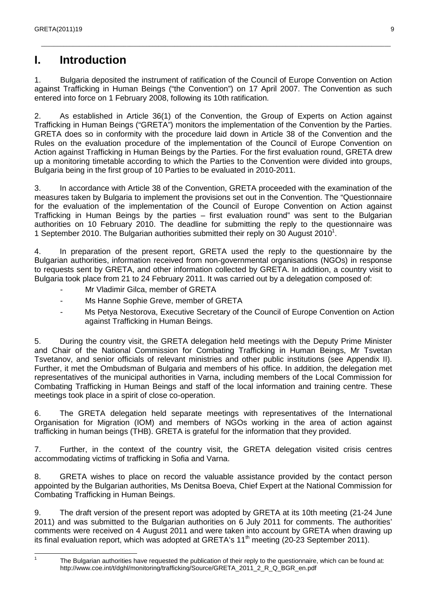## **I. Introduction**

1. Bulgaria deposited the instrument of ratification of the Council of Europe Convention on Action against Trafficking in Human Beings ("the Convention") on 17 April 2007. The Convention as such entered into force on 1 February 2008, following its 10th ratification.

\_\_\_\_\_\_\_\_\_\_\_\_\_\_\_\_\_\_\_\_\_\_\_\_\_\_\_\_\_\_\_\_\_\_\_\_\_\_\_\_\_\_\_\_\_\_\_\_\_\_\_\_\_\_\_\_\_\_\_\_\_\_\_\_\_\_\_\_\_\_\_\_\_\_\_\_\_\_\_\_\_\_\_\_\_\_\_\_\_\_\_\_\_\_\_\_\_\_\_\_\_\_\_\_\_\_\_\_\_\_

2. As established in Article 36(1) of the Convention, the Group of Experts on Action against Trafficking in Human Beings ("GRETA") monitors the implementation of the Convention by the Parties. GRETA does so in conformity with the procedure laid down in Article 38 of the Convention and the Rules on the evaluation procedure of the implementation of the Council of Europe Convention on Action against Trafficking in Human Beings by the Parties. For the first evaluation round, GRETA drew up a monitoring timetable according to which the Parties to the Convention were divided into groups, Bulgaria being in the first group of 10 Parties to be evaluated in 2010-2011.

3. In accordance with Article 38 of the Convention, GRETA proceeded with the examination of the measures taken by Bulgaria to implement the provisions set out in the Convention. The "Questionnaire for the evaluation of the implementation of the Council of Europe Convention on Action against Trafficking in Human Beings by the parties – first evaluation round" was sent to the Bulgarian authorities on 10 February 2010. The deadline for submitting the reply to the questionnaire was 1 September 2010. The Bulgarian authorities submitted their reply on 30 August 2010<sup>1</sup>.

4. In preparation of the present report, GRETA used the reply to the questionnaire by the Bulgarian authorities, information received from non-governmental organisations (NGOs) in response to requests sent by GRETA, and other information collected by GRETA. In addition, a country visit to Bulgaria took place from 21 to 24 February 2011. It was carried out by a delegation composed of:

- Mr Vladimir Gilca, member of GRETA
- Ms Hanne Sophie Greve, member of GRETA
- Ms Petya Nestorova, Executive Secretary of the Council of Europe Convention on Action against Trafficking in Human Beings.

5. During the country visit, the GRETA delegation held meetings with the Deputy Prime Minister and Chair of the National Commission for Combating Trafficking in Human Beings, Mr Tsvetan Tsvetanov, and senior officials of relevant ministries and other public institutions (see Appendix II). Further, it met the Ombudsman of Bulgaria and members of his office. In addition, the delegation met representatives of the municipal authorities in Varna, including members of the Local Commission for Combating Trafficking in Human Beings and staff of the local information and training centre. These meetings took place in a spirit of close co-operation.

6. The GRETA delegation held separate meetings with representatives of the International Organisation for Migration (IOM) and members of NGOs working in the area of action against trafficking in human beings (THB). GRETA is grateful for the information that they provided.

7. Further, in the context of the country visit, the GRETA delegation visited crisis centres accommodating victims of trafficking in Sofia and Varna.

8. GRETA wishes to place on record the valuable assistance provided by the contact person appointed by the Bulgarian authorities, Ms Denitsa Boeva, Chief Expert at the National Commission for Combating Trafficking in Human Beings.

9. The draft version of the present report was adopted by GRETA at its 10th meeting (21-24 June 2011) and was submitted to the Bulgarian authorities on 6 July 2011 for comments. The authorities' comments were received on 4 August 2011 and were taken into account by GRETA when drawing up its final evaluation report, which was adopted at GRETA's 11<sup>th</sup> meeting (20-23 September 2011).

 $\frac{1}{1}$ 

The Bulgarian authorities have requested the publication of their reply to the questionnaire, which can be found at: http://www.coe.int/t/dghl/monitoring/trafficking/Source/GRETA\_2011\_2\_R\_Q\_BGR\_en.pdf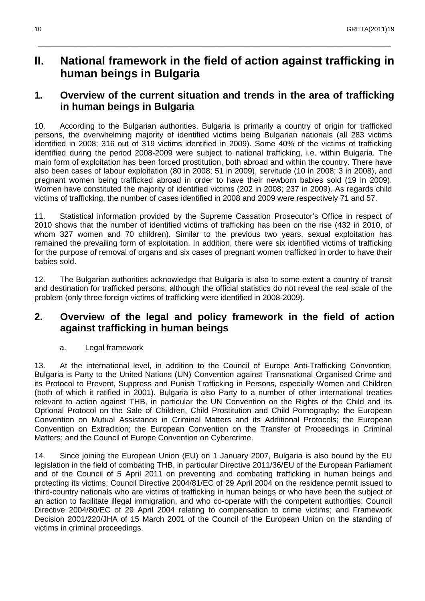## **II. National framework in the field of action against trafficking in human beings in Bulgaria**

\_\_\_\_\_\_\_\_\_\_\_\_\_\_\_\_\_\_\_\_\_\_\_\_\_\_\_\_\_\_\_\_\_\_\_\_\_\_\_\_\_\_\_\_\_\_\_\_\_\_\_\_\_\_\_\_\_\_\_\_\_\_\_\_\_\_\_\_\_\_\_\_\_\_\_\_\_\_\_\_\_\_\_\_\_\_\_\_\_\_\_\_\_\_\_\_\_\_\_\_\_\_\_\_\_\_\_\_\_\_\_

## **1. Overview of the current situation and trends in the area of trafficking in human beings in Bulgaria**

10. According to the Bulgarian authorities, Bulgaria is primarily a country of origin for trafficked persons, the overwhelming majority of identified victims being Bulgarian nationals (all 283 victims identified in 2008; 316 out of 319 victims identified in 2009). Some 40% of the victims of trafficking identified during the period 2008-2009 were subject to national trafficking, i.e. within Bulgaria. The main form of exploitation has been forced prostitution, both abroad and within the country. There have also been cases of labour exploitation (80 in 2008; 51 in 2009), servitude (10 in 2008; 3 in 2008), and pregnant women being trafficked abroad in order to have their newborn babies sold (19 in 2009). Women have constituted the majority of identified victims (202 in 2008; 237 in 2009). As regards child victims of trafficking, the number of cases identified in 2008 and 2009 were respectively 71 and 57.

11. Statistical information provided by the Supreme Cassation Prosecutor's Office in respect of 2010 shows that the number of identified victims of trafficking has been on the rise (432 in 2010, of whom 327 women and 70 children). Similar to the previous two years, sexual exploitation has remained the prevailing form of exploitation. In addition, there were six identified victims of trafficking for the purpose of removal of organs and six cases of pregnant women trafficked in order to have their babies sold.

12. The Bulgarian authorities acknowledge that Bulgaria is also to some extent a country of transit and destination for trafficked persons, although the official statistics do not reveal the real scale of the problem (only three foreign victims of trafficking were identified in 2008-2009).

## **2. Overview of the legal and policy framework in the field of action against trafficking in human beings**

#### a. Legal framework

13. At the international level, in addition to the Council of Europe Anti-Trafficking Convention, Bulgaria is Party to the United Nations (UN) Convention against Transnational Organised Crime and its Protocol to Prevent, Suppress and Punish Trafficking in Persons, especially Women and Children (both of which it ratified in 2001). Bulgaria is also Party to a number of other international treaties relevant to action against THB, in particular the UN Convention on the Rights of the Child and its Optional Protocol on the Sale of Children, Child Prostitution and Child Pornography; the European Convention on Mutual Assistance in Criminal Matters and its Additional Protocols; the European Convention on Extradition; the European Convention on the Transfer of Proceedings in Criminal Matters; and the Council of Europe Convention on Cybercrime.

14. Since joining the European Union (EU) on 1 January 2007, Bulgaria is also bound by the EU legislation in the field of combating THB, in particular Directive 2011/36/EU of the European Parliament and of the Council of 5 April 2011 on preventing and combating trafficking in human beings and protecting its victims; Council Directive 2004/81/EC of 29 April 2004 on the residence permit issued to third-country nationals who are victims of trafficking in human beings or who have been the subject of an action to facilitate illegal immigration, and who co-operate with the competent authorities; Council Directive 2004/80/EC of 29 April 2004 relating to compensation to crime victims; and Framework Decision 2001/220/JHA of 15 March 2001 of the Council of the European Union on the standing of victims in criminal proceedings.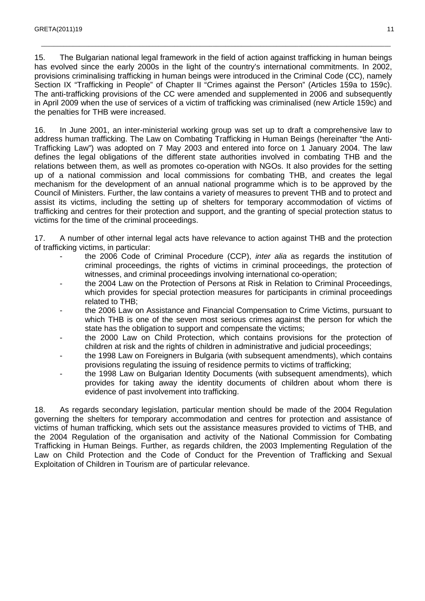15. The Bulgarian national legal framework in the field of action against trafficking in human beings has evolved since the early 2000s in the light of the country's international commitments. In 2002, provisions criminalising trafficking in human beings were introduced in the Criminal Code (CC), namely Section IX "Trafficking in People" of Chapter II "Crimes against the Person" (Articles 159a to 159c). The anti-trafficking provisions of the CC were amended and supplemented in 2006 and subsequently in April 2009 when the use of services of a victim of trafficking was criminalised (new Article 159c) and the penalties for THB were increased.

\_\_\_\_\_\_\_\_\_\_\_\_\_\_\_\_\_\_\_\_\_\_\_\_\_\_\_\_\_\_\_\_\_\_\_\_\_\_\_\_\_\_\_\_\_\_\_\_\_\_\_\_\_\_\_\_\_\_\_\_\_\_\_\_\_\_\_\_\_\_\_\_\_\_\_\_\_\_\_\_\_\_\_\_\_\_\_\_\_\_\_\_\_\_\_\_\_\_\_\_\_\_\_\_\_\_\_\_\_\_

16. In June 2001, an inter-ministerial working group was set up to draft a comprehensive law to address human trafficking. The Law on Combating Trafficking in Human Beings (hereinafter "the Anti-Trafficking Law") was adopted on 7 May 2003 and entered into force on 1 January 2004. The law defines the legal obligations of the different state authorities involved in combating THB and the relations between them, as well as promotes co-operation with NGOs. It also provides for the setting up of a national commission and local commissions for combating THB, and creates the legal mechanism for the development of an annual national programme which is to be approved by the Council of Ministers. Further, the law contains a variety of measures to prevent THB and to protect and assist its victims, including the setting up of shelters for temporary accommodation of victims of trafficking and centres for their protection and support, and the granting of special protection status to victims for the time of the criminal proceedings.

17. A number of other internal legal acts have relevance to action against THB and the protection of trafficking victims, in particular:

- the 2006 Code of Criminal Procedure (CCP), *inter alia* as regards the institution of criminal proceedings, the rights of victims in criminal proceedings, the protection of witnesses, and criminal proceedings involving international co-operation;
- the 2004 Law on the Protection of Persons at Risk in Relation to Criminal Proceedings, which provides for special protection measures for participants in criminal proceedings related to THB;
- the 2006 Law on Assistance and Financial Compensation to Crime Victims, pursuant to which THB is one of the seven most serious crimes against the person for which the state has the obligation to support and compensate the victims;
- the 2000 Law on Child Protection, which contains provisions for the protection of children at risk and the rights of children in administrative and judicial proceedings;
- the 1998 Law on Foreigners in Bulgaria (with subsequent amendments), which contains provisions regulating the issuing of residence permits to victims of trafficking;
- the 1998 Law on Bulgarian Identity Documents (with subsequent amendments), which provides for taking away the identity documents of children about whom there is evidence of past involvement into trafficking.

18. As regards secondary legislation, particular mention should be made of the 2004 Regulation governing the shelters for temporary accommodation and centres for protection and assistance of victims of human trafficking, which sets out the assistance measures provided to victims of THB, and the 2004 Regulation of the organisation and activity of the National Commission for Combating Trafficking in Human Beings. Further, as regards children, the 2003 Implementing Regulation of the Law on Child Protection and the Code of Conduct for the Prevention of Trafficking and Sexual Exploitation of Children in Tourism are of particular relevance.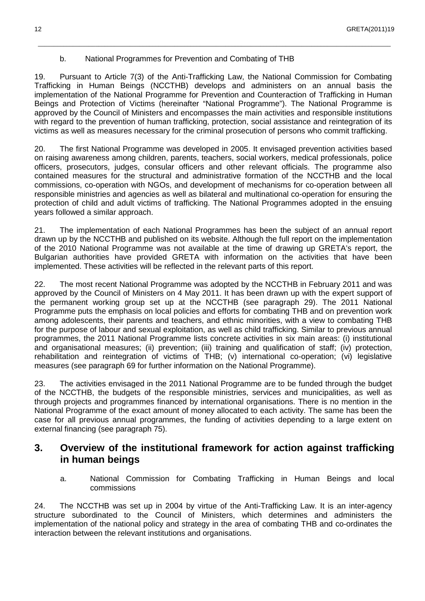#### b. National Programmes for Prevention and Combating of THB

19. Pursuant to Article 7(3) of the Anti-Trafficking Law, the National Commission for Combating Trafficking in Human Beings (NCCTHB) develops and administers on an annual basis the implementation of the National Programme for Prevention and Counteraction of Trafficking in Human Beings and Protection of Victims (hereinafter "National Programme"). The National Programme is approved by the Council of Ministers and encompasses the main activities and responsible institutions with regard to the prevention of human trafficking, protection, social assistance and reintegration of its victims as well as measures necessary for the criminal prosecution of persons who commit trafficking.

\_\_\_\_\_\_\_\_\_\_\_\_\_\_\_\_\_\_\_\_\_\_\_\_\_\_\_\_\_\_\_\_\_\_\_\_\_\_\_\_\_\_\_\_\_\_\_\_\_\_\_\_\_\_\_\_\_\_\_\_\_\_\_\_\_\_\_\_\_\_\_\_\_\_\_\_\_\_\_\_\_\_\_\_\_\_\_\_\_\_\_\_\_\_\_\_\_\_\_\_\_\_\_\_\_\_\_\_\_\_\_

20. The first National Programme was developed in 2005. It envisaged prevention activities based on raising awareness among children, parents, teachers, social workers, medical professionals, police officers, prosecutors, judges, consular officers and other relevant officials. The programme also contained measures for the structural and administrative formation of the NCCTHB and the local commissions, co-operation with NGOs, and development of mechanisms for co-operation between all responsible ministries and agencies as well as bilateral and multinational co-operation for ensuring the protection of child and adult victims of trafficking. The National Programmes adopted in the ensuing years followed a similar approach.

21. The implementation of each National Programmes has been the subject of an annual report drawn up by the NCCTHB and published on its website. Although the full report on the implementation of the 2010 National Programme was not available at the time of drawing up GRETA's report, the Bulgarian authorities have provided GRETA with information on the activities that have been implemented. These activities will be reflected in the relevant parts of this report.

22. The most recent National Programme was adopted by the NCCTHB in February 2011 and was approved by the Council of Ministers on 4 May 2011. It has been drawn up with the expert support of the permanent working group set up at the NCCTHB (see paragraph 29). The 2011 National Programme puts the emphasis on local policies and efforts for combating THB and on prevention work among adolescents, their parents and teachers, and ethnic minorities, with a view to combating THB for the purpose of labour and sexual exploitation, as well as child trafficking. Similar to previous annual programmes, the 2011 National Programme lists concrete activities in six main areas: (i) institutional and organisational measures; (ii) prevention; (iii) training and qualification of staff; (iv) protection, rehabilitation and reintegration of victims of THB; (v) international co-operation; (vi) legislative measures (see paragraph 69 for further information on the National Programme).

23. The activities envisaged in the 2011 National Programme are to be funded through the budget of the NCCTHB, the budgets of the responsible ministries, services and municipalities, as well as through projects and programmes financed by international organisations. There is no mention in the National Programme of the exact amount of money allocated to each activity. The same has been the case for all previous annual programmes, the funding of activities depending to a large extent on external financing (see paragraph 75).

## **3. Overview of the institutional framework for action against trafficking in human beings**

a. National Commission for Combating Trafficking in Human Beings and local commissions

24. The NCCTHB was set up in 2004 by virtue of the Anti-Trafficking Law. It is an inter-agency structure subordinated to the Council of Ministers, which determines and administers the implementation of the national policy and strategy in the area of combating THB and co-ordinates the interaction between the relevant institutions and organisations.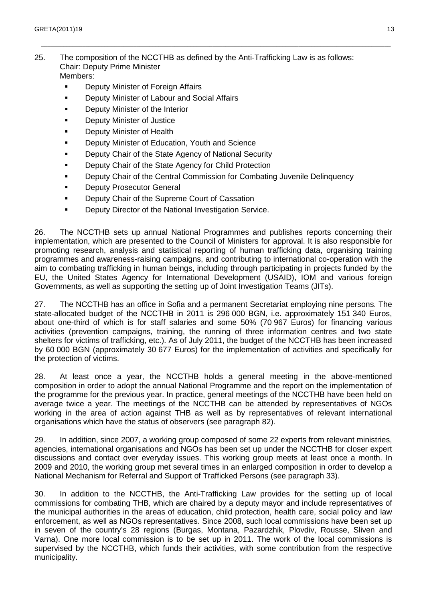25. The composition of the NCCTHB as defined by the Anti-Trafficking Law is as follows: Chair: Deputy Prime Minister Members:

\_\_\_\_\_\_\_\_\_\_\_\_\_\_\_\_\_\_\_\_\_\_\_\_\_\_\_\_\_\_\_\_\_\_\_\_\_\_\_\_\_\_\_\_\_\_\_\_\_\_\_\_\_\_\_\_\_\_\_\_\_\_\_\_\_\_\_\_\_\_\_\_\_\_\_\_\_\_\_\_\_\_\_\_\_\_\_\_\_\_\_\_\_\_\_\_\_\_\_\_\_\_\_\_\_\_\_\_\_\_

- **Deputy Minister of Foreign Affairs**
- **Deputy Minister of Labour and Social Affairs**
- **•** Deputy Minister of the Interior
- Deputy Minister of Justice
- **Deputy Minister of Health**
- **Deputy Minister of Education, Youth and Science**
- **Deputy Chair of the State Agency of National Security**
- **Deputy Chair of the State Agency for Child Protection**
- **Deputy Chair of the Central Commission for Combating Juvenile Delinquency**
- **Deputy Prosecutor General**
- **Deputy Chair of the Supreme Court of Cassation**
- **Deputy Director of the National Investigation Service.**

26. The NCCTHB sets up annual National Programmes and publishes reports concerning their implementation, which are presented to the Council of Ministers for approval. It is also responsible for promoting research, analysis and statistical reporting of human trafficking data, organising training programmes and awareness-raising campaigns, and contributing to international co-operation with the aim to combating trafficking in human beings, including through participating in projects funded by the EU, the United States Agency for International Development (USAID), IOM and various foreign Governments, as well as supporting the setting up of Joint Investigation Teams (JITs).

27. The NCCTHB has an office in Sofia and a permanent Secretariat employing nine persons. The state-allocated budget of the NCCTHB in 2011 is 296 000 BGN, i.e. approximately 151 340 Euros, about one-third of which is for staff salaries and some 50% (70 967 Euros) for financing various activities (prevention campaigns, training, the running of three information centres and two state shelters for victims of trafficking, etc.). As of July 2011, the budget of the NCCTHB has been increased by 60 000 BGN (approximately 30 677 Euros) for the implementation of activities and specifically for the protection of victims.

28. At least once a year, the NCCTHB holds a general meeting in the above-mentioned composition in order to adopt the annual National Programme and the report on the implementation of the programme for the previous year. In practice, general meetings of the NCCTHB have been held on average twice a year. The meetings of the NCCTHB can be attended by representatives of NGOs working in the area of action against THB as well as by representatives of relevant international organisations which have the status of observers (see paragraph 82).

29. In addition, since 2007, a working group composed of some 22 experts from relevant ministries, agencies, international organisations and NGOs has been set up under the NCCTHB for closer expert discussions and contact over everyday issues. This working group meets at least once a month. In 2009 and 2010, the working group met several times in an enlarged composition in order to develop a National Mechanism for Referral and Support of Trafficked Persons (see paragraph 33).

30. In addition to the NCCTHB, the Anti-Trafficking Law provides for the setting up of local commissions for combating THB, which are chaired by a deputy mayor and include representatives of the municipal authorities in the areas of education, child protection, health care, social policy and law enforcement, as well as NGOs representatives. Since 2008, such local commissions have been set up in seven of the country's 28 regions (Burgas, Montana, Pazardzhik, Plovdiv, Rousse, Sliven and Varna). One more local commission is to be set up in 2011. The work of the local commissions is supervised by the NCCTHB, which funds their activities, with some contribution from the respective municipality.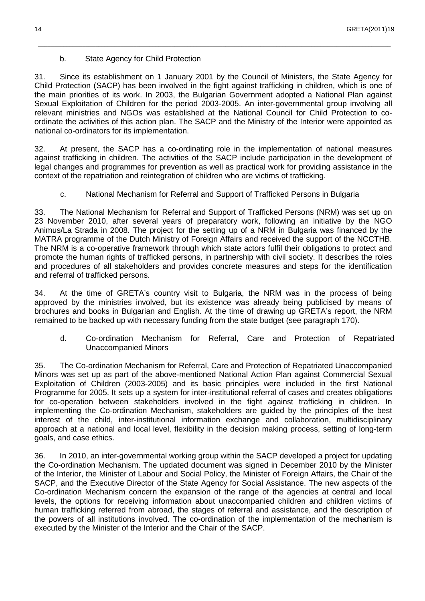#### b. State Agency for Child Protection

31. Since its establishment on 1 January 2001 by the Council of Ministers, the State Agency for Child Protection (SACP) has been involved in the fight against trafficking in children, which is one of the main priorities of its work. In 2003, the Bulgarian Government adopted a National Plan against Sexual Exploitation of Children for the period 2003-2005. An inter-governmental group involving all relevant ministries and NGOs was established at the National Council for Child Protection to coordinate the activities of this action plan. The SACP and the Ministry of the Interior were appointed as national co-ordinators for its implementation.

\_\_\_\_\_\_\_\_\_\_\_\_\_\_\_\_\_\_\_\_\_\_\_\_\_\_\_\_\_\_\_\_\_\_\_\_\_\_\_\_\_\_\_\_\_\_\_\_\_\_\_\_\_\_\_\_\_\_\_\_\_\_\_\_\_\_\_\_\_\_\_\_\_\_\_\_\_\_\_\_\_\_\_\_\_\_\_\_\_\_\_\_\_\_\_\_\_\_\_\_\_\_\_\_\_\_\_\_\_\_\_

32. At present, the SACP has a co-ordinating role in the implementation of national measures against trafficking in children. The activities of the SACP include participation in the development of legal changes and programmes for prevention as well as practical work for providing assistance in the context of the repatriation and reintegration of children who are victims of trafficking.

c. National Mechanism for Referral and Support of Trafficked Persons in Bulgaria

33. The National Mechanism for Referral and Support of Trafficked Persons (NRM) was set up on 23 November 2010, after several years of preparatory work, following an initiative by the NGO Animus/La Strada in 2008. The project for the setting up of a NRM in Bulgaria was financed by the MATRA programme of the Dutch Ministry of Foreign Affairs and received the support of the NCCTHB. The NRM is a co-operative framework through which state actors fulfil their obligations to protect and promote the human rights of trafficked persons, in partnership with civil society. It describes the roles and procedures of all stakeholders and provides concrete measures and steps for the identification and referral of trafficked persons.

34. At the time of GRETA's country visit to Bulgaria, the NRM was in the process of being approved by the ministries involved, but its existence was already being publicised by means of brochures and books in Bulgarian and English. At the time of drawing up GRETA's report, the NRM remained to be backed up with necessary funding from the state budget (see paragraph 170).

d. Co-ordination Mechanism for Referral, Care and Protection of Repatriated Unaccompanied Minors

35. The Co-ordination Mechanism for Referral, Care and Protection of Repatriated Unaccompanied Minors was set up as part of the above-mentioned National Action Plan against Commercial Sexual Exploitation of Children (2003-2005) and its basic principles were included in the first National Programme for 2005. It sets up a system for inter-institutional referral of cases and creates obligations for co-operation between stakeholders involved in the fight against trafficking in children. In implementing the Co-ordination Mechanism, stakeholders are guided by the principles of the best interest of the child, inter-institutional information exchange and collaboration, multidisciplinary approach at a national and local level, flexibility in the decision making process, setting of long-term goals, and case ethics.

36. In 2010, an inter-governmental working group within the SACP developed a project for updating the Co-ordination Mechanism. The updated document was signed in December 2010 by the Minister of the Interior, the Minister of Labour and Social Policy, the Minister of Foreign Affairs, the Chair of the SACP, and the Executive Director of the State Agency for Social Assistance. The new aspects of the Co-ordination Mechanism concern the expansion of the range of the agencies at central and local levels, the options for receiving information about unaccompanied children and children victims of human trafficking referred from abroad, the stages of referral and assistance, and the description of the powers of all institutions involved. The co-ordination of the implementation of the mechanism is executed by the Minister of the Interior and the Chair of the SACP.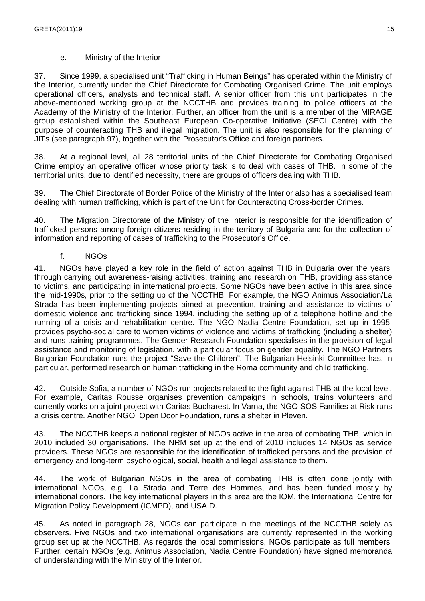#### e. Ministry of the Interior

37. Since 1999, a specialised unit "Trafficking in Human Beings" has operated within the Ministry of the Interior, currently under the Chief Directorate for Combating Organised Crime. The unit employs operational officers, analysts and technical staff. A senior officer from this unit participates in the above-mentioned working group at the NCCTHB and provides training to police officers at the Academy of the Ministry of the Interior. Further, an officer from the unit is a member of the MIRAGE group established within the Southeast European Co-operative Initiative (SECI Centre) with the purpose of counteracting THB and illegal migration. The unit is also responsible for the planning of JITs (see paragraph 97), together with the Prosecutor's Office and foreign partners.

\_\_\_\_\_\_\_\_\_\_\_\_\_\_\_\_\_\_\_\_\_\_\_\_\_\_\_\_\_\_\_\_\_\_\_\_\_\_\_\_\_\_\_\_\_\_\_\_\_\_\_\_\_\_\_\_\_\_\_\_\_\_\_\_\_\_\_\_\_\_\_\_\_\_\_\_\_\_\_\_\_\_\_\_\_\_\_\_\_\_\_\_\_\_\_\_\_\_\_\_\_\_\_\_\_\_\_\_\_\_

38. At a regional level, all 28 territorial units of the Chief Directorate for Combating Organised Crime employ an operative officer whose priority task is to deal with cases of THB. In some of the territorial units, due to identified necessity, there are groups of officers dealing with THB.

39. The Chief Directorate of Border Police of the Ministry of the Interior also has a specialised team dealing with human trafficking, which is part of the Unit for Counteracting Cross-border Crimes.

40. The Migration Directorate of the Ministry of the Interior is responsible for the identification of trafficked persons among foreign citizens residing in the territory of Bulgaria and for the collection of information and reporting of cases of trafficking to the Prosecutor's Office.

f. NGOs

41. NGOs have played a key role in the field of action against THB in Bulgaria over the years, through carrying out awareness-raising activities, training and research on THB, providing assistance to victims, and participating in international projects. Some NGOs have been active in this area since the mid-1990s, prior to the setting up of the NCCTHB. For example, the NGO Animus Association/La Strada has been implementing projects aimed at prevention, training and assistance to victims of domestic violence and trafficking since 1994, including the setting up of a telephone hotline and the running of a crisis and rehabilitation centre. The NGO Nadia Centre Foundation, set up in 1995, provides psycho-social care to women victims of violence and victims of trafficking (including a shelter) and runs training programmes. The Gender Research Foundation specialises in the provision of legal assistance and monitoring of legislation, with a particular focus on gender equality. The NGO Partners Bulgarian Foundation runs the project "Save the Children". The Bulgarian Helsinki Committee has, in particular, performed research on human trafficking in the Roma community and child trafficking.

42. Outside Sofia, a number of NGOs run projects related to the fight against THB at the local level. For example, Caritas Rousse organises prevention campaigns in schools, trains volunteers and currently works on a joint project with Caritas Bucharest. In Varna, the NGO SOS Families at Risk runs a crisis centre. Another NGO, Open Door Foundation, runs a shelter in Pleven.

43. The NCCTHB keeps a national register of NGOs active in the area of combating THB, which in 2010 included 30 organisations. The NRM set up at the end of 2010 includes 14 NGOs as service providers. These NGOs are responsible for the identification of trafficked persons and the provision of emergency and long-term psychological, social, health and legal assistance to them.

44. The work of Bulgarian NGOs in the area of combating THB is often done jointly with international NGOs, e.g. La Strada and Terre des Hommes, and has been funded mostly by international donors. The key international players in this area are the IOM, the International Centre for Migration Policy Development (ICMPD), and USAID.

45. As noted in paragraph 28, NGOs can participate in the meetings of the NCCTHB solely as observers. Five NGOs and two international organisations are currently represented in the working group set up at the NCCTHB. As regards the local commissions, NGOs participate as full members. Further, certain NGOs (e.g. Animus Association, Nadia Centre Foundation) have signed memoranda of understanding with the Ministry of the Interior.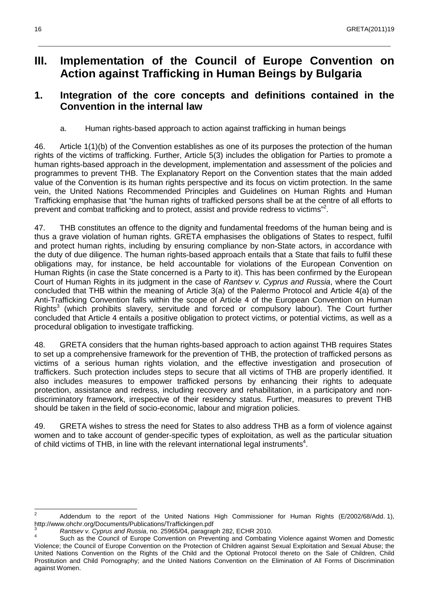## **III. Implementation of the Council of Europe Convention on Action against Trafficking in Human Beings by Bulgaria**

\_\_\_\_\_\_\_\_\_\_\_\_\_\_\_\_\_\_\_\_\_\_\_\_\_\_\_\_\_\_\_\_\_\_\_\_\_\_\_\_\_\_\_\_\_\_\_\_\_\_\_\_\_\_\_\_\_\_\_\_\_\_\_\_\_\_\_\_\_\_\_\_\_\_\_\_\_\_\_\_\_\_\_\_\_\_\_\_\_\_\_\_\_\_\_\_\_\_\_\_\_\_\_\_\_\_\_\_\_\_\_

## **1. Integration of the core concepts and definitions contained in the Convention in the internal law**

a. Human rights-based approach to action against trafficking in human beings

46. Article 1(1)(b) of the Convention establishes as one of its purposes the protection of the human rights of the victims of trafficking. Further, Article 5(3) includes the obligation for Parties to promote a human rights-based approach in the development, implementation and assessment of the policies and programmes to prevent THB. The Explanatory Report on the Convention states that the main added value of the Convention is its human rights perspective and its focus on victim protection. In the same vein, the United Nations Recommended Principles and Guidelines on Human Rights and Human Trafficking emphasise that "the human rights of trafficked persons shall be at the centre of all efforts to prevent and combat trafficking and to protect, assist and provide redress to victims"<sup>2</sup>.

47. THB constitutes an offence to the dignity and fundamental freedoms of the human being and is thus a grave violation of human rights. GRETA emphasises the obligations of States to respect, fulfil and protect human rights, including by ensuring compliance by non-State actors, in accordance with the duty of due diligence. The human rights-based approach entails that a State that fails to fulfil these obligations may, for instance, be held accountable for violations of the European Convention on Human Rights (in case the State concerned is a Party to it). This has been confirmed by the European Court of Human Rights in its judgment in the case of Rantsev v. Cyprus and Russia, where the Court concluded that THB within the meaning of Article 3(a) of the Palermo Protocol and Article 4(a) of the Anti-Trafficking Convention falls within the scope of Article 4 of the European Convention on Human Rights<sup>3</sup> (which prohibits slavery, servitude and forced or compulsory labour). The Court further concluded that Article 4 entails a positive obligation to protect victims, or potential victims, as well as a procedural obligation to investigate trafficking.

48. GRETA considers that the human rights-based approach to action against THB requires States to set up a comprehensive framework for the prevention of THB, the protection of trafficked persons as victims of a serious human rights violation, and the effective investigation and prosecution of traffickers. Such protection includes steps to secure that all victims of THB are properly identified. It also includes measures to empower trafficked persons by enhancing their rights to adequate protection, assistance and redress, including recovery and rehabilitation, in a participatory and nondiscriminatory framework, irrespective of their residency status. Further, measures to prevent THB should be taken in the field of socio-economic, labour and migration policies.

49. GRETA wishes to stress the need for States to also address THB as a form of violence against women and to take account of gender-specific types of exploitation, as well as the particular situation of child victims of THB, in line with the relevant international legal instruments<sup>4</sup>.

 $\frac{1}{2}$  Addendum to the report of the United Nations High Commissioner for Human Rights (E/2002/68/Add. 1), http://www.ohchr.org/Documents/Publications/Traffickingen.pdf<br>3<br>Currus and Bussia, pa. 25065/04, paragray

Rantsev v. Cyprus and Russia, no. 25965/04, paragraph 282, ECHR 2010.

<sup>4</sup> Such as the Council of Europe Convention on Preventing and Combating Violence against Women and Domestic Violence; the Council of Europe Convention on the Protection of Children against Sexual Exploitation and Sexual Abuse; the United Nations Convention on the Rights of the Child and the Optional Protocol thereto on the Sale of Children, Child Prostitution and Child Pornography; and the United Nations Convention on the Elimination of All Forms of Discrimination against Women.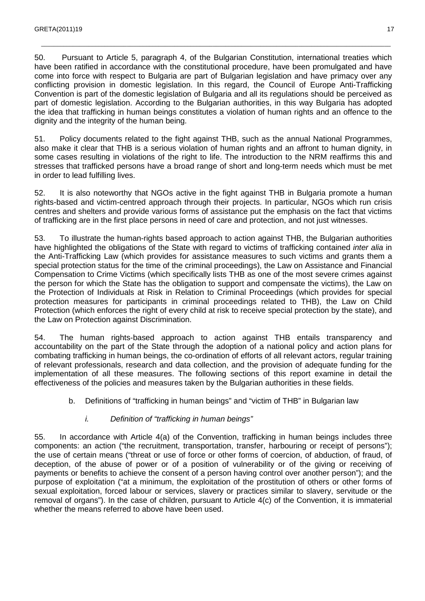50. Pursuant to Article 5, paragraph 4, of the Bulgarian Constitution, international treaties which have been ratified in accordance with the constitutional procedure, have been promulgated and have come into force with respect to Bulgaria are part of Bulgarian legislation and have primacy over any conflicting provision in domestic legislation. In this regard, the Council of Europe Anti-Trafficking Convention is part of the domestic legislation of Bulgaria and all its regulations should be perceived as part of domestic legislation. According to the Bulgarian authorities, in this way Bulgaria has adopted the idea that trafficking in human beings constitutes a violation of human rights and an offence to the dignity and the integrity of the human being.

\_\_\_\_\_\_\_\_\_\_\_\_\_\_\_\_\_\_\_\_\_\_\_\_\_\_\_\_\_\_\_\_\_\_\_\_\_\_\_\_\_\_\_\_\_\_\_\_\_\_\_\_\_\_\_\_\_\_\_\_\_\_\_\_\_\_\_\_\_\_\_\_\_\_\_\_\_\_\_\_\_\_\_\_\_\_\_\_\_\_\_\_\_\_\_\_\_\_\_\_\_\_\_\_\_\_\_\_\_\_

51. Policy documents related to the fight against THB, such as the annual National Programmes, also make it clear that THB is a serious violation of human rights and an affront to human dignity, in some cases resulting in violations of the right to life. The introduction to the NRM reaffirms this and stresses that trafficked persons have a broad range of short and long-term needs which must be met in order to lead fulfilling lives.

52. It is also noteworthy that NGOs active in the fight against THB in Bulgaria promote a human rights-based and victim-centred approach through their projects. In particular, NGOs which run crisis centres and shelters and provide various forms of assistance put the emphasis on the fact that victims of trafficking are in the first place persons in need of care and protection, and not just witnesses.

53. To illustrate the human-rights based approach to action against THB, the Bulgarian authorities have highlighted the obligations of the State with regard to victims of trafficking contained *inter alia* in the Anti-Trafficking Law (which provides for assistance measures to such victims and grants them a special protection status for the time of the criminal proceedings), the Law on Assistance and Financial Compensation to Crime Victims (which specifically lists THB as one of the most severe crimes against the person for which the State has the obligation to support and compensate the victims), the Law on the Protection of Individuals at Risk in Relation to Criminal Proceedings (which provides for special protection measures for participants in criminal proceedings related to THB), the Law on Child Protection (which enforces the right of every child at risk to receive special protection by the state), and the Law on Protection against Discrimination.

54. The human rights-based approach to action against THB entails transparency and accountability on the part of the State through the adoption of a national policy and action plans for combating trafficking in human beings, the co-ordination of efforts of all relevant actors, regular training of relevant professionals, research and data collection, and the provision of adequate funding for the implementation of all these measures. The following sections of this report examine in detail the effectiveness of the policies and measures taken by the Bulgarian authorities in these fields.

b. Definitions of "trafficking in human beings" and "victim of THB" in Bulgarian law

#### i. Definition of "trafficking in human beings"

55. In accordance with Article 4(a) of the Convention, trafficking in human beings includes three components: an action ("the recruitment, transportation, transfer, harbouring or receipt of persons"); the use of certain means ("threat or use of force or other forms of coercion, of abduction, of fraud, of deception, of the abuse of power or of a position of vulnerability or of the giving or receiving of payments or benefits to achieve the consent of a person having control over another person"); and the purpose of exploitation ("at a minimum, the exploitation of the prostitution of others or other forms of sexual exploitation, forced labour or services, slavery or practices similar to slavery, servitude or the removal of organs"). In the case of children, pursuant to Article 4(c) of the Convention, it is immaterial whether the means referred to above have been used.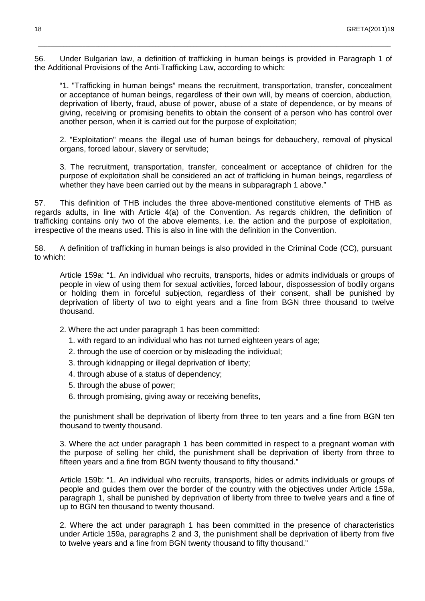56. Under Bulgarian law, a definition of trafficking in human beings is provided in Paragraph 1 of the Additional Provisions of the Anti-Trafficking Law, according to which:

\_\_\_\_\_\_\_\_\_\_\_\_\_\_\_\_\_\_\_\_\_\_\_\_\_\_\_\_\_\_\_\_\_\_\_\_\_\_\_\_\_\_\_\_\_\_\_\_\_\_\_\_\_\_\_\_\_\_\_\_\_\_\_\_\_\_\_\_\_\_\_\_\_\_\_\_\_\_\_\_\_\_\_\_\_\_\_\_\_\_\_\_\_\_\_\_\_\_\_\_\_\_\_\_\_\_\_\_\_\_\_

"1. "Trafficking in human beings" means the recruitment, transportation, transfer, concealment or acceptance of human beings, regardless of their own will, by means of coercion, abduction, deprivation of liberty, fraud, abuse of power, abuse of a state of dependence, or by means of giving, receiving or promising benefits to obtain the consent of a person who has control over another person, when it is carried out for the purpose of exploitation;

2. "Exploitation" means the illegal use of human beings for debauchery, removal of physical organs, forced labour, slavery or servitude;

3. The recruitment, transportation, transfer, concealment or acceptance of children for the purpose of exploitation shall be considered an act of trafficking in human beings, regardless of whether they have been carried out by the means in subparagraph 1 above."

57. This definition of THB includes the three above-mentioned constitutive elements of THB as regards adults, in line with Article 4(a) of the Convention. As regards children, the definition of trafficking contains only two of the above elements, i.e. the action and the purpose of exploitation, irrespective of the means used. This is also in line with the definition in the Convention.

58. A definition of trafficking in human beings is also provided in the Criminal Code (CC), pursuant to which:

Article 159a: "1. An individual who recruits, transports, hides or admits individuals or groups of people in view of using them for sexual activities, forced labour, dispossession of bodily organs or holding them in forceful subjection, regardless of their consent, shall be punished by deprivation of liberty of two to eight years and a fine from BGN three thousand to twelve thousand.

- 2. Where the act under paragraph 1 has been committed:
	- 1. with regard to an individual who has not turned eighteen years of age;
	- 2. through the use of coercion or by misleading the individual;
	- 3. through kidnapping or illegal deprivation of liberty;
	- 4. through abuse of a status of dependency;
	- 5. through the abuse of power;
	- 6. through promising, giving away or receiving benefits,

the punishment shall be deprivation of liberty from three to ten years and a fine from BGN ten thousand to twenty thousand.

3. Where the act under paragraph 1 has been committed in respect to a pregnant woman with the purpose of selling her child, the punishment shall be deprivation of liberty from three to fifteen years and a fine from BGN twenty thousand to fifty thousand."

Article 159b: "1. An individual who recruits, transports, hides or admits individuals or groups of people and guides them over the border of the country with the objectives under Article 159a, paragraph 1, shall be punished by deprivation of liberty from three to twelve years and a fine of up to BGN ten thousand to twenty thousand.

2. Where the act under paragraph 1 has been committed in the presence of characteristics under Article 159a, paragraphs 2 and 3, the punishment shall be deprivation of liberty from five to twelve years and a fine from BGN twenty thousand to fifty thousand."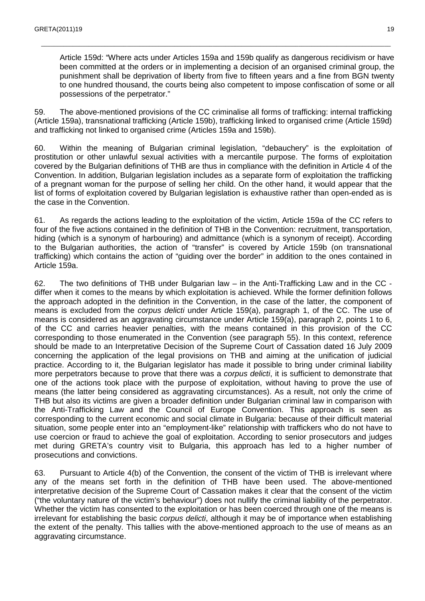Article 159d: "Where acts under Articles 159a and 159b qualify as dangerous recidivism or have been committed at the orders or in implementing a decision of an organised criminal group, the punishment shall be deprivation of liberty from five to fifteen years and a fine from BGN twenty to one hundred thousand, the courts being also competent to impose confiscation of some or all possessions of the perpetrator."

59. The above-mentioned provisions of the CC criminalise all forms of trafficking: internal trafficking (Article 159a), transnational trafficking (Article 159b), trafficking linked to organised crime (Article 159d) and trafficking not linked to organised crime (Articles 159a and 159b).

\_\_\_\_\_\_\_\_\_\_\_\_\_\_\_\_\_\_\_\_\_\_\_\_\_\_\_\_\_\_\_\_\_\_\_\_\_\_\_\_\_\_\_\_\_\_\_\_\_\_\_\_\_\_\_\_\_\_\_\_\_\_\_\_\_\_\_\_\_\_\_\_\_\_\_\_\_\_\_\_\_\_\_\_\_\_\_\_\_\_\_\_\_\_\_\_\_\_\_\_\_\_\_\_\_\_\_\_\_\_

60. Within the meaning of Bulgarian criminal legislation, "debauchery" is the exploitation of prostitution or other unlawful sexual activities with a mercantile purpose. The forms of exploitation covered by the Bulgarian definitions of THB are thus in compliance with the definition in Article 4 of the Convention. In addition, Bulgarian legislation includes as a separate form of exploitation the trafficking of a pregnant woman for the purpose of selling her child. On the other hand, it would appear that the list of forms of exploitation covered by Bulgarian legislation is exhaustive rather than open-ended as is the case in the Convention.

61. As regards the actions leading to the exploitation of the victim, Article 159a of the CC refers to four of the five actions contained in the definition of THB in the Convention: recruitment, transportation, hiding (which is a synonym of harbouring) and admittance (which is a synonym of receipt). According to the Bulgarian authorities, the action of "transfer" is covered by Article 159b (on transnational trafficking) which contains the action of "guiding over the border" in addition to the ones contained in Article 159a.

62. The two definitions of THB under Bulgarian law – in the Anti-Trafficking Law and in the CC differ when it comes to the means by which exploitation is achieved. While the former definition follows the approach adopted in the definition in the Convention, in the case of the latter, the component of means is excluded from the *corpus delicti* under Article 159(a), paragraph 1, of the CC. The use of means is considered as an aggravating circumstance under Article 159(a), paragraph 2, points 1 to 6, of the CC and carries heavier penalties, with the means contained in this provision of the CC corresponding to those enumerated in the Convention (see paragraph 55). In this context, reference should be made to an Interpretative Decision of the Supreme Court of Cassation dated 16 July 2009 concerning the application of the legal provisions on THB and aiming at the unification of judicial practice. According to it, the Bulgarian legislator has made it possible to bring under criminal liability more perpetrators because to prove that there was a corpus delicti, it is sufficient to demonstrate that one of the actions took place with the purpose of exploitation, without having to prove the use of means (the latter being considered as aggravating circumstances). As a result, not only the crime of THB but also its victims are given a broader definition under Bulgarian criminal law in comparison with the Anti-Trafficking Law and the Council of Europe Convention. This approach is seen as corresponding to the current economic and social climate in Bulgaria: because of their difficult material situation, some people enter into an "employment-like" relationship with traffickers who do not have to use coercion or fraud to achieve the goal of exploitation. According to senior prosecutors and judges met during GRETA's country visit to Bulgaria, this approach has led to a higher number of prosecutions and convictions.

63. Pursuant to Article 4(b) of the Convention, the consent of the victim of THB is irrelevant where any of the means set forth in the definition of THB have been used. The above-mentioned interpretative decision of the Supreme Court of Cassation makes it clear that the consent of the victim ("the voluntary nature of the victim's behaviour") does not nullify the criminal liability of the perpetrator. Whether the victim has consented to the exploitation or has been coerced through one of the means is irrelevant for establishing the basic corpus delicti, although it may be of importance when establishing the extent of the penalty. This tallies with the above-mentioned approach to the use of means as an aggravating circumstance.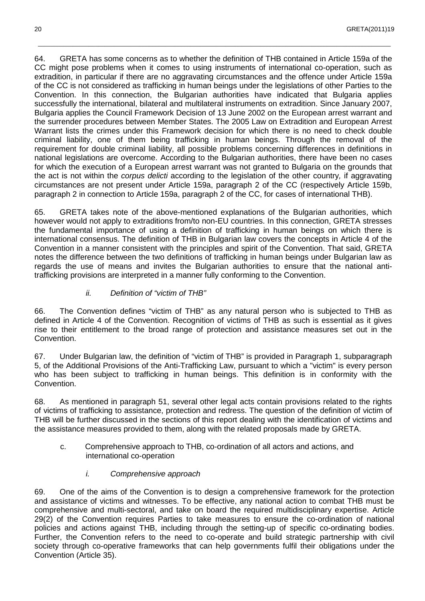64. GRETA has some concerns as to whether the definition of THB contained in Article 159a of the CC might pose problems when it comes to using instruments of international co-operation, such as extradition, in particular if there are no aggravating circumstances and the offence under Article 159a of the CC is not considered as trafficking in human beings under the legislations of other Parties to the Convention. In this connection, the Bulgarian authorities have indicated that Bulgaria applies successfully the international, bilateral and multilateral instruments on extradition. Since January 2007, Bulgaria applies the Council Framework Decision of 13 June 2002 on the European arrest warrant and the surrender procedures between Member States. The 2005 Law on Extradition and European Arrest Warrant lists the crimes under this Framework decision for which there is no need to check double criminal liability, one of them being trafficking in human beings. Through the removal of the requirement for double criminal liability, all possible problems concerning differences in definitions in national legislations are overcome. According to the Bulgarian authorities, there have been no cases for which the execution of a European arrest warrant was not granted to Bulgaria on the grounds that the act is not within the corpus delicti according to the legislation of the other country, if aggravating circumstances are not present under Article 159a, paragraph 2 of the CC (respectively Article 159b, paragraph 2 in connection to Article 159a, paragraph 2 of the CC, for cases of international THB).

\_\_\_\_\_\_\_\_\_\_\_\_\_\_\_\_\_\_\_\_\_\_\_\_\_\_\_\_\_\_\_\_\_\_\_\_\_\_\_\_\_\_\_\_\_\_\_\_\_\_\_\_\_\_\_\_\_\_\_\_\_\_\_\_\_\_\_\_\_\_\_\_\_\_\_\_\_\_\_\_\_\_\_\_\_\_\_\_\_\_\_\_\_\_\_\_\_\_\_\_\_\_\_\_\_\_\_\_\_\_\_

65. GRETA takes note of the above-mentioned explanations of the Bulgarian authorities, which however would not apply to extraditions from/to non-EU countries. In this connection, GRETA stresses the fundamental importance of using a definition of trafficking in human beings on which there is international consensus. The definition of THB in Bulgarian law covers the concepts in Article 4 of the Convention in a manner consistent with the principles and spirit of the Convention. That said, GRETA notes the difference between the two definitions of trafficking in human beings under Bulgarian law as regards the use of means and invites the Bulgarian authorities to ensure that the national antitrafficking provisions are interpreted in a manner fully conforming to the Convention.

ii. Definition of "victim of THB"

66. The Convention defines "victim of THB" as any natural person who is subjected to THB as defined in Article 4 of the Convention. Recognition of victims of THB as such is essential as it gives rise to their entitlement to the broad range of protection and assistance measures set out in the Convention.

67. Under Bulgarian law, the definition of "victim of THB" is provided in Paragraph 1, subparagraph 5, of the Additional Provisions of the Anti-Trafficking Law, pursuant to which a "victim" is every person who has been subject to trafficking in human beings. This definition is in conformity with the Convention.

68. As mentioned in paragraph 51, several other legal acts contain provisions related to the rights of victims of trafficking to assistance, protection and redress. The question of the definition of victim of THB will be further discussed in the sections of this report dealing with the identification of victims and the assistance measures provided to them, along with the related proposals made by GRETA.

- c. Comprehensive approach to THB, co-ordination of all actors and actions, and international co-operation
	- i. Comprehensive approach

69. One of the aims of the Convention is to design a comprehensive framework for the protection and assistance of victims and witnesses. To be effective, any national action to combat THB must be comprehensive and multi-sectoral, and take on board the required multidisciplinary expertise. Article 29(2) of the Convention requires Parties to take measures to ensure the co-ordination of national policies and actions against THB, including through the setting-up of specific co-ordinating bodies. Further, the Convention refers to the need to co-operate and build strategic partnership with civil society through co-operative frameworks that can help governments fulfil their obligations under the Convention (Article 35).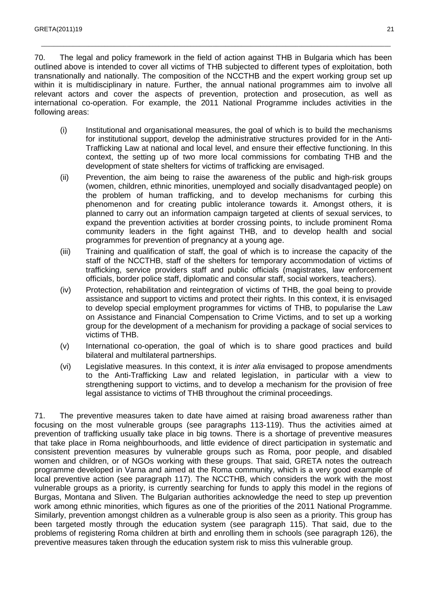70. The legal and policy framework in the field of action against THB in Bulgaria which has been outlined above is intended to cover all victims of THB subjected to different types of exploitation, both transnationally and nationally. The composition of the NCCTHB and the expert working group set up within it is multidisciplinary in nature. Further, the annual national programmes aim to involve all relevant actors and cover the aspects of prevention, protection and prosecution, as well as international co-operation. For example, the 2011 National Programme includes activities in the following areas:

\_\_\_\_\_\_\_\_\_\_\_\_\_\_\_\_\_\_\_\_\_\_\_\_\_\_\_\_\_\_\_\_\_\_\_\_\_\_\_\_\_\_\_\_\_\_\_\_\_\_\_\_\_\_\_\_\_\_\_\_\_\_\_\_\_\_\_\_\_\_\_\_\_\_\_\_\_\_\_\_\_\_\_\_\_\_\_\_\_\_\_\_\_\_\_\_\_\_\_\_\_\_\_\_\_\_\_\_\_\_

- (i) Institutional and organisational measures, the goal of which is to build the mechanisms for institutional support, develop the administrative structures provided for in the Anti-Trafficking Law at national and local level, and ensure their effective functioning. In this context, the setting up of two more local commissions for combating THB and the development of state shelters for victims of trafficking are envisaged.
- (ii) Prevention, the aim being to raise the awareness of the public and high-risk groups (women, children, ethnic minorities, unemployed and socially disadvantaged people) on the problem of human trafficking, and to develop mechanisms for curbing this phenomenon and for creating public intolerance towards it. Amongst others, it is planned to carry out an information campaign targeted at clients of sexual services, to expand the prevention activities at border crossing points, to include prominent Roma community leaders in the fight against THB, and to develop health and social programmes for prevention of pregnancy at a young age.
- (iii) Training and qualification of staff, the goal of which is to increase the capacity of the staff of the NCCTHB, staff of the shelters for temporary accommodation of victims of trafficking, service providers staff and public officials (magistrates, law enforcement officials, border police staff, diplomatic and consular staff, social workers, teachers).
- (iv) Protection, rehabilitation and reintegration of victims of THB, the goal being to provide assistance and support to victims and protect their rights. In this context, it is envisaged to develop special employment programmes for victims of THB, to popularise the Law on Assistance and Financial Compensation to Crime Victims, and to set up a working group for the development of a mechanism for providing a package of social services to victims of THB.
- (v) International co-operation, the goal of which is to share good practices and build bilateral and multilateral partnerships.
- (vi) Legislative measures. In this context, it is inter alia envisaged to propose amendments to the Anti-Trafficking Law and related legislation, in particular with a view to strengthening support to victims, and to develop a mechanism for the provision of free legal assistance to victims of THB throughout the criminal proceedings.

71. The preventive measures taken to date have aimed at raising broad awareness rather than focusing on the most vulnerable groups (see paragraphs 113-119). Thus the activities aimed at prevention of trafficking usually take place in big towns. There is a shortage of preventive measures that take place in Roma neighbourhoods, and little evidence of direct participation in systematic and consistent prevention measures by vulnerable groups such as Roma, poor people, and disabled women and children, or of NGOs working with these groups. That said, GRETA notes the outreach programme developed in Varna and aimed at the Roma community, which is a very good example of local preventive action (see paragraph 117). The NCCTHB, which considers the work with the most vulnerable groups as a priority, is currently searching for funds to apply this model in the regions of Burgas, Montana and Sliven. The Bulgarian authorities acknowledge the need to step up prevention work among ethnic minorities, which figures as one of the priorities of the 2011 National Programme. Similarly, prevention amongst children as a vulnerable group is also seen as a priority. This group has been targeted mostly through the education system (see paragraph 115). That said, due to the problems of registering Roma children at birth and enrolling them in schools (see paragraph 126), the preventive measures taken through the education system risk to miss this vulnerable group.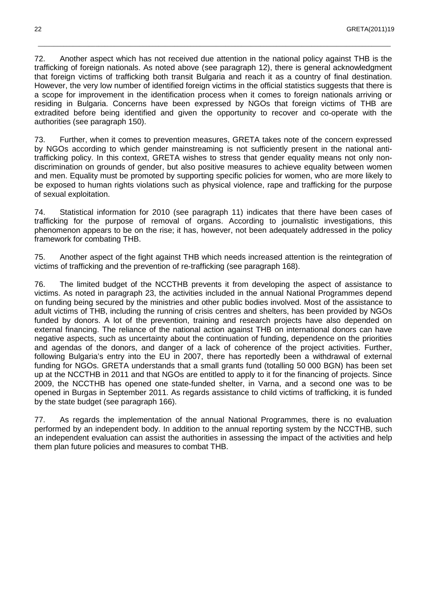72. Another aspect which has not received due attention in the national policy against THB is the trafficking of foreign nationals. As noted above (see paragraph 12), there is general acknowledgment that foreign victims of trafficking both transit Bulgaria and reach it as a country of final destination. However, the very low number of identified foreign victims in the official statistics suggests that there is a scope for improvement in the identification process when it comes to foreign nationals arriving or residing in Bulgaria. Concerns have been expressed by NGOs that foreign victims of THB are extradited before being identified and given the opportunity to recover and co-operate with the authorities (see paragraph 150).

\_\_\_\_\_\_\_\_\_\_\_\_\_\_\_\_\_\_\_\_\_\_\_\_\_\_\_\_\_\_\_\_\_\_\_\_\_\_\_\_\_\_\_\_\_\_\_\_\_\_\_\_\_\_\_\_\_\_\_\_\_\_\_\_\_\_\_\_\_\_\_\_\_\_\_\_\_\_\_\_\_\_\_\_\_\_\_\_\_\_\_\_\_\_\_\_\_\_\_\_\_\_\_\_\_\_\_\_\_\_\_

73. Further, when it comes to prevention measures, GRETA takes note of the concern expressed by NGOs according to which gender mainstreaming is not sufficiently present in the national antitrafficking policy. In this context, GRETA wishes to stress that gender equality means not only nondiscrimination on grounds of gender, but also positive measures to achieve equality between women and men. Equality must be promoted by supporting specific policies for women, who are more likely to be exposed to human rights violations such as physical violence, rape and trafficking for the purpose of sexual exploitation.

74. Statistical information for 2010 (see paragraph 11) indicates that there have been cases of trafficking for the purpose of removal of organs. According to journalistic investigations, this phenomenon appears to be on the rise; it has, however, not been adequately addressed in the policy framework for combating THB.

75. Another aspect of the fight against THB which needs increased attention is the reintegration of victims of trafficking and the prevention of re-trafficking (see paragraph 168).

76. The limited budget of the NCCTHB prevents it from developing the aspect of assistance to victims. As noted in paragraph 23, the activities included in the annual National Programmes depend on funding being secured by the ministries and other public bodies involved. Most of the assistance to adult victims of THB, including the running of crisis centres and shelters, has been provided by NGOs funded by donors. A lot of the prevention, training and research projects have also depended on external financing. The reliance of the national action against THB on international donors can have negative aspects, such as uncertainty about the continuation of funding, dependence on the priorities and agendas of the donors, and danger of a lack of coherence of the project activities. Further, following Bulgaria's entry into the EU in 2007, there has reportedly been a withdrawal of external funding for NGOs. GRETA understands that a small grants fund (totalling 50 000 BGN) has been set up at the NCCTHB in 2011 and that NGOs are entitled to apply to it for the financing of projects. Since 2009, the NCCTHB has opened one state-funded shelter, in Varna, and a second one was to be opened in Burgas in September 2011. As regards assistance to child victims of trafficking, it is funded by the state budget (see paragraph 166).

77. As regards the implementation of the annual National Programmes, there is no evaluation performed by an independent body. In addition to the annual reporting system by the NCCTHB, such an independent evaluation can assist the authorities in assessing the impact of the activities and help them plan future policies and measures to combat THB.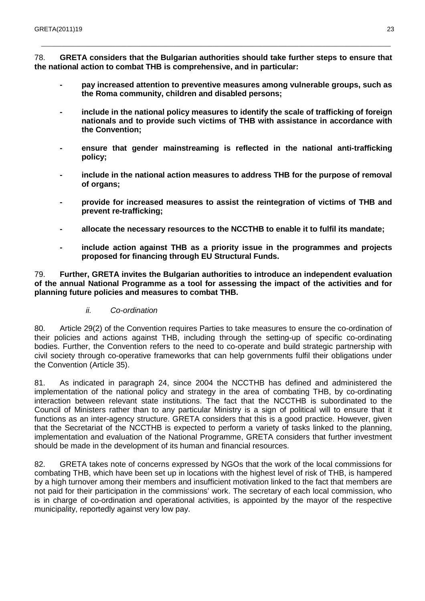78. **GRETA considers that the Bulgarian authorities should take further steps to ensure that the national action to combat THB is comprehensive, and in particular:**

\_\_\_\_\_\_\_\_\_\_\_\_\_\_\_\_\_\_\_\_\_\_\_\_\_\_\_\_\_\_\_\_\_\_\_\_\_\_\_\_\_\_\_\_\_\_\_\_\_\_\_\_\_\_\_\_\_\_\_\_\_\_\_\_\_\_\_\_\_\_\_\_\_\_\_\_\_\_\_\_\_\_\_\_\_\_\_\_\_\_\_\_\_\_\_\_\_\_\_\_\_\_\_\_\_\_\_\_\_\_

- **pay increased attention to preventive measures among vulnerable groups, such as the Roma community, children and disabled persons;**
- **include in the national policy measures to identify the scale of trafficking of foreign nationals and to provide such victims of THB with assistance in accordance with the Convention;**
- **ensure that gender mainstreaming is reflected in the national anti-trafficking policy;**
- **include in the national action measures to address THB for the purpose of removal of organs;**
- **provide for increased measures to assist the reintegration of victims of THB and prevent re-trafficking;**
- **allocate the necessary resources to the NCCTHB to enable it to fulfil its mandate;**
- **include action against THB as a priority issue in the programmes and projects proposed for financing through EU Structural Funds.**

79. **Further, GRETA invites the Bulgarian authorities to introduce an independent evaluation of the annual National Programme as a tool for assessing the impact of the activities and for planning future policies and measures to combat THB.** 

ii. Co-ordination

80. Article 29(2) of the Convention requires Parties to take measures to ensure the co-ordination of their policies and actions against THB, including through the setting-up of specific co-ordinating bodies. Further, the Convention refers to the need to co-operate and build strategic partnership with civil society through co-operative frameworks that can help governments fulfil their obligations under the Convention (Article 35).

81. As indicated in paragraph 24, since 2004 the NCCTHB has defined and administered the implementation of the national policy and strategy in the area of combating THB, by co-ordinating interaction between relevant state institutions. The fact that the NCCTHB is subordinated to the Council of Ministers rather than to any particular Ministry is a sign of political will to ensure that it functions as an inter-agency structure. GRETA considers that this is a good practice. However, given that the Secretariat of the NCCTHB is expected to perform a variety of tasks linked to the planning, implementation and evaluation of the National Programme, GRETA considers that further investment should be made in the development of its human and financial resources.

82. GRETA takes note of concerns expressed by NGOs that the work of the local commissions for combating THB, which have been set up in locations with the highest level of risk of THB, is hampered by a high turnover among their members and insufficient motivation linked to the fact that members are not paid for their participation in the commissions' work. The secretary of each local commission, who is in charge of co-ordination and operational activities, is appointed by the mayor of the respective municipality, reportedly against very low pay.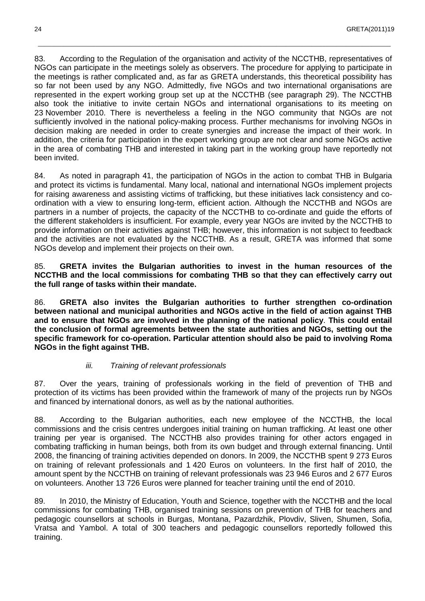83. According to the Regulation of the organisation and activity of the NCCTHB, representatives of NGOs can participate in the meetings solely as observers. The procedure for applying to participate in the meetings is rather complicated and, as far as GRETA understands, this theoretical possibility has so far not been used by any NGO. Admittedly, five NGOs and two international organisations are represented in the expert working group set up at the NCCTHB (see paragraph 29). The NCCTHB also took the initiative to invite certain NGOs and international organisations to its meeting on 23 November 2010. There is nevertheless a feeling in the NGO community that NGOs are not sufficiently involved in the national policy-making process. Further mechanisms for involving NGOs in decision making are needed in order to create synergies and increase the impact of their work. In addition, the criteria for participation in the expert working group are not clear and some NGOs active in the area of combating THB and interested in taking part in the working group have reportedly not been invited.

\_\_\_\_\_\_\_\_\_\_\_\_\_\_\_\_\_\_\_\_\_\_\_\_\_\_\_\_\_\_\_\_\_\_\_\_\_\_\_\_\_\_\_\_\_\_\_\_\_\_\_\_\_\_\_\_\_\_\_\_\_\_\_\_\_\_\_\_\_\_\_\_\_\_\_\_\_\_\_\_\_\_\_\_\_\_\_\_\_\_\_\_\_\_\_\_\_\_\_\_\_\_\_\_\_\_\_\_\_\_\_

84. As noted in paragraph 41, the participation of NGOs in the action to combat THB in Bulgaria and protect its victims is fundamental. Many local, national and international NGOs implement projects for raising awareness and assisting victims of trafficking, but these initiatives lack consistency and coordination with a view to ensuring long-term, efficient action. Although the NCCTHB and NGOs are partners in a number of projects, the capacity of the NCCTHB to co-ordinate and guide the efforts of the different stakeholders is insufficient. For example, every year NGOs are invited by the NCCTHB to provide information on their activities against THB; however, this information is not subject to feedback and the activities are not evaluated by the NCCTHB. As a result, GRETA was informed that some NGOs develop and implement their projects on their own.

85. **GRETA invites the Bulgarian authorities to invest in the human resources of the NCCTHB and the local commissions for combating THB so that they can effectively carry out the full range of tasks within their mandate.** 

86. **GRETA also invites the Bulgarian authorities to further strengthen co-ordination between national and municipal authorities and NGOs active in the field of action against THB and to ensure that NGOs are involved in the planning of the national policy**. **This could entail the conclusion of formal agreements between the state authorities and NGOs, setting out the specific framework for co-operation. Particular attention should also be paid to involving Roma NGOs in the fight against THB.** 

#### iii. Training of relevant professionals

87. Over the years, training of professionals working in the field of prevention of THB and protection of its victims has been provided within the framework of many of the projects run by NGOs and financed by international donors, as well as by the national authorities.

88. According to the Bulgarian authorities, each new employee of the NCCTHB, the local commissions and the crisis centres undergoes initial training on human trafficking. At least one other training per year is organised. The NCCTHB also provides training for other actors engaged in combating trafficking in human beings, both from its own budget and through external financing. Until 2008, the financing of training activities depended on donors. In 2009, the NCCTHB spent 9 273 Euros on training of relevant professionals and 1 420 Euros on volunteers. In the first half of 2010, the amount spent by the NCCTHB on training of relevant professionals was 23 946 Euros and 2 677 Euros on volunteers. Another 13 726 Euros were planned for teacher training until the end of 2010.

89. In 2010, the Ministry of Education, Youth and Science, together with the NCCTHB and the local commissions for combating THB, organised training sessions on prevention of THB for teachers and pedagogic counsellors at schools in Burgas, Montana, Pazardzhik, Plovdiv, Sliven, Shumen, Sofia, Vratsa and Yambol. A total of 300 teachers and pedagogic counsellors reportedly followed this training.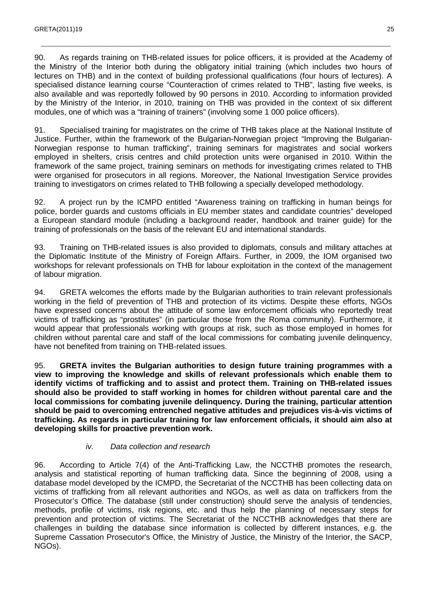90. As regards training on THB-related issues for police officers, it is provided at the Academy of the Ministry of the Interior both during the obligatory initial training (which includes two hours of lectures on THB) and in the context of building professional qualifications (four hours of lectures). A specialised distance learning course "Counteraction of crimes related to THB", lasting five weeks, is also available and was reportedly followed by 90 persons in 2010. According to information provided by the Ministry of the Interior, in 2010, training on THB was provided in the context of six different modules, one of which was a "training of trainers" (involving some 1 000 police officers).

\_\_\_\_\_\_\_\_\_\_\_\_\_\_\_\_\_\_\_\_\_\_\_\_\_\_\_\_\_\_\_\_\_\_\_\_\_\_\_\_\_\_\_\_\_\_\_\_\_\_\_\_\_\_\_\_\_\_\_\_\_\_\_\_\_\_\_\_\_\_\_\_\_\_\_\_\_\_\_\_\_\_\_\_\_\_\_\_\_\_\_\_\_\_\_\_\_\_\_\_\_\_\_\_\_\_\_\_\_\_

91. Specialised training for magistrates on the crime of THB takes place at the National Institute of Justice. Further, within the framework of the Bulgarian-Norwegian project "Improving the Bulgarian-Norwegian response to human trafficking", training seminars for magistrates and social workers employed in shelters, crisis centres and child protection units were organised in 2010. Within the framework of the same project, training seminars on methods for investigating crimes related to THB were organised for prosecutors in all regions. Moreover, the National Investigation Service provides training to investigators on crimes related to THB following a specially developed methodology.

92. A project run by the ICMPD entitled "Awareness training on trafficking in human beings for police, border guards and customs officials in EU member states and candidate countries" developed a European standard module (including a background reader, handbook and trainer guide) for the training of professionals on the basis of the relevant EU and international standards.

93. Training on THB-related issues is also provided to diplomats, consuls and military attaches at the Diplomatic Institute of the Ministry of Foreign Affairs. Further, in 2009, the IOM organised two workshops for relevant professionals on THB for labour exploitation in the context of the management of labour migration.

94. GRETA welcomes the efforts made by the Bulgarian authorities to train relevant professionals working in the field of prevention of THB and protection of its victims. Despite these efforts, NGOs have expressed concerns about the attitude of some law enforcement officials who reportedly treat victims of trafficking as "prostitutes" (in particular those from the Roma community). Furthermore, it would appear that professionals working with groups at risk, such as those employed in homes for children without parental care and staff of the local commissions for combating juvenile delinquency, have not benefited from training on THB-related issues.

95. **GRETA invites the Bulgarian authorities to design future training programmes with a view to improving the knowledge and skills of relevant professionals which enable them to identify victims of trafficking and to assist and protect them. Training on THB-related issues should also be provided to staff working in homes for children without parental care and the local commissions for combating juvenile delinquency. During the training, particular attention should be paid to overcoming entrenched negative attitudes and prejudices vis-à-vis victims of trafficking. As regards in particular training for law enforcement officials, it should aim also at developing skills for proactive prevention work.** 

#### iv. Data collection and research

96. According to Article 7(4) of the Anti-Trafficking Law, the NCCTHB promotes the research, analysis and statistical reporting of human trafficking data. Since the beginning of 2008, using a database model developed by the ICMPD, the Secretariat of the NCCTHB has been collecting data on victims of trafficking from all relevant authorities and NGOs, as well as data on traffickers from the Prosecutor's Office. The database (still under construction) should serve the analysis of tendencies, methods, profile of victims, risk regions, etc. and thus help the planning of necessary steps for prevention and protection of victims. The Secretariat of the NCCTHB acknowledges that there are challenges in building the database since information is collected by different instances, e.g. the Supreme Cassation Prosecutor's Office, the Ministry of Justice, the Ministry of the Interior, the SACP, NGOs).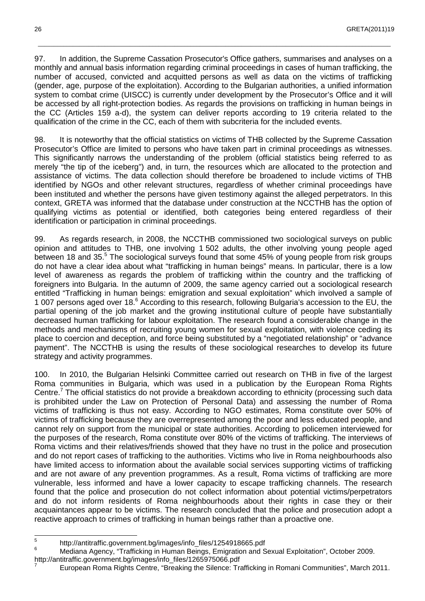97. In addition, the Supreme Cassation Prosecutor's Office gathers, summarises and analyses on a monthly and annual basis information regarding criminal proceedings in cases of human trafficking, the number of accused, convicted and acquitted persons as well as data on the victims of trafficking (gender, age, purpose of the exploitation). According to the Bulgarian authorities, a unified information system to combat crime (UISCC) is currently under development by the Prosecutor's Office and it will be accessed by all right-protection bodies. As regards the provisions on trafficking in human beings in the CC (Articles 159 a-d), the system can deliver reports according to 19 criteria related to the qualification of the crime in the CC, each of them with subcriteria for the included events.

\_\_\_\_\_\_\_\_\_\_\_\_\_\_\_\_\_\_\_\_\_\_\_\_\_\_\_\_\_\_\_\_\_\_\_\_\_\_\_\_\_\_\_\_\_\_\_\_\_\_\_\_\_\_\_\_\_\_\_\_\_\_\_\_\_\_\_\_\_\_\_\_\_\_\_\_\_\_\_\_\_\_\_\_\_\_\_\_\_\_\_\_\_\_\_\_\_\_\_\_\_\_\_\_\_\_\_\_\_\_\_

98. It is noteworthy that the official statistics on victims of THB collected by the Supreme Cassation Prosecutor's Office are limited to persons who have taken part in criminal proceedings as witnesses. This significantly narrows the understanding of the problem (official statistics being referred to as merely "the tip of the iceberg") and, in turn, the resources which are allocated to the protection and assistance of victims. The data collection should therefore be broadened to include victims of THB identified by NGOs and other relevant structures, regardless of whether criminal proceedings have been instituted and whether the persons have given testimony against the alleged perpetrators. In this context, GRETA was informed that the database under construction at the NCCTHB has the option of qualifying victims as potential or identified, both categories being entered regardless of their identification or participation in criminal proceedings.

99. As regards research, in 2008, the NCCTHB commissioned two sociological surveys on public opinion and attitudes to THB, one involving 1 502 adults, the other involving young people aged between 18 and 35.<sup>5</sup> The sociological surveys found that some 45% of young people from risk groups do not have a clear idea about what "trafficking in human beings" means. In particular, there is a low level of awareness as regards the problem of trafficking within the country and the trafficking of foreigners into Bulgaria. In the autumn of 2009, the same agency carried out a sociological research entitled "Trafficking in human beings: emigration and sexual exploitation" which involved a sample of 1 007 persons aged over 18.<sup>6</sup> According to this research, following Bulgaria's accession to the EU, the partial opening of the job market and the growing institutional culture of people have substantially decreased human trafficking for labour exploitation. The research found a considerable change in the methods and mechanisms of recruiting young women for sexual exploitation, with violence ceding its place to coercion and deception, and force being substituted by a "negotiated relationship" or "advance payment". The NCCTHB is using the results of these sociological researches to develop its future strategy and activity programmes.

100. In 2010, the Bulgarian Helsinki Committee carried out research on THB in five of the largest Roma communities in Bulgaria, which was used in a publication by the European Roma Rights Centre.<sup>7</sup> The official statistics do not provide a breakdown according to ethnicity (processing such data is prohibited under the Law on Protection of Personal Data) and assessing the number of Roma victims of trafficking is thus not easy. According to NGO estimates, Roma constitute over 50% of victims of trafficking because they are overrepresented among the poor and less educated people, and cannot rely on support from the municipal or state authorities. According to policemen interviewed for the purposes of the research, Roma constitute over 80% of the victims of trafficking. The interviews of Roma victims and their relatives/friends showed that they have no trust in the police and prosecution and do not report cases of trafficking to the authorities. Victims who live in Roma neighbourhoods also have limited access to information about the available social services supporting victims of trafficking and are not aware of any prevention programmes. As a result, Roma victims of trafficking are more vulnerable, less informed and have a lower capacity to escape trafficking channels. The research found that the police and prosecution do not collect information about potential victims/perpetrators and do not inform residents of Roma neighbourhoods about their rights in case they or their acquaintances appear to be victims. The research concluded that the police and prosecution adopt a reactive approach to crimes of trafficking in human beings rather than a proactive one.

 5 http://antitraffic.government.bg/images/info\_files/1254918665.pdf

<sup>6</sup> Mediana Agency, "Trafficking in Human Beings, Emigration and Sexual Exploitation", October 2009.

http://antitraffic.government.bg/images/info\_files/1265975066.pdf 7

European Roma Rights Centre, "Breaking the Silence: Trafficking in Romani Communities", March 2011.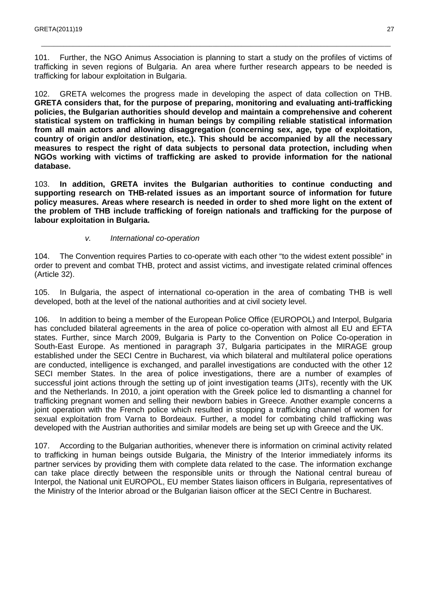101. Further, the NGO Animus Association is planning to start a study on the profiles of victims of trafficking in seven regions of Bulgaria. An area where further research appears to be needed is trafficking for labour exploitation in Bulgaria.

\_\_\_\_\_\_\_\_\_\_\_\_\_\_\_\_\_\_\_\_\_\_\_\_\_\_\_\_\_\_\_\_\_\_\_\_\_\_\_\_\_\_\_\_\_\_\_\_\_\_\_\_\_\_\_\_\_\_\_\_\_\_\_\_\_\_\_\_\_\_\_\_\_\_\_\_\_\_\_\_\_\_\_\_\_\_\_\_\_\_\_\_\_\_\_\_\_\_\_\_\_\_\_\_\_\_\_\_\_\_

102. GRETA welcomes the progress made in developing the aspect of data collection on THB. **GRETA considers that, for the purpose of preparing, monitoring and evaluating anti-trafficking policies, the Bulgarian authorities should develop and maintain a comprehensive and coherent statistical system on trafficking in human beings by compiling reliable statistical information from all main actors and allowing disaggregation (concerning sex, age, type of exploitation, country of origin and/or destination, etc.). This should be accompanied by all the necessary measures to respect the right of data subjects to personal data protection, including when NGOs working with victims of trafficking are asked to provide information for the national database.**

103. **In addition, GRETA invites the Bulgarian authorities to continue conducting and supporting research on THB-related issues as an important source of information for future policy measures. Areas where research is needed in order to shed more light on the extent of the problem of THB include trafficking of foreign nationals and trafficking for the purpose of labour exploitation in Bulgaria.** 

#### v. International co-operation

104. The Convention requires Parties to co-operate with each other "to the widest extent possible" in order to prevent and combat THB, protect and assist victims, and investigate related criminal offences (Article 32).

105. In Bulgaria, the aspect of international co-operation in the area of combating THB is well developed, both at the level of the national authorities and at civil society level.

106. In addition to being a member of the European Police Office (EUROPOL) and Interpol, Bulgaria has concluded bilateral agreements in the area of police co-operation with almost all EU and EFTA states. Further, since March 2009, Bulgaria is Party to the Convention on Police Co-operation in South-East Europe. As mentioned in paragraph 37, Bulgaria participates in the MIRAGE group established under the SECI Centre in Bucharest, via which bilateral and multilateral police operations are conducted, intelligence is exchanged, and parallel investigations are conducted with the other 12 SECI member States. In the area of police investigations, there are a number of examples of successful joint actions through the setting up of joint investigation teams (JITs), recently with the UK and the Netherlands. In 2010, a joint operation with the Greek police led to dismantling a channel for trafficking pregnant women and selling their newborn babies in Greece. Another example concerns a joint operation with the French police which resulted in stopping a trafficking channel of women for sexual exploitation from Varna to Bordeaux. Further, a model for combating child trafficking was developed with the Austrian authorities and similar models are being set up with Greece and the UK.

107. According to the Bulgarian authorities, whenever there is information on criminal activity related to trafficking in human beings outside Bulgaria, the Ministry of the Interior immediately informs its partner services by providing them with complete data related to the case. The information exchange can take place directly between the responsible units or through the National central bureau of Interpol, the National unit EUROPOL, EU member States liaison officers in Bulgaria, representatives of the Ministry of the Interior abroad or the Bulgarian liaison officer at the SECI Centre in Bucharest.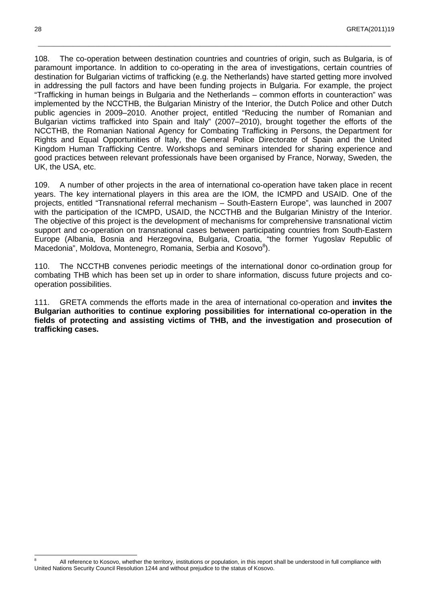108. The co-operation between destination countries and countries of origin, such as Bulgaria, is of paramount importance. In addition to co-operating in the area of investigations, certain countries of destination for Bulgarian victims of trafficking (e.g. the Netherlands) have started getting more involved in addressing the pull factors and have been funding projects in Bulgaria. For example, the project "Trafficking in human beings in Bulgaria and the Netherlands – common efforts in counteraction" was implemented by the NCCTHB, the Bulgarian Ministry of the Interior, the Dutch Police and other Dutch public agencies in 2009–2010. Another project, entitled "Reducing the number of Romanian and Bulgarian victims trafficked into Spain and Italy" (2007–2010), brought together the efforts of the NCCTHB, the Romanian National Agency for Combating Trafficking in Persons, the Department for Rights and Equal Opportunities of Italy, the General Police Directorate of Spain and the United Kingdom Human Trafficking Centre. Workshops and seminars intended for sharing experience and good practices between relevant professionals have been organised by France, Norway, Sweden, the UK, the USA, etc.

\_\_\_\_\_\_\_\_\_\_\_\_\_\_\_\_\_\_\_\_\_\_\_\_\_\_\_\_\_\_\_\_\_\_\_\_\_\_\_\_\_\_\_\_\_\_\_\_\_\_\_\_\_\_\_\_\_\_\_\_\_\_\_\_\_\_\_\_\_\_\_\_\_\_\_\_\_\_\_\_\_\_\_\_\_\_\_\_\_\_\_\_\_\_\_\_\_\_\_\_\_\_\_\_\_\_\_\_\_\_\_

109. A number of other projects in the area of international co-operation have taken place in recent years. The key international players in this area are the IOM, the ICMPD and USAID. One of the projects, entitled "Transnational referral mechanism – South-Eastern Europe", was launched in 2007 with the participation of the ICMPD, USAID, the NCCTHB and the Bulgarian Ministry of the Interior. The objective of this project is the development of mechanisms for comprehensive transnational victim support and co-operation on transnational cases between participating countries from South-Eastern Europe (Albania, Bosnia and Herzegovina, Bulgaria, Croatia, "the former Yugoslav Republic of Macedonia", Moldova, Montenegro, Romania, Serbia and Kosovo<sup>8</sup>).

110. The NCCTHB convenes periodic meetings of the international donor co-ordination group for combating THB which has been set up in order to share information, discuss future projects and cooperation possibilities.

111. GRETA commends the efforts made in the area of international co-operation and **invites the Bulgarian authorities to continue exploring possibilities for international co-operation in the fields of protecting and assisting victims of THB, and the investigation and prosecution of trafficking cases.**

 $\overline{a}$ 8 All reference to Kosovo, whether the territory, institutions or population, in this report shall be understood in full compliance with United Nations Security Council Resolution 1244 and without prejudice to the status of Kosovo.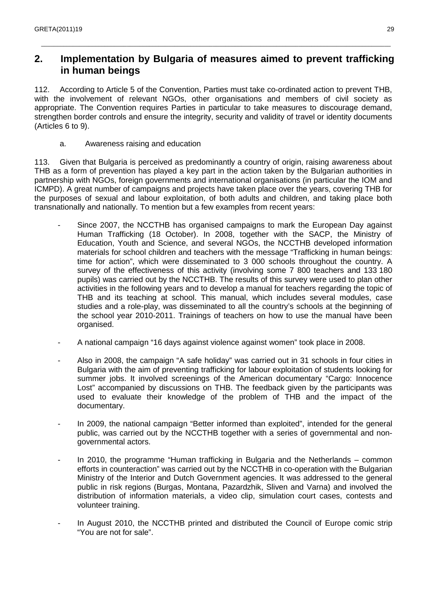## **2. Implementation by Bulgaria of measures aimed to prevent trafficking in human beings**

\_\_\_\_\_\_\_\_\_\_\_\_\_\_\_\_\_\_\_\_\_\_\_\_\_\_\_\_\_\_\_\_\_\_\_\_\_\_\_\_\_\_\_\_\_\_\_\_\_\_\_\_\_\_\_\_\_\_\_\_\_\_\_\_\_\_\_\_\_\_\_\_\_\_\_\_\_\_\_\_\_\_\_\_\_\_\_\_\_\_\_\_\_\_\_\_\_\_\_\_\_\_\_\_\_\_\_\_\_\_

112. According to Article 5 of the Convention, Parties must take co-ordinated action to prevent THB, with the involvement of relevant NGOs, other organisations and members of civil society as appropriate. The Convention requires Parties in particular to take measures to discourage demand, strengthen border controls and ensure the integrity, security and validity of travel or identity documents (Articles 6 to 9).

a. Awareness raising and education

113. Given that Bulgaria is perceived as predominantly a country of origin, raising awareness about THB as a form of prevention has played a key part in the action taken by the Bulgarian authorities in partnership with NGOs, foreign governments and international organisations (in particular the IOM and ICMPD). A great number of campaigns and projects have taken place over the years, covering THB for the purposes of sexual and labour exploitation, of both adults and children, and taking place both transnationally and nationally. To mention but a few examples from recent years:

- Since 2007, the NCCTHB has organised campaigns to mark the European Day against Human Trafficking (18 October). In 2008, together with the SACP, the Ministry of Education, Youth and Science, and several NGOs, the NCCTHB developed information materials for school children and teachers with the message "Trafficking in human beings: time for action", which were disseminated to 3 000 schools throughout the country. A survey of the effectiveness of this activity (involving some 7 800 teachers and 133 180 pupils) was carried out by the NCCTHB. The results of this survey were used to plan other activities in the following years and to develop a manual for teachers regarding the topic of THB and its teaching at school. This manual, which includes several modules, case studies and a role-play, was disseminated to all the country's schools at the beginning of the school year 2010-2011. Trainings of teachers on how to use the manual have been organised.
- A national campaign "16 days against violence against women" took place in 2008.
- Also in 2008, the campaign "A safe holiday" was carried out in 31 schools in four cities in Bulgaria with the aim of preventing trafficking for labour exploitation of students looking for summer jobs. It involved screenings of the American documentary "Cargo: Innocence Lost" accompanied by discussions on THB. The feedback given by the participants was used to evaluate their knowledge of the problem of THB and the impact of the documentary.
- In 2009, the national campaign "Better informed than exploited", intended for the general public, was carried out by the NCCTHB together with a series of governmental and nongovernmental actors.
- In 2010, the programme "Human trafficking in Bulgaria and the Netherlands  $-$  common efforts in counteraction" was carried out by the NCCTHB in co-operation with the Bulgarian Ministry of the Interior and Dutch Government agencies. It was addressed to the general public in risk regions (Burgas, Montana, Pazardzhik, Sliven and Varna) and involved the distribution of information materials, a video clip, simulation court cases, contests and volunteer training.
- In August 2010, the NCCTHB printed and distributed the Council of Europe comic strip "You are not for sale".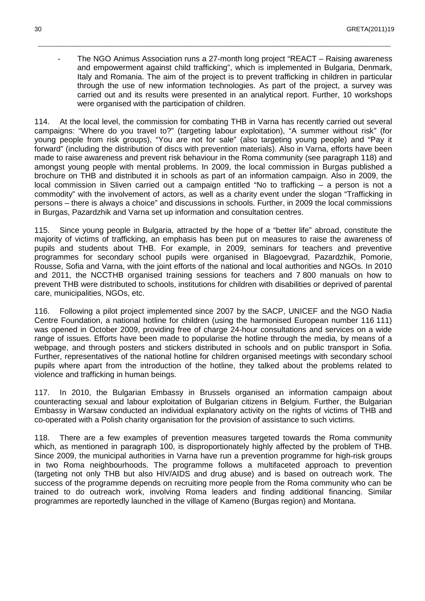The NGO Animus Association runs a 27-month long project "REACT – Raising awareness" and empowerment against child trafficking", which is implemented in Bulgaria, Denmark, Italy and Romania. The aim of the project is to prevent trafficking in children in particular through the use of new information technologies. As part of the project, a survey was carried out and its results were presented in an analytical report. Further, 10 workshops were organised with the participation of children.

\_\_\_\_\_\_\_\_\_\_\_\_\_\_\_\_\_\_\_\_\_\_\_\_\_\_\_\_\_\_\_\_\_\_\_\_\_\_\_\_\_\_\_\_\_\_\_\_\_\_\_\_\_\_\_\_\_\_\_\_\_\_\_\_\_\_\_\_\_\_\_\_\_\_\_\_\_\_\_\_\_\_\_\_\_\_\_\_\_\_\_\_\_\_\_\_\_\_\_\_\_\_\_\_\_\_\_\_\_\_\_

114. At the local level, the commission for combating THB in Varna has recently carried out several campaigns: "Where do you travel to?" (targeting labour exploitation), "A summer without risk" (for young people from risk groups), "You are not for sale" (also targeting young people) and "Pay it forward" (including the distribution of discs with prevention materials). Also in Varna, efforts have been made to raise awareness and prevent risk behaviour in the Roma community (see paragraph 118) and amongst young people with mental problems. In 2009, the local commission in Burgas published a brochure on THB and distributed it in schools as part of an information campaign. Also in 2009, the local commission in Sliven carried out a campaign entitled "No to trafficking – a person is not a commodity" with the involvement of actors, as well as a charity event under the slogan "Trafficking in persons – there is always a choice" and discussions in schools. Further, in 2009 the local commissions in Burgas, Pazardzhik and Varna set up information and consultation centres.

115. Since young people in Bulgaria, attracted by the hope of a "better life" abroad, constitute the majority of victims of trafficking, an emphasis has been put on measures to raise the awareness of pupils and students about THB. For example, in 2009, seminars for teachers and preventive programmes for secondary school pupils were organised in Blagoevgrad, Pazardzhik, Pomorie, Rousse, Sofia and Varna, with the joint efforts of the national and local authorities and NGOs. In 2010 and 2011, the NCCTHB organised training sessions for teachers and 7 800 manuals on how to prevent THB were distributed to schools, institutions for children with disabilities or deprived of parental care, municipalities, NGOs, etc.

116. Following a pilot project implemented since 2007 by the SACP, UNICEF and the NGO Nadia Centre Foundation, a national hotline for children (using the harmonised European number 116 111) was opened in October 2009, providing free of charge 24-hour consultations and services on a wide range of issues. Efforts have been made to popularise the hotline through the media, by means of a webpage, and through posters and stickers distributed in schools and on public transport in Sofia. Further, representatives of the national hotline for children organised meetings with secondary school pupils where apart from the introduction of the hotline, they talked about the problems related to violence and trafficking in human beings.

117. In 2010, the Bulgarian Embassy in Brussels organised an information campaign about counteracting sexual and labour exploitation of Bulgarian citizens in Belgium. Further, the Bulgarian Embassy in Warsaw conducted an individual explanatory activity on the rights of victims of THB and co-operated with a Polish charity organisation for the provision of assistance to such victims.

118. There are a few examples of prevention measures targeted towards the Roma community which, as mentioned in paragraph 100, is disproportionately highly affected by the problem of THB. Since 2009, the municipal authorities in Varna have run a prevention programme for high-risk groups in two Roma neighbourhoods. The programme follows a multifaceted approach to prevention (targeting not only THB but also HIV/AIDS and drug abuse) and is based on outreach work. The success of the programme depends on recruiting more people from the Roma community who can be trained to do outreach work, involving Roma leaders and finding additional financing. Similar programmes are reportedly launched in the village of Kameno (Burgas region) and Montana.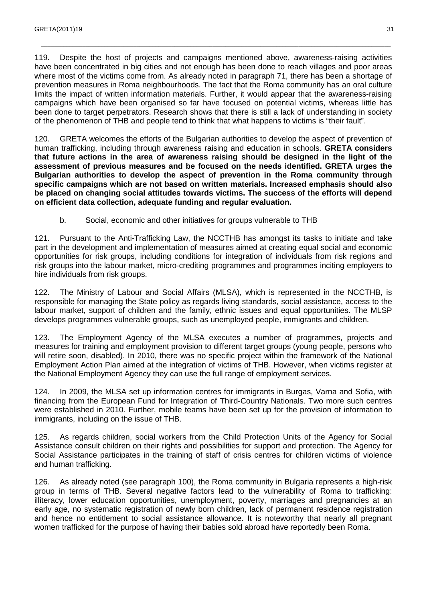119. Despite the host of projects and campaigns mentioned above, awareness-raising activities have been concentrated in big cities and not enough has been done to reach villages and poor areas where most of the victims come from. As already noted in paragraph 71, there has been a shortage of prevention measures in Roma neighbourhoods. The fact that the Roma community has an oral culture limits the impact of written information materials. Further, it would appear that the awareness-raising campaigns which have been organised so far have focused on potential victims, whereas little has been done to target perpetrators. Research shows that there is still a lack of understanding in society of the phenomenon of THB and people tend to think that what happens to victims is "their fault".

\_\_\_\_\_\_\_\_\_\_\_\_\_\_\_\_\_\_\_\_\_\_\_\_\_\_\_\_\_\_\_\_\_\_\_\_\_\_\_\_\_\_\_\_\_\_\_\_\_\_\_\_\_\_\_\_\_\_\_\_\_\_\_\_\_\_\_\_\_\_\_\_\_\_\_\_\_\_\_\_\_\_\_\_\_\_\_\_\_\_\_\_\_\_\_\_\_\_\_\_\_\_\_\_\_\_\_\_\_\_

120. GRETA welcomes the efforts of the Bulgarian authorities to develop the aspect of prevention of human trafficking, including through awareness raising and education in schools. **GRETA considers that future actions in the area of awareness raising should be designed in the light of the assessment of previous measures and be focused on the needs identified. GRETA urges the Bulgarian authorities to develop the aspect of prevention in the Roma community through specific campaigns which are not based on written materials. Increased emphasis should also be placed on changing social attitudes towards victims. The success of the efforts will depend on efficient data collection, adequate funding and regular evaluation.** 

b. Social, economic and other initiatives for groups vulnerable to THB

121. Pursuant to the Anti-Trafficking Law, the NCCTHB has amongst its tasks to initiate and take part in the development and implementation of measures aimed at creating equal social and economic opportunities for risk groups, including conditions for integration of individuals from risk regions and risk groups into the labour market, micro-crediting programmes and programmes inciting employers to hire individuals from risk groups.

122. The Ministry of Labour and Social Affairs (MLSA), which is represented in the NCCTHB, is responsible for managing the State policy as regards living standards, social assistance, access to the labour market, support of children and the family, ethnic issues and equal opportunities. The MLSP develops programmes vulnerable groups, such as unemployed people, immigrants and children.

123. The Employment Agency of the MLSA executes a number of programmes, projects and measures for training and employment provision to different target groups (young people, persons who will retire soon, disabled). In 2010, there was no specific project within the framework of the National Employment Action Plan aimed at the integration of victims of THB. However, when victims register at the National Employment Agency they can use the full range of employment services.

124. In 2009, the MLSA set up information centres for immigrants in Burgas, Varna and Sofia, with financing from the European Fund for Integration of Third-Country Nationals. Two more such centres were established in 2010. Further, mobile teams have been set up for the provision of information to immigrants, including on the issue of THB.

125. As regards children, social workers from the Child Protection Units of the Agency for Social Assistance consult children on their rights and possibilities for support and protection. The Agency for Social Assistance participates in the training of staff of crisis centres for children victims of violence and human trafficking.

126. As already noted (see paragraph 100), the Roma community in Bulgaria represents a high-risk group in terms of THB. Several negative factors lead to the vulnerability of Roma to trafficking: illiteracy, lower education opportunities, unemployment, poverty, marriages and pregnancies at an early age, no systematic registration of newly born children, lack of permanent residence registration and hence no entitlement to social assistance allowance. It is noteworthy that nearly all pregnant women trafficked for the purpose of having their babies sold abroad have reportedly been Roma.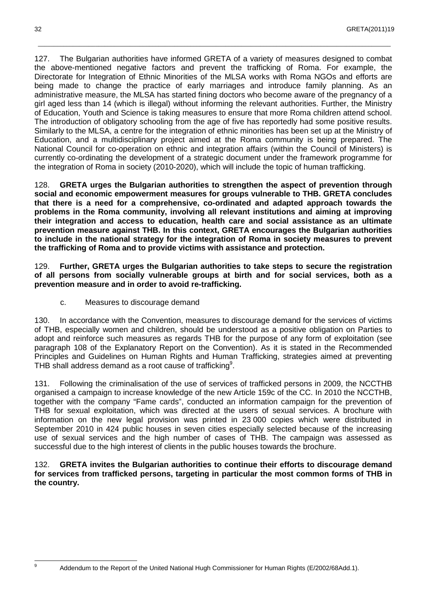127. The Bulgarian authorities have informed GRETA of a variety of measures designed to combat the above-mentioned negative factors and prevent the trafficking of Roma. For example, the Directorate for Integration of Ethnic Minorities of the MLSA works with Roma NGOs and efforts are being made to change the practice of early marriages and introduce family planning. As an administrative measure, the MLSA has started fining doctors who become aware of the pregnancy of a girl aged less than 14 (which is illegal) without informing the relevant authorities. Further, the Ministry of Education, Youth and Science is taking measures to ensure that more Roma children attend school. The introduction of obligatory schooling from the age of five has reportedly had some positive results. Similarly to the MLSA, a centre for the integration of ethnic minorities has been set up at the Ministry of Education, and a multidisciplinary project aimed at the Roma community is being prepared. The National Council for co-operation on ethnic and integration affairs (within the Council of Ministers) is currently co-ordinating the development of a strategic document under the framework programme for the integration of Roma in society (2010-2020), which will include the topic of human trafficking.

\_\_\_\_\_\_\_\_\_\_\_\_\_\_\_\_\_\_\_\_\_\_\_\_\_\_\_\_\_\_\_\_\_\_\_\_\_\_\_\_\_\_\_\_\_\_\_\_\_\_\_\_\_\_\_\_\_\_\_\_\_\_\_\_\_\_\_\_\_\_\_\_\_\_\_\_\_\_\_\_\_\_\_\_\_\_\_\_\_\_\_\_\_\_\_\_\_\_\_\_\_\_\_\_\_\_\_\_\_\_\_

128. **GRETA urges the Bulgarian authorities to strengthen the aspect of prevention through social and economic empowerment measures for groups vulnerable to THB. GRETA concludes that there is a need for a comprehensive, co-ordinated and adapted approach towards the problems in the Roma community, involving all relevant institutions and aiming at improving their integration and access to education, health care and social assistance as an ultimate prevention measure against THB. In this context, GRETA encourages the Bulgarian authorities to include in the national strategy for the integration of Roma in society measures to prevent the trafficking of Roma and to provide victims with assistance and protection.**

129. **Further, GRETA urges the Bulgarian authorities to take steps to secure the registration of all persons from socially vulnerable groups at birth and for social services, both as a prevention measure and in order to avoid re-trafficking.**

c. Measures to discourage demand

130. In accordance with the Convention, measures to discourage demand for the services of victims of THB, especially women and children, should be understood as a positive obligation on Parties to adopt and reinforce such measures as regards THB for the purpose of any form of exploitation (see paragraph 108 of the Explanatory Report on the Convention). As it is stated in the Recommended Principles and Guidelines on Human Rights and Human Trafficking, strategies aimed at preventing THB shall address demand as a root cause of trafficking<sup>9</sup>.

131. Following the criminalisation of the use of services of trafficked persons in 2009, the NCCTHB organised a campaign to increase knowledge of the new Article 159c of the CC. In 2010 the NCCTHB, together with the company "Fame cards", conducted an information campaign for the prevention of THB for sexual exploitation, which was directed at the users of sexual services. A brochure with information on the new legal provision was printed in 23 000 copies which were distributed in September 2010 in 424 public houses in seven cities especially selected because of the increasing use of sexual services and the high number of cases of THB. The campaign was assessed as successful due to the high interest of clients in the public houses towards the brochure.

132. **GRETA invites the Bulgarian authorities to continue their efforts to discourage demand for services from trafficked persons, targeting in particular the most common forms of THB in the country.**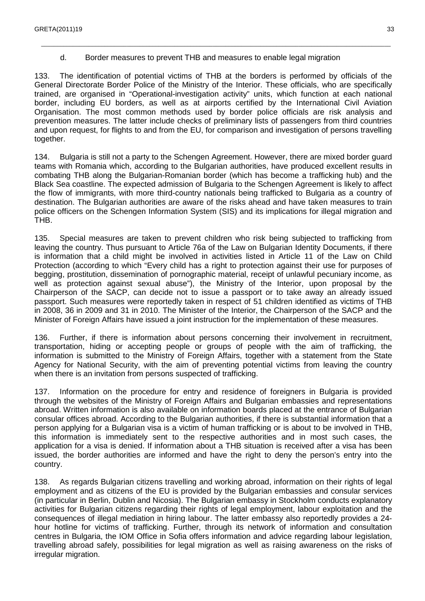#### d. Border measures to prevent THB and measures to enable legal migration

133. The identification of potential victims of THB at the borders is performed by officials of the General Directorate Border Police of the Ministry of the Interior. These officials, who are specifically trained, are organised in "Operational-investigation activity" units, which function at each national border, including EU borders, as well as at airports certified by the International Civil Aviation Organisation. The most common methods used by border police officials are risk analysis and prevention measures. The latter include checks of preliminary lists of passengers from third countries and upon request, for flights to and from the EU, for comparison and investigation of persons travelling together.

\_\_\_\_\_\_\_\_\_\_\_\_\_\_\_\_\_\_\_\_\_\_\_\_\_\_\_\_\_\_\_\_\_\_\_\_\_\_\_\_\_\_\_\_\_\_\_\_\_\_\_\_\_\_\_\_\_\_\_\_\_\_\_\_\_\_\_\_\_\_\_\_\_\_\_\_\_\_\_\_\_\_\_\_\_\_\_\_\_\_\_\_\_\_\_\_\_\_\_\_\_\_\_\_\_\_\_\_\_\_

134. Bulgaria is still not a party to the Schengen Agreement. However, there are mixed border guard teams with Romania which, according to the Bulgarian authorities, have produced excellent results in combating THB along the Bulgarian-Romanian border (which has become a trafficking hub) and the Black Sea coastline. The expected admission of Bulgaria to the Schengen Agreement is likely to affect the flow of immigrants, with more third-country nationals being trafficked to Bulgaria as a country of destination. The Bulgarian authorities are aware of the risks ahead and have taken measures to train police officers on the Schengen Information System (SIS) and its implications for illegal migration and THB.

135. Special measures are taken to prevent children who risk being subjected to trafficking from leaving the country. Thus pursuant to Article 76a of the Law on Bulgarian Identity Documents, if there is information that a child might be involved in activities listed in Article 11 of the Law on Child Protection (according to which "Every child has a right to protection against their use for purposes of begging, prostitution, dissemination of pornographic material, receipt of unlawful pecuniary income, as well as protection against sexual abuse"), the Ministry of the Interior, upon proposal by the Chairperson of the SACP, can decide not to issue a passport or to take away an already issued passport. Such measures were reportedly taken in respect of 51 children identified as victims of THB in 2008, 36 in 2009 and 31 in 2010. The Minister of the Interior, the Chairperson of the SACP and the Minister of Foreign Affairs have issued a joint instruction for the implementation of these measures.

136. Further, if there is information about persons concerning their involvement in recruitment, transportation, hiding or accepting people or groups of people with the aim of trafficking, the information is submitted to the Ministry of Foreign Affairs, together with a statement from the State Agency for National Security, with the aim of preventing potential victims from leaving the country when there is an invitation from persons suspected of trafficking.

137. Information on the procedure for entry and residence of foreigners in Bulgaria is provided through the websites of the Ministry of Foreign Affairs and Bulgarian embassies and representations abroad. Written information is also available on information boards placed at the entrance of Bulgarian consular offices abroad. According to the Bulgarian authorities, if there is substantial information that a person applying for a Bulgarian visa is a victim of human trafficking or is about to be involved in THB, this information is immediately sent to the respective authorities and in most such cases, the application for a visa is denied. If information about a THB situation is received after a visa has been issued, the border authorities are informed and have the right to deny the person's entry into the country.

138. As regards Bulgarian citizens travelling and working abroad, information on their rights of legal employment and as citizens of the EU is provided by the Bulgarian embassies and consular services (in particular in Berlin, Dublin and Nicosia). The Bulgarian embassy in Stockholm conducts explanatory activities for Bulgarian citizens regarding their rights of legal employment, labour exploitation and the consequences of illegal mediation in hiring labour. The latter embassy also reportedly provides a 24 hour hotline for victims of trafficking. Further, through its network of information and consultation centres in Bulgaria, the IOM Office in Sofia offers information and advice regarding labour legislation, travelling abroad safely, possibilities for legal migration as well as raising awareness on the risks of irregular migration.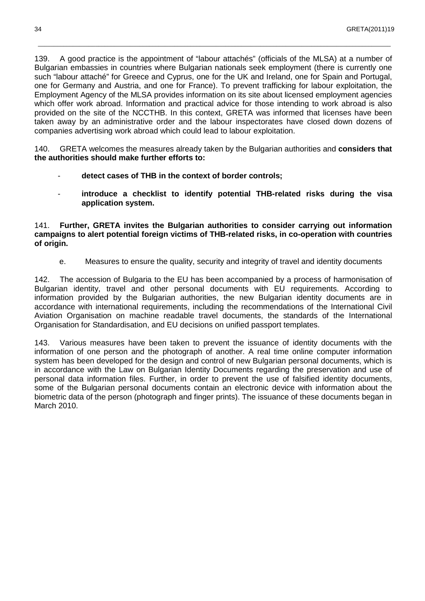139. A good practice is the appointment of "labour attachés" (officials of the MLSA) at a number of Bulgarian embassies in countries where Bulgarian nationals seek employment (there is currently one such "labour attaché" for Greece and Cyprus, one for the UK and Ireland, one for Spain and Portugal, one for Germany and Austria, and one for France). To prevent trafficking for labour exploitation, the Employment Agency of the MLSA provides information on its site about licensed employment agencies which offer work abroad. Information and practical advice for those intending to work abroad is also provided on the site of the NCCTHB. In this context, GRETA was informed that licenses have been taken away by an administrative order and the labour inspectorates have closed down dozens of companies advertising work abroad which could lead to labour exploitation.

\_\_\_\_\_\_\_\_\_\_\_\_\_\_\_\_\_\_\_\_\_\_\_\_\_\_\_\_\_\_\_\_\_\_\_\_\_\_\_\_\_\_\_\_\_\_\_\_\_\_\_\_\_\_\_\_\_\_\_\_\_\_\_\_\_\_\_\_\_\_\_\_\_\_\_\_\_\_\_\_\_\_\_\_\_\_\_\_\_\_\_\_\_\_\_\_\_\_\_\_\_\_\_\_\_\_\_\_\_\_\_

140. GRETA welcomes the measures already taken by the Bulgarian authorities and **considers that the authorities should make further efforts to:** 

- detect cases of THB in the context of border controls;
- **introduce a checklist to identify potential THB-related risks during the visa application system.**

141. **Further, GRETA invites the Bulgarian authorities to consider carrying out information campaigns to alert potential foreign victims of THB-related risks, in co-operation with countries of origin.**

e. Measures to ensure the quality, security and integrity of travel and identity documents

142. The accession of Bulgaria to the EU has been accompanied by a process of harmonisation of Bulgarian identity, travel and other personal documents with EU requirements. According to information provided by the Bulgarian authorities, the new Bulgarian identity documents are in accordance with international requirements, including the recommendations of the International Civil Aviation Organisation on machine readable travel documents, the standards of the International Organisation for Standardisation, and EU decisions on unified passport templates.

143. Various measures have been taken to prevent the issuance of identity documents with the information of one person and the photograph of another. A real time online computer information system has been developed for the design and control of new Bulgarian personal documents, which is in accordance with the Law on Bulgarian Identity Documents regarding the preservation and use of personal data information files. Further, in order to prevent the use of falsified identity documents, some of the Bulgarian personal documents contain an electronic device with information about the biometric data of the person (photograph and finger prints). The issuance of these documents began in March 2010.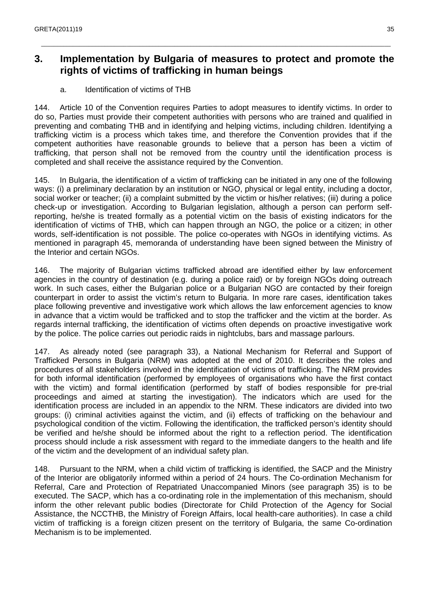## **3. Implementation by Bulgaria of measures to protect and promote the rights of victims of trafficking in human beings**

\_\_\_\_\_\_\_\_\_\_\_\_\_\_\_\_\_\_\_\_\_\_\_\_\_\_\_\_\_\_\_\_\_\_\_\_\_\_\_\_\_\_\_\_\_\_\_\_\_\_\_\_\_\_\_\_\_\_\_\_\_\_\_\_\_\_\_\_\_\_\_\_\_\_\_\_\_\_\_\_\_\_\_\_\_\_\_\_\_\_\_\_\_\_\_\_\_\_\_\_\_\_\_\_\_\_\_\_\_\_

a. Identification of victims of THB

144. Article 10 of the Convention requires Parties to adopt measures to identify victims. In order to do so, Parties must provide their competent authorities with persons who are trained and qualified in preventing and combating THB and in identifying and helping victims, including children. Identifying a trafficking victim is a process which takes time, and therefore the Convention provides that if the competent authorities have reasonable grounds to believe that a person has been a victim of trafficking, that person shall not be removed from the country until the identification process is completed and shall receive the assistance required by the Convention.

145. In Bulgaria, the identification of a victim of trafficking can be initiated in any one of the following ways: (i) a preliminary declaration by an institution or NGO, physical or legal entity, including a doctor, social worker or teacher; (ii) a complaint submitted by the victim or his/her relatives; (iii) during a police check-up or investigation. According to Bulgarian legislation, although a person can perform selfreporting, he/she is treated formally as a potential victim on the basis of existing indicators for the identification of victims of THB, which can happen through an NGO, the police or a citizen; in other words, self-identification is not possible. The police co-operates with NGOs in identifying victims. As mentioned in paragraph 45, memoranda of understanding have been signed between the Ministry of the Interior and certain NGOs.

146. The majority of Bulgarian victims trafficked abroad are identified either by law enforcement agencies in the country of destination (e.g. during a police raid) or by foreign NGOs doing outreach work. In such cases, either the Bulgarian police or a Bulgarian NGO are contacted by their foreign counterpart in order to assist the victim's return to Bulgaria. In more rare cases, identification takes place following preventive and investigative work which allows the law enforcement agencies to know in advance that a victim would be trafficked and to stop the trafficker and the victim at the border. As regards internal trafficking, the identification of victims often depends on proactive investigative work by the police. The police carries out periodic raids in nightclubs, bars and massage parlours.

147. As already noted (see paragraph 33), a National Mechanism for Referral and Support of Trafficked Persons in Bulgaria (NRM) was adopted at the end of 2010. It describes the roles and procedures of all stakeholders involved in the identification of victims of trafficking. The NRM provides for both informal identification (performed by employees of organisations who have the first contact with the victim) and formal identification (performed by staff of bodies responsible for pre-trial proceedings and aimed at starting the investigation). The indicators which are used for the identification process are included in an appendix to the NRM. These indicators are divided into two groups: (i) criminal activities against the victim, and (ii) effects of trafficking on the behaviour and psychological condition of the victim. Following the identification, the trafficked person's identity should be verified and he/she should be informed about the right to a reflection period. The identification process should include a risk assessment with regard to the immediate dangers to the health and life of the victim and the development of an individual safety plan.

148. Pursuant to the NRM, when a child victim of trafficking is identified, the SACP and the Ministry of the Interior are obligatorily informed within a period of 24 hours. The Co-ordination Mechanism for Referral, Care and Protection of Repatriated Unaccompanied Minors (see paragraph 35) is to be executed. The SACP, which has a co-ordinating role in the implementation of this mechanism, should inform the other relevant public bodies (Directorate for Child Protection of the Agency for Social Assistance, the NCCTHB, the Ministry of Foreign Affairs, local health-care authorities). In case a child victim of trafficking is a foreign citizen present on the territory of Bulgaria, the same Co-ordination Mechanism is to be implemented.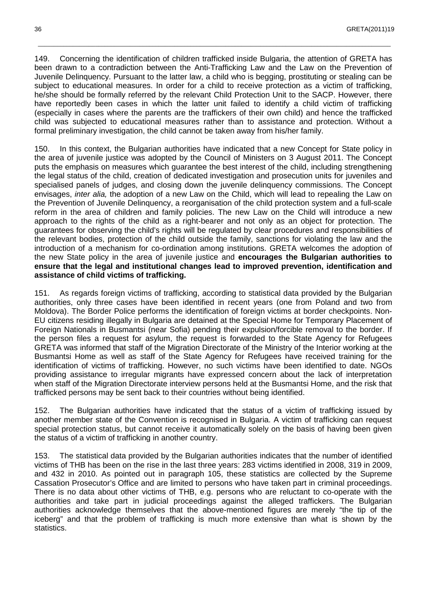149. Concerning the identification of children trafficked inside Bulgaria, the attention of GRETA has been drawn to a contradiction between the Anti-Trafficking Law and the Law on the Prevention of Juvenile Delinquency. Pursuant to the latter law, a child who is begging, prostituting or stealing can be subject to educational measures. In order for a child to receive protection as a victim of trafficking, he/she should be formally referred by the relevant Child Protection Unit to the SACP. However, there have reportedly been cases in which the latter unit failed to identify a child victim of trafficking (especially in cases where the parents are the traffickers of their own child) and hence the trafficked child was subjected to educational measures rather than to assistance and protection. Without a formal preliminary investigation, the child cannot be taken away from his/her family.

\_\_\_\_\_\_\_\_\_\_\_\_\_\_\_\_\_\_\_\_\_\_\_\_\_\_\_\_\_\_\_\_\_\_\_\_\_\_\_\_\_\_\_\_\_\_\_\_\_\_\_\_\_\_\_\_\_\_\_\_\_\_\_\_\_\_\_\_\_\_\_\_\_\_\_\_\_\_\_\_\_\_\_\_\_\_\_\_\_\_\_\_\_\_\_\_\_\_\_\_\_\_\_\_\_\_\_\_\_\_\_

150. In this context, the Bulgarian authorities have indicated that a new Concept for State policy in the area of juvenile justice was adopted by the Council of Ministers on 3 August 2011. The Concept puts the emphasis on measures which guarantee the best interest of the child, including strengthening the legal status of the child, creation of dedicated investigation and prosecution units for juveniles and specialised panels of judges, and closing down the juvenile delinquency commissions. The Concept envisages, inter alia, the adoption of a new Law on the Child, which will lead to repealing the Law on the Prevention of Juvenile Delinquency, a reorganisation of the child protection system and a full-scale reform in the area of children and family policies. The new Law on the Child will introduce a new approach to the rights of the child as a right-bearer and not only as an object for protection. The guarantees for observing the child's rights will be regulated by clear procedures and responsibilities of the relevant bodies, protection of the child outside the family, sanctions for violating the law and the introduction of a mechanism for co-ordination among institutions. GRETA welcomes the adoption of the new State policy in the area of juvenile justice and **encourages the Bulgarian authorities to ensure that the legal and institutional changes lead to improved prevention, identification and assistance of child victims of trafficking.**

151. As regards foreign victims of trafficking, according to statistical data provided by the Bulgarian authorities, only three cases have been identified in recent years (one from Poland and two from Moldova). The Border Police performs the identification of foreign victims at border checkpoints. Non-EU citizens residing illegally in Bulgaria are detained at the Special Home for Temporary Placement of Foreign Nationals in Busmantsi (near Sofia) pending their expulsion/forcible removal to the border. If the person files a request for asylum, the request is forwarded to the State Agency for Refugees GRETA was informed that staff of the Migration Directorate of the Ministry of the Interior working at the Busmantsi Home as well as staff of the State Agency for Refugees have received training for the identification of victims of trafficking. However, no such victims have been identified to date. NGOs providing assistance to irregular migrants have expressed concern about the lack of interpretation when staff of the Migration Directorate interview persons held at the Busmantsi Home, and the risk that trafficked persons may be sent back to their countries without being identified.

152. The Bulgarian authorities have indicated that the status of a victim of trafficking issued by another member state of the Convention is recognised in Bulgaria. A victim of trafficking can request special protection status, but cannot receive it automatically solely on the basis of having been given the status of a victim of trafficking in another country.

153. The statistical data provided by the Bulgarian authorities indicates that the number of identified victims of THB has been on the rise in the last three years: 283 victims identified in 2008, 319 in 2009, and 432 in 2010. As pointed out in paragraph 105, these statistics are collected by the Supreme Cassation Prosecutor's Office and are limited to persons who have taken part in criminal proceedings. There is no data about other victims of THB, e.g. persons who are reluctant to co-operate with the authorities and take part in judicial proceedings against the alleged traffickers. The Bulgarian authorities acknowledge themselves that the above-mentioned figures are merely "the tip of the iceberg" and that the problem of trafficking is much more extensive than what is shown by the statistics.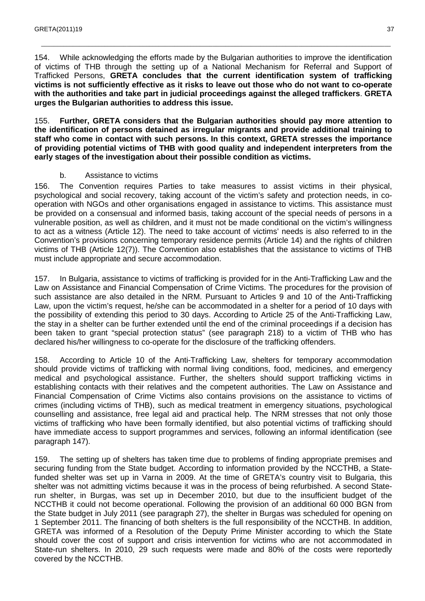154. While acknowledging the efforts made by the Bulgarian authorities to improve the identification of victims of THB through the setting up of a National Mechanism for Referral and Support of Trafficked Persons, **GRETA concludes that the current identification system of trafficking victims is not sufficiently effective as it risks to leave out those who do not want to co-operate with the authorities and take part in judicial proceedings against the alleged traffickers**. **GRETA urges the Bulgarian authorities to address this issue.**

\_\_\_\_\_\_\_\_\_\_\_\_\_\_\_\_\_\_\_\_\_\_\_\_\_\_\_\_\_\_\_\_\_\_\_\_\_\_\_\_\_\_\_\_\_\_\_\_\_\_\_\_\_\_\_\_\_\_\_\_\_\_\_\_\_\_\_\_\_\_\_\_\_\_\_\_\_\_\_\_\_\_\_\_\_\_\_\_\_\_\_\_\_\_\_\_\_\_\_\_\_\_\_\_\_\_\_\_\_\_

155. **Further, GRETA considers that the Bulgarian authorities should pay more attention to the identification of persons detained as irregular migrants and provide additional training to staff who come in contact with such persons. In this context, GRETA stresses the importance of providing potential victims of THB with good quality and independent interpreters from the early stages of the investigation about their possible condition as victims.** 

#### b. Assistance to victims

156. The Convention requires Parties to take measures to assist victims in their physical, psychological and social recovery, taking account of the victim's safety and protection needs, in cooperation with NGOs and other organisations engaged in assistance to victims. This assistance must be provided on a consensual and informed basis, taking account of the special needs of persons in a vulnerable position, as well as children, and it must not be made conditional on the victim's willingness to act as a witness (Article 12). The need to take account of victims' needs is also referred to in the Convention's provisions concerning temporary residence permits (Article 14) and the rights of children victims of THB (Article 12(7)). The Convention also establishes that the assistance to victims of THB must include appropriate and secure accommodation.

157. In Bulgaria, assistance to victims of trafficking is provided for in the Anti-Trafficking Law and the Law on Assistance and Financial Compensation of Crime Victims. The procedures for the provision of such assistance are also detailed in the NRM. Pursuant to Articles 9 and 10 of the Anti-Trafficking Law, upon the victim's request, he/she can be accommodated in a shelter for a period of 10 days with the possibility of extending this period to 30 days. According to Article 25 of the Anti-Trafficking Law, the stay in a shelter can be further extended until the end of the criminal proceedings if a decision has been taken to grant "special protection status" (see paragraph 218) to a victim of THB who has declared his/her willingness to co-operate for the disclosure of the trafficking offenders.

158. According to Article 10 of the Anti-Trafficking Law, shelters for temporary accommodation should provide victims of trafficking with normal living conditions, food, medicines, and emergency medical and psychological assistance. Further, the shelters should support trafficking victims in establishing contacts with their relatives and the competent authorities. The Law on Assistance and Financial Compensation of Crime Victims also contains provisions on the assistance to victims of crimes (including victims of THB), such as medical treatment in emergency situations, psychological counselling and assistance, free legal aid and practical help. The NRM stresses that not only those victims of trafficking who have been formally identified, but also potential victims of trafficking should have immediate access to support programmes and services, following an informal identification (see paragraph 147).

159. The setting up of shelters has taken time due to problems of finding appropriate premises and securing funding from the State budget. According to information provided by the NCCTHB, a Statefunded shelter was set up in Varna in 2009. At the time of GRETA's country visit to Bulgaria, this shelter was not admitting victims because it was in the process of being refurbished. A second Staterun shelter, in Burgas, was set up in December 2010, but due to the insufficient budget of the NCCTHB it could not become operational. Following the provision of an additional 60 000 BGN from the State budget in July 2011 (see paragraph 27), the shelter in Burgas was scheduled for opening on 1 September 2011. The financing of both shelters is the full responsibility of the NCCTHB. In addition, GRETA was informed of a Resolution of the Deputy Prime Minister according to which the State should cover the cost of support and crisis intervention for victims who are not accommodated in State-run shelters. In 2010, 29 such requests were made and 80% of the costs were reportedly covered by the NCCTHB.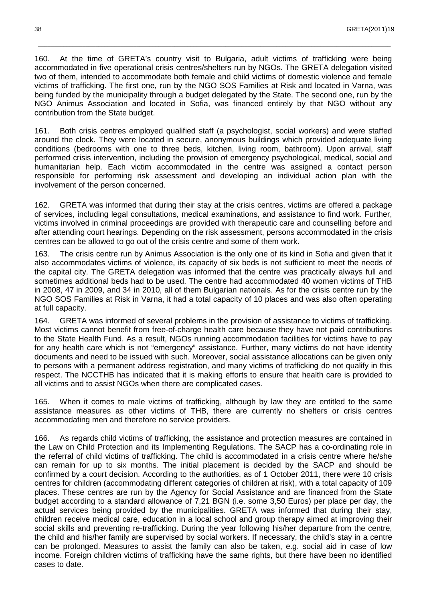160. At the time of GRETA's country visit to Bulgaria, adult victims of trafficking were being accommodated in five operational crisis centres/shelters run by NGOs. The GRETA delegation visited two of them, intended to accommodate both female and child victims of domestic violence and female victims of trafficking. The first one, run by the NGO SOS Families at Risk and located in Varna, was being funded by the municipality through a budget delegated by the State. The second one, run by the NGO Animus Association and located in Sofia, was financed entirely by that NGO without any contribution from the State budget.

\_\_\_\_\_\_\_\_\_\_\_\_\_\_\_\_\_\_\_\_\_\_\_\_\_\_\_\_\_\_\_\_\_\_\_\_\_\_\_\_\_\_\_\_\_\_\_\_\_\_\_\_\_\_\_\_\_\_\_\_\_\_\_\_\_\_\_\_\_\_\_\_\_\_\_\_\_\_\_\_\_\_\_\_\_\_\_\_\_\_\_\_\_\_\_\_\_\_\_\_\_\_\_\_\_\_\_\_\_\_\_

161. Both crisis centres employed qualified staff (a psychologist, social workers) and were staffed around the clock. They were located in secure, anonymous buildings which provided adequate living conditions (bedrooms with one to three beds, kitchen, living room, bathroom). Upon arrival, staff performed crisis intervention, including the provision of emergency psychological, medical, social and humanitarian help. Each victim accommodated in the centre was assigned a contact person responsible for performing risk assessment and developing an individual action plan with the involvement of the person concerned.

162. GRETA was informed that during their stay at the crisis centres, victims are offered a package of services, including legal consultations, medical examinations, and assistance to find work. Further, victims involved in criminal proceedings are provided with therapeutic care and counselling before and after attending court hearings. Depending on the risk assessment, persons accommodated in the crisis centres can be allowed to go out of the crisis centre and some of them work.

163. The crisis centre run by Animus Association is the only one of its kind in Sofia and given that it also accommodates victims of violence, its capacity of six beds is not sufficient to meet the needs of the capital city. The GRETA delegation was informed that the centre was practically always full and sometimes additional beds had to be used. The centre had accommodated 40 women victims of THB in 2008, 47 in 2009, and 34 in 2010, all of them Bulgarian nationals. As for the crisis centre run by the NGO SOS Families at Risk in Varna, it had a total capacity of 10 places and was also often operating at full capacity.

164. GRETA was informed of several problems in the provision of assistance to victims of trafficking. Most victims cannot benefit from free-of-charge health care because they have not paid contributions to the State Health Fund. As a result, NGOs running accommodation facilities for victims have to pay for any health care which is not "emergency" assistance. Further, many victims do not have identity documents and need to be issued with such. Moreover, social assistance allocations can be given only to persons with a permanent address registration, and many victims of trafficking do not qualify in this respect. The NCCTHB has indicated that it is making efforts to ensure that health care is provided to all victims and to assist NGOs when there are complicated cases.

165. When it comes to male victims of trafficking, although by law they are entitled to the same assistance measures as other victims of THB, there are currently no shelters or crisis centres accommodating men and therefore no service providers.

166. As regards child victims of trafficking, the assistance and protection measures are contained in the Law on Child Protection and its Implementing Regulations. The SACP has a co-ordinating role in the referral of child victims of trafficking. The child is accommodated in a crisis centre where he/she can remain for up to six months. The initial placement is decided by the SACP and should be confirmed by a court decision. According to the authorities, as of 1 October 2011, there were 10 crisis centres for children (accommodating different categories of children at risk), with a total capacity of 109 places. These centres are run by the Agency for Social Assistance and are financed from the State budget according to a standard allowance of 7,21 BGN (i.e. some 3,50 Euros) per place per day, the actual services being provided by the municipalities. GRETA was informed that during their stay, children receive medical care, education in a local school and group therapy aimed at improving their social skills and preventing re-trafficking. During the year following his/her departure from the centre, the child and his/her family are supervised by social workers. If necessary, the child's stay in a centre can be prolonged. Measures to assist the family can also be taken, e.g. social aid in case of low income. Foreign children victims of trafficking have the same rights, but there have been no identified cases to date.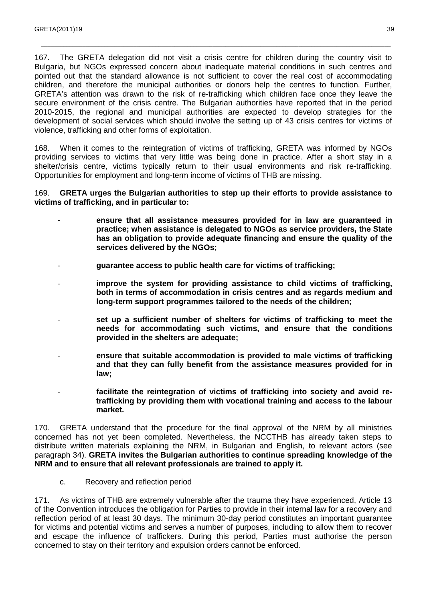167. The GRETA delegation did not visit a crisis centre for children during the country visit to Bulgaria, but NGOs expressed concern about inadequate material conditions in such centres and pointed out that the standard allowance is not sufficient to cover the real cost of accommodating children, and therefore the municipal authorities or donors help the centres to function. Further, GRETA's attention was drawn to the risk of re-trafficking which children face once they leave the secure environment of the crisis centre. The Bulgarian authorities have reported that in the period 2010-2015, the regional and municipal authorities are expected to develop strategies for the development of social services which should involve the setting up of 43 crisis centres for victims of violence, trafficking and other forms of exploitation.

\_\_\_\_\_\_\_\_\_\_\_\_\_\_\_\_\_\_\_\_\_\_\_\_\_\_\_\_\_\_\_\_\_\_\_\_\_\_\_\_\_\_\_\_\_\_\_\_\_\_\_\_\_\_\_\_\_\_\_\_\_\_\_\_\_\_\_\_\_\_\_\_\_\_\_\_\_\_\_\_\_\_\_\_\_\_\_\_\_\_\_\_\_\_\_\_\_\_\_\_\_\_\_\_\_\_\_\_\_\_

168. When it comes to the reintegration of victims of trafficking, GRETA was informed by NGOs providing services to victims that very little was being done in practice. After a short stay in a shelter/crisis centre, victims typically return to their usual environments and risk re-trafficking. Opportunities for employment and long-term income of victims of THB are missing.

169. **GRETA urges the Bulgarian authorities to step up their efforts to provide assistance to victims of trafficking, and in particular to:** 

- **ensure that all assistance measures provided for in law are guaranteed in practice; when assistance is delegated to NGOs as service providers, the State has an obligation to provide adequate financing and ensure the quality of the services delivered by the NGOs;**
- **guarantee access to public health care for victims of trafficking;**
- improve the system for providing assistance to child victims of trafficking, **both in terms of accommodation in crisis centres and as regards medium and long-term support programmes tailored to the needs of the children;**
- set up a sufficient number of shelters for victims of trafficking to meet the **needs for accommodating such victims, and ensure that the conditions provided in the shelters are adequate;**
- **ensure that suitable accommodation is provided to male victims of trafficking and that they can fully benefit from the assistance measures provided for in law;**
- facilitate the reintegration of victims of trafficking into society and avoid re**trafficking by providing them with vocational training and access to the labour market.**

170. GRETA understand that the procedure for the final approval of the NRM by all ministries concerned has not yet been completed. Nevertheless, the NCCTHB has already taken steps to distribute written materials explaining the NRM, in Bulgarian and English, to relevant actors (see paragraph 34). **GRETA invites the Bulgarian authorities to continue spreading knowledge of the NRM and to ensure that all relevant professionals are trained to apply it.** 

c. Recovery and reflection period

171. As victims of THB are extremely vulnerable after the trauma they have experienced, Article 13 of the Convention introduces the obligation for Parties to provide in their internal law for a recovery and reflection period of at least 30 days. The minimum 30-day period constitutes an important guarantee for victims and potential victims and serves a number of purposes, including to allow them to recover and escape the influence of traffickers. During this period, Parties must authorise the person concerned to stay on their territory and expulsion orders cannot be enforced.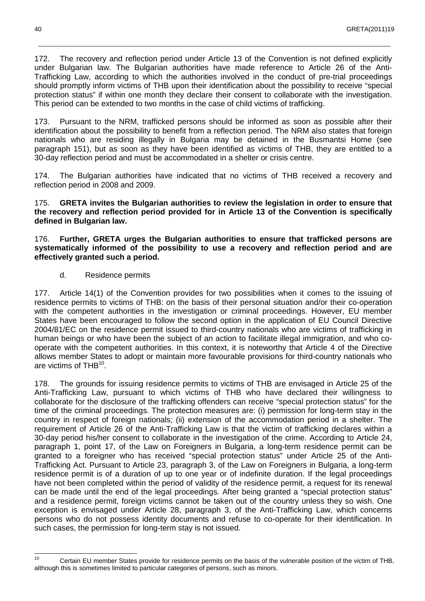172. The recovery and reflection period under Article 13 of the Convention is not defined explicitly under Bulgarian law. The Bulgarian authorities have made reference to Article 26 of the Anti-Trafficking Law, according to which the authorities involved in the conduct of pre-trial proceedings should promptly inform victims of THB upon their identification about the possibility to receive "special protection status" if within one month they declare their consent to collaborate with the investigation. This period can be extended to two months in the case of child victims of trafficking.

\_\_\_\_\_\_\_\_\_\_\_\_\_\_\_\_\_\_\_\_\_\_\_\_\_\_\_\_\_\_\_\_\_\_\_\_\_\_\_\_\_\_\_\_\_\_\_\_\_\_\_\_\_\_\_\_\_\_\_\_\_\_\_\_\_\_\_\_\_\_\_\_\_\_\_\_\_\_\_\_\_\_\_\_\_\_\_\_\_\_\_\_\_\_\_\_\_\_\_\_\_\_\_\_\_\_\_\_\_\_\_

173. Pursuant to the NRM, trafficked persons should be informed as soon as possible after their identification about the possibility to benefit from a reflection period. The NRM also states that foreign nationals who are residing illegally in Bulgaria may be detained in the Busmantsi Home (see paragraph 151), but as soon as they have been identified as victims of THB, they are entitled to a 30-day reflection period and must be accommodated in a shelter or crisis centre.

174. The Bulgarian authorities have indicated that no victims of THB received a recovery and reflection period in 2008 and 2009.

175. **GRETA invites the Bulgarian authorities to review the legislation in order to ensure that the recovery and reflection period provided for in Article 13 of the Convention is specifically defined in Bulgarian law.** 

176. **Further, GRETA urges the Bulgarian authorities to ensure that trafficked persons are systematically informed of the possibility to use a recovery and reflection period and are effectively granted such a period.** 

d. Residence permits

177. Article 14(1) of the Convention provides for two possibilities when it comes to the issuing of residence permits to victims of THB: on the basis of their personal situation and/or their co-operation with the competent authorities in the investigation or criminal proceedings. However, EU member States have been encouraged to follow the second option in the application of EU Council Directive 2004/81/EC on the residence permit issued to third-country nationals who are victims of trafficking in human beings or who have been the subject of an action to facilitate illegal immigration, and who cooperate with the competent authorities. In this context, it is noteworthy that Article 4 of the Directive allows member States to adopt or maintain more favourable provisions for third-country nationals who are victims of THB<sup>10</sup>.

178. The grounds for issuing residence permits to victims of THB are envisaged in Article 25 of the Anti-Trafficking Law, pursuant to which victims of THB who have declared their willingness to collaborate for the disclosure of the trafficking offenders can receive "special protection status" for the time of the criminal proceedings. The protection measures are: (i) permission for long-term stay in the country in respect of foreign nationals; (ii) extension of the accommodation period in a shelter. The requirement of Article 26 of the Anti-Trafficking Law is that the victim of trafficking declares within a 30-day period his/her consent to collaborate in the investigation of the crime. According to Article 24, paragraph 1, point 17, of the Law on Foreigners in Bulgaria, a long-term residence permit can be granted to a foreigner who has received "special protection status" under Article 25 of the Anti-Trafficking Act. Pursuant to Article 23, paragraph 3, of the Law on Foreigners in Bulgaria, a long-term residence permit is of a duration of up to one year or of indefinite duration. If the legal proceedings have not been completed within the period of validity of the residence permit, a request for its renewal can be made until the end of the legal proceedings. After being granted a "special protection status" and a residence permit, foreign victims cannot be taken out of the country unless they so wish. One exception is envisaged under Article 28, paragraph 3, of the Anti-Trafficking Law, which concerns persons who do not possess identity documents and refuse to co-operate for their identification. In such cases, the permission for long-term stay is not issued.

 $10<sub>1</sub>$ Certain EU member States provide for residence permits on the basis of the vulnerable position of the victim of THB, although this is sometimes limited to particular categories of persons, such as minors.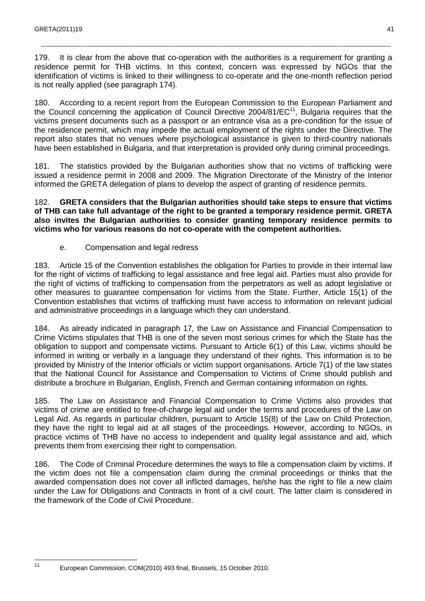179. It is clear from the above that co-operation with the authorities is a requirement for granting a residence permit for THB victims. In this context, concern was expressed by NGOs that the identification of victims is linked to their willingness to co-operate and the one-month reflection period is not really applied (see paragraph 174).

\_\_\_\_\_\_\_\_\_\_\_\_\_\_\_\_\_\_\_\_\_\_\_\_\_\_\_\_\_\_\_\_\_\_\_\_\_\_\_\_\_\_\_\_\_\_\_\_\_\_\_\_\_\_\_\_\_\_\_\_\_\_\_\_\_\_\_\_\_\_\_\_\_\_\_\_\_\_\_\_\_\_\_\_\_\_\_\_\_\_\_\_\_\_\_\_\_\_\_\_\_\_\_\_\_\_\_\_\_\_

180. According to a recent report from the European Commission to the European Parliament and the Council concerning the application of Council Directive  $2004/81/EC^{11}$ , Bulgaria requires that the victims present documents such as a passport or an entrance visa as a pre-condition for the issue of the residence permit, which may impede the actual employment of the rights under the Directive. The report also states that no venues where psychological assistance is given to third-country nationals have been established in Bulgaria, and that interpretation is provided only during criminal proceedings.

181. The statistics provided by the Bulgarian authorities show that no victims of trafficking were issued a residence permit in 2008 and 2009. The Migration Directorate of the Ministry of the Interior informed the GRETA delegation of plans to develop the aspect of granting of residence permits.

182. **GRETA considers that the Bulgarian authorities should take steps to ensure that victims of THB can take full advantage of the right to be granted a temporary residence permit. GRETA also invites the Bulgarian authorities to consider granting temporary residence permits to victims who for various reasons do not co-operate with the competent authorities.** 

e. Compensation and legal redress

183. Article 15 of the Convention establishes the obligation for Parties to provide in their internal law for the right of victims of trafficking to legal assistance and free legal aid. Parties must also provide for the right of victims of trafficking to compensation from the perpetrators as well as adopt legislative or other measures to guarantee compensation for victims from the State. Further, Article 15(1) of the Convention establishes that victims of trafficking must have access to information on relevant judicial and administrative proceedings in a language which they can understand.

184. As already indicated in paragraph 17, the Law on Assistance and Financial Compensation to Crime Victims stipulates that THB is one of the seven most serious crimes for which the State has the obligation to support and compensate victims. Pursuant to Article 6(1) of this Law, victims should be informed in writing or verbally in a language they understand of their rights. This information is to be provided by Ministry of the Interior officials or victim support organisations. Article 7(1) of the law states that the National Council for Assistance and Compensation to Victims of Crime should publish and distribute a brochure in Bulgarian, English, French and German containing information on rights.

185. The Law on Assistance and Financial Compensation to Crime Victims also provides that victims of crime are entitled to free-of-charge legal aid under the terms and procedures of the Law on Legal Aid. As regards in particular children, pursuant to Article 15(8) of the Law on Child Protection, they have the right to legal aid at all stages of the proceedings. However, according to NGOs, in practice victims of THB have no access to independent and quality legal assistance and aid, which prevents them from exercising their right to compensation.

186. The Code of Criminal Procedure determines the ways to file a compensation claim by victims. If the victim does not file a compensation claim during the criminal proceedings or thinks that the awarded compensation does not cover all inflicted damages, he/she has the right to file a new claim under the Law for Obligations and Contracts in front of a civil court. The latter claim is considered in the framework of the Code of Civil Procedure.

41

 $\frac{1}{11}$ 

European Commission, COM(2010) 493 final, Brussels, 15 October 2010.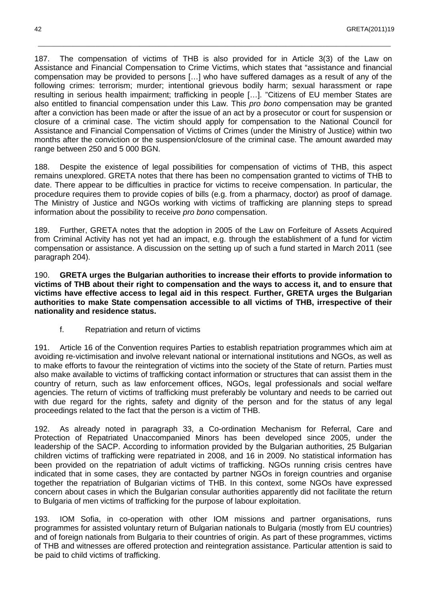187. The compensation of victims of THB is also provided for in Article 3(3) of the Law on Assistance and Financial Compensation to Crime Victims, which states that "assistance and financial compensation may be provided to persons […] who have suffered damages as a result of any of the following crimes: terrorism; murder; intentional grievous bodily harm; sexual harassment or rape resulting in serious health impairment; trafficking in people […]. "Citizens of EU member States are also entitled to financial compensation under this Law. This pro bono compensation may be granted after a conviction has been made or after the issue of an act by a prosecutor or court for suspension or closure of a criminal case. The victim should apply for compensation to the National Council for Assistance and Financial Compensation of Victims of Crimes (under the Ministry of Justice) within two months after the conviction or the suspension/closure of the criminal case. The amount awarded may range between 250 and 5 000 BGN.

\_\_\_\_\_\_\_\_\_\_\_\_\_\_\_\_\_\_\_\_\_\_\_\_\_\_\_\_\_\_\_\_\_\_\_\_\_\_\_\_\_\_\_\_\_\_\_\_\_\_\_\_\_\_\_\_\_\_\_\_\_\_\_\_\_\_\_\_\_\_\_\_\_\_\_\_\_\_\_\_\_\_\_\_\_\_\_\_\_\_\_\_\_\_\_\_\_\_\_\_\_\_\_\_\_\_\_\_\_\_\_

188. Despite the existence of legal possibilities for compensation of victims of THB, this aspect remains unexplored. GRETA notes that there has been no compensation granted to victims of THB to date. There appear to be difficulties in practice for victims to receive compensation. In particular, the procedure requires them to provide copies of bills (e.g. from a pharmacy, doctor) as proof of damage. The Ministry of Justice and NGOs working with victims of trafficking are planning steps to spread information about the possibility to receive pro bono compensation.

189. Further, GRETA notes that the adoption in 2005 of the Law on Forfeiture of Assets Acquired from Criminal Activity has not yet had an impact, e.g. through the establishment of a fund for victim compensation or assistance. A discussion on the setting up of such a fund started in March 2011 (see paragraph 204).

190. **GRETA urges the Bulgarian authorities to increase their efforts to provide information to victims of THB about their right to compensation and the ways to access it, and to ensure that victims have effective access to legal aid in this respect**. **Further, GRETA urges the Bulgarian authorities to make State compensation accessible to all victims of THB, irrespective of their nationality and residence status.**

f. Repatriation and return of victims

191. Article 16 of the Convention requires Parties to establish repatriation programmes which aim at avoiding re-victimisation and involve relevant national or international institutions and NGOs, as well as to make efforts to favour the reintegration of victims into the society of the State of return. Parties must also make available to victims of trafficking contact information or structures that can assist them in the country of return, such as law enforcement offices, NGOs, legal professionals and social welfare agencies. The return of victims of trafficking must preferably be voluntary and needs to be carried out with due regard for the rights, safety and dignity of the person and for the status of any legal proceedings related to the fact that the person is a victim of THB.

192. As already noted in paragraph 33, a Co-ordination Mechanism for Referral, Care and Protection of Repatriated Unaccompanied Minors has been developed since 2005, under the leadership of the SACP. According to information provided by the Bulgarian authorities, 25 Bulgarian children victims of trafficking were repatriated in 2008, and 16 in 2009. No statistical information has been provided on the repatriation of adult victims of trafficking. NGOs running crisis centres have indicated that in some cases, they are contacted by partner NGOs in foreign countries and organise together the repatriation of Bulgarian victims of THB. In this context, some NGOs have expressed concern about cases in which the Bulgarian consular authorities apparently did not facilitate the return to Bulgaria of men victims of trafficking for the purpose of labour exploitation.

193. IOM Sofia, in co-operation with other IOM missions and partner organisations, runs programmes for assisted voluntary return of Bulgarian nationals to Bulgaria (mostly from EU countries) and of foreign nationals from Bulgaria to their countries of origin. As part of these programmes, victims of THB and witnesses are offered protection and reintegration assistance. Particular attention is said to be paid to child victims of trafficking.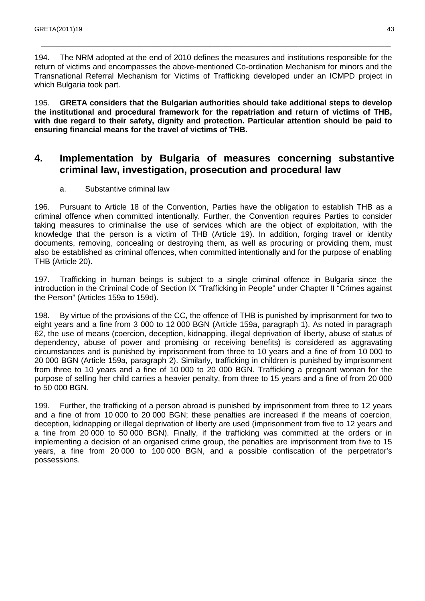194. The NRM adopted at the end of 2010 defines the measures and institutions responsible for the return of victims and encompasses the above-mentioned Co-ordination Mechanism for minors and the Transnational Referral Mechanism for Victims of Trafficking developed under an ICMPD project in which Bulgaria took part.

\_\_\_\_\_\_\_\_\_\_\_\_\_\_\_\_\_\_\_\_\_\_\_\_\_\_\_\_\_\_\_\_\_\_\_\_\_\_\_\_\_\_\_\_\_\_\_\_\_\_\_\_\_\_\_\_\_\_\_\_\_\_\_\_\_\_\_\_\_\_\_\_\_\_\_\_\_\_\_\_\_\_\_\_\_\_\_\_\_\_\_\_\_\_\_\_\_\_\_\_\_\_\_\_\_\_\_\_\_\_

195. **GRETA considers that the Bulgarian authorities should take additional steps to develop the institutional and procedural framework for the repatriation and return of victims of THB, with due regard to their safety, dignity and protection. Particular attention should be paid to ensuring financial means for the travel of victims of THB.** 

## **4. Implementation by Bulgaria of measures concerning substantive criminal law, investigation, prosecution and procedural law**

#### a. Substantive criminal law

196. Pursuant to Article 18 of the Convention, Parties have the obligation to establish THB as a criminal offence when committed intentionally. Further, the Convention requires Parties to consider taking measures to criminalise the use of services which are the object of exploitation, with the knowledge that the person is a victim of THB (Article 19). In addition, forging travel or identity documents, removing, concealing or destroying them, as well as procuring or providing them, must also be established as criminal offences, when committed intentionally and for the purpose of enabling THB (Article 20).

197. Trafficking in human beings is subject to a single criminal offence in Bulgaria since the introduction in the Criminal Code of Section IX "Trafficking in People" under Chapter II "Crimes against the Person" (Articles 159a to 159d).

198. By virtue of the provisions of the CC, the offence of THB is punished by imprisonment for two to eight years and a fine from 3 000 to 12 000 BGN (Article 159a, paragraph 1). As noted in paragraph 62, the use of means (coercion, deception, kidnapping, illegal deprivation of liberty, abuse of status of dependency, abuse of power and promising or receiving benefits) is considered as aggravating circumstances and is punished by imprisonment from three to 10 years and a fine of from 10 000 to 20 000 BGN (Article 159a, paragraph 2). Similarly, trafficking in children is punished by imprisonment from three to 10 years and a fine of 10 000 to 20 000 BGN. Trafficking a pregnant woman for the purpose of selling her child carries a heavier penalty, from three to 15 years and a fine of from 20 000 to 50 000 BGN.

199. Further, the trafficking of a person abroad is punished by imprisonment from three to 12 years and a fine of from 10 000 to 20 000 BGN; these penalties are increased if the means of coercion, deception, kidnapping or illegal deprivation of liberty are used (imprisonment from five to 12 years and a fine from 20 000 to 50 000 BGN). Finally, if the trafficking was committed at the orders or in implementing a decision of an organised crime group, the penalties are imprisonment from five to 15 years, a fine from 20 000 to 100 000 BGN, and a possible confiscation of the perpetrator's possessions.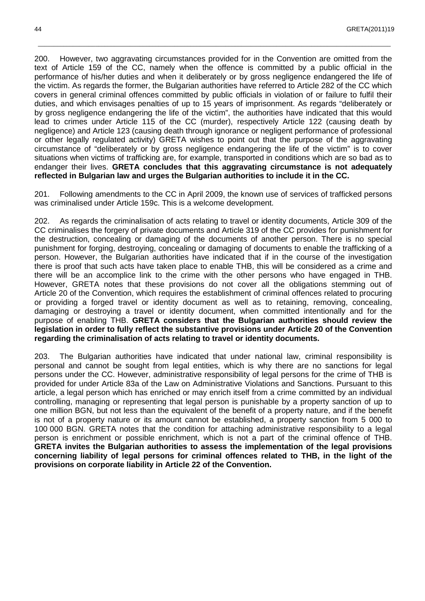200. However, two aggravating circumstances provided for in the Convention are omitted from the text of Article 159 of the CC, namely when the offence is committed by a public official in the performance of his/her duties and when it deliberately or by gross negligence endangered the life of the victim. As regards the former, the Bulgarian authorities have referred to Article 282 of the CC which covers in general criminal offences committed by public officials in violation of or failure to fulfil their duties, and which envisages penalties of up to 15 years of imprisonment. As regards "deliberately or by gross negligence endangering the life of the victim", the authorities have indicated that this would lead to crimes under Article 115 of the CC (murder), respectively Article 122 (causing death by negligence) and Article 123 (causing death through ignorance or negligent performance of professional or other legally regulated activity) GRETA wishes to point out that the purpose of the aggravating circumstance of "deliberately or by gross negligence endangering the life of the victim" is to cover situations when victims of trafficking are, for example, transported in conditions which are so bad as to endanger their lives. **GRETA concludes that this aggravating circumstance is not adequately reflected in Bulgarian law and urges the Bulgarian authorities to include it in the CC.** 

\_\_\_\_\_\_\_\_\_\_\_\_\_\_\_\_\_\_\_\_\_\_\_\_\_\_\_\_\_\_\_\_\_\_\_\_\_\_\_\_\_\_\_\_\_\_\_\_\_\_\_\_\_\_\_\_\_\_\_\_\_\_\_\_\_\_\_\_\_\_\_\_\_\_\_\_\_\_\_\_\_\_\_\_\_\_\_\_\_\_\_\_\_\_\_\_\_\_\_\_\_\_\_\_\_\_\_\_\_\_\_

201. Following amendments to the CC in April 2009, the known use of services of trafficked persons was criminalised under Article 159c. This is a welcome development.

202. As regards the criminalisation of acts relating to travel or identity documents, Article 309 of the CC criminalises the forgery of private documents and Article 319 of the CC provides for punishment for the destruction, concealing or damaging of the documents of another person. There is no special punishment for forging, destroying, concealing or damaging of documents to enable the trafficking of a person. However, the Bulgarian authorities have indicated that if in the course of the investigation there is proof that such acts have taken place to enable THB, this will be considered as a crime and there will be an accomplice link to the crime with the other persons who have engaged in THB. However, GRETA notes that these provisions do not cover all the obligations stemming out of Article 20 of the Convention, which requires the establishment of criminal offences related to procuring or providing a forged travel or identity document as well as to retaining, removing, concealing, damaging or destroying a travel or identity document, when committed intentionally and for the purpose of enabling THB. **GRETA considers that the Bulgarian authorities should review the legislation in order to fully reflect the substantive provisions under Article 20 of the Convention regarding the criminalisation of acts relating to travel or identity documents.** 

203. The Bulgarian authorities have indicated that under national law, criminal responsibility is personal and cannot be sought from legal entities, which is why there are no sanctions for legal persons under the CC. However, administrative responsibility of legal persons for the crime of THB is provided for under Article 83a of the Law on Administrative Violations and Sanctions. Pursuant to this article, a legal person which has enriched or may enrich itself from a crime committed by an individual controlling, managing or representing that legal person is punishable by a property sanction of up to one million BGN, but not less than the equivalent of the benefit of a property nature, and if the benefit is not of a property nature or its amount cannot be established, a property sanction from 5 000 to 100 000 BGN. GRETA notes that the condition for attaching administrative responsibility to a legal person is enrichment or possible enrichment, which is not a part of the criminal offence of THB. **GRETA invites the Bulgarian authorities to assess the implementation of the legal provisions concerning liability of legal persons for criminal offences related to THB, in the light of the provisions on corporate liability in Article 22 of the Convention.**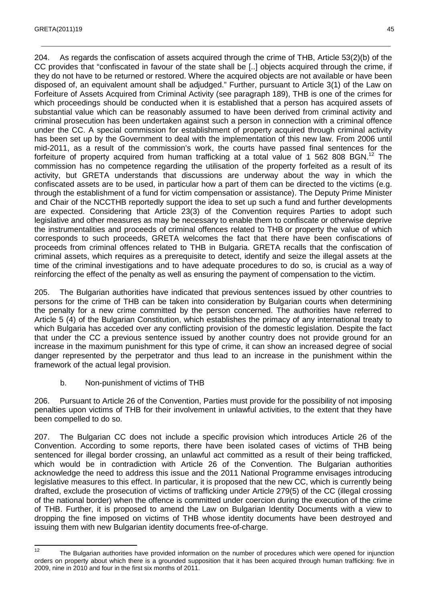204. As regards the confiscation of assets acquired through the crime of THB, Article 53(2)(b) of the CC provides that "confiscated in favour of the state shall be [..] objects acquired through the crime, if they do not have to be returned or restored. Where the acquired objects are not available or have been disposed of, an equivalent amount shall be adjudged." Further, pursuant to Article 3(1) of the Law on Forfeiture of Assets Acquired from Criminal Activity (see paragraph 189), THB is one of the crimes for which proceedings should be conducted when it is established that a person has acquired assets of substantial value which can be reasonably assumed to have been derived from criminal activity and criminal prosecution has been undertaken against such a person in connection with a criminal offence under the CC. A special commission for establishment of property acquired through criminal activity has been set up by the Government to deal with the implementation of this new law. From 2006 until mid-2011, as a result of the commission's work, the courts have passed final sentences for the forfeiture of property acquired from human trafficking at a total value of 1 562 808 BGN.<sup>12</sup> The commission has no competence regarding the utilisation of the property forfeited as a result of its activity, but GRETA understands that discussions are underway about the way in which the confiscated assets are to be used, in particular how a part of them can be directed to the victims (e.g. through the establishment of a fund for victim compensation or assistance). The Deputy Prime Minister and Chair of the NCCTHB reportedly support the idea to set up such a fund and further developments are expected. Considering that Article 23(3) of the Convention requires Parties to adopt such legislative and other measures as may be necessary to enable them to confiscate or otherwise deprive the instrumentalities and proceeds of criminal offences related to THB or property the value of which corresponds to such proceeds, GRETA welcomes the fact that there have been confiscations of proceeds from criminal offences related to THB in Bulgaria. GRETA recalls that the confiscation of criminal assets, which requires as a prerequisite to detect, identify and seize the illegal assets at the time of the criminal investigations and to have adequate procedures to do so, is crucial as a way of reinforcing the effect of the penalty as well as ensuring the payment of compensation to the victim.

\_\_\_\_\_\_\_\_\_\_\_\_\_\_\_\_\_\_\_\_\_\_\_\_\_\_\_\_\_\_\_\_\_\_\_\_\_\_\_\_\_\_\_\_\_\_\_\_\_\_\_\_\_\_\_\_\_\_\_\_\_\_\_\_\_\_\_\_\_\_\_\_\_\_\_\_\_\_\_\_\_\_\_\_\_\_\_\_\_\_\_\_\_\_\_\_\_\_\_\_\_\_\_\_\_\_\_\_\_\_

205. The Bulgarian authorities have indicated that previous sentences issued by other countries to persons for the crime of THB can be taken into consideration by Bulgarian courts when determining the penalty for a new crime committed by the person concerned. The authorities have referred to Article 5 (4) of the Bulgarian Constitution, which establishes the primacy of any international treaty to which Bulgaria has acceded over any conflicting provision of the domestic legislation. Despite the fact that under the CC a previous sentence issued by another country does not provide ground for an increase in the maximum punishment for this type of crime, it can show an increased degree of social danger represented by the perpetrator and thus lead to an increase in the punishment within the framework of the actual legal provision.

b. Non-punishment of victims of THB

206. Pursuant to Article 26 of the Convention, Parties must provide for the possibility of not imposing penalties upon victims of THB for their involvement in unlawful activities, to the extent that they have been compelled to do so.

207. The Bulgarian CC does not include a specific provision which introduces Article 26 of the Convention. According to some reports, there have been isolated cases of victims of THB being sentenced for illegal border crossing, an unlawful act committed as a result of their being trafficked, which would be in contradiction with Article 26 of the Convention. The Bulgarian authorities acknowledge the need to address this issue and the 2011 National Programme envisages introducing legislative measures to this effect. In particular, it is proposed that the new CC, which is currently being drafted, exclude the prosecution of victims of trafficking under Article 279(5) of the CC (illegal crossing of the national border) when the offence is committed under coercion during the execution of the crime of THB. Further, it is proposed to amend the Law on Bulgarian Identity Documents with a view to dropping the fine imposed on victims of THB whose identity documents have been destroyed and issuing them with new Bulgarian identity documents free-of-charge.

 $\frac{1}{12}$  The Bulgarian authorities have provided information on the number of procedures which were opened for injunction orders on property about which there is a grounded supposition that it has been acquired through human trafficking: five in 2009, nine in 2010 and four in the first six months of 2011.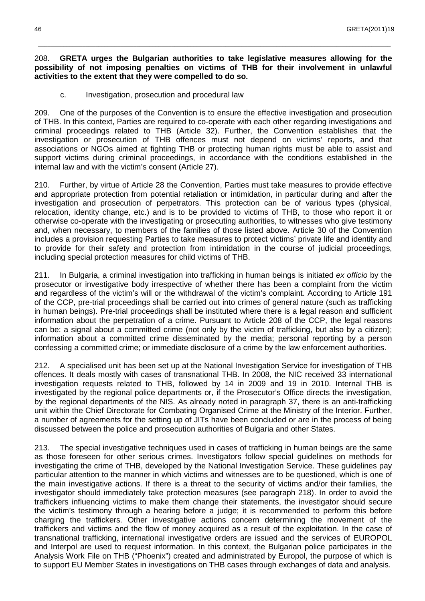#### 208. **GRETA urges the Bulgarian authorities to take legislative measures allowing for the possibility of not imposing penalties on victims of THB for their involvement in unlawful activities to the extent that they were compelled to do so.**

\_\_\_\_\_\_\_\_\_\_\_\_\_\_\_\_\_\_\_\_\_\_\_\_\_\_\_\_\_\_\_\_\_\_\_\_\_\_\_\_\_\_\_\_\_\_\_\_\_\_\_\_\_\_\_\_\_\_\_\_\_\_\_\_\_\_\_\_\_\_\_\_\_\_\_\_\_\_\_\_\_\_\_\_\_\_\_\_\_\_\_\_\_\_\_\_\_\_\_\_\_\_\_\_\_\_\_\_\_\_\_

c. Investigation, prosecution and procedural law

209. One of the purposes of the Convention is to ensure the effective investigation and prosecution of THB. In this context, Parties are required to co-operate with each other regarding investigations and criminal proceedings related to THB (Article 32). Further, the Convention establishes that the investigation or prosecution of THB offences must not depend on victims' reports, and that associations or NGOs aimed at fighting THB or protecting human rights must be able to assist and support victims during criminal proceedings, in accordance with the conditions established in the internal law and with the victim's consent (Article 27).

210. Further, by virtue of Article 28 the Convention, Parties must take measures to provide effective and appropriate protection from potential retaliation or intimidation, in particular during and after the investigation and prosecution of perpetrators. This protection can be of various types (physical, relocation, identity change, etc.) and is to be provided to victims of THB, to those who report it or otherwise co-operate with the investigating or prosecuting authorities, to witnesses who give testimony and, when necessary, to members of the families of those listed above. Article 30 of the Convention includes a provision requesting Parties to take measures to protect victims' private life and identity and to provide for their safety and protection from intimidation in the course of judicial proceedings, including special protection measures for child victims of THB.

211. In Bulgaria, a criminal investigation into trafficking in human beings is initiated ex officio by the prosecutor or investigative body irrespective of whether there has been a complaint from the victim and regardless of the victim's will or the withdrawal of the victim's complaint. According to Article 191 of the CCP, pre-trial proceedings shall be carried out into crimes of general nature (such as trafficking in human beings). Pre-trial proceedings shall be instituted where there is a legal reason and sufficient information about the perpetration of a crime. Pursuant to Article 208 of the CCP, the legal reasons can be: a signal about a committed crime (not only by the victim of trafficking, but also by a citizen); information about a committed crime disseminated by the media; personal reporting by a person confessing a committed crime; or immediate disclosure of a crime by the law enforcement authorities.

212. A specialised unit has been set up at the National Investigation Service for investigation of THB offences. It deals mostly with cases of transnational THB. In 2008, the NIC received 33 international investigation requests related to THB, followed by 14 in 2009 and 19 in 2010. Internal THB is investigated by the regional police departments or, if the Prosecutor's Office directs the investigation, by the regional departments of the NIS. As already noted in paragraph 37, there is an anti-trafficking unit within the Chief Directorate for Combating Organised Crime at the Ministry of the Interior. Further, a number of agreements for the setting up of JITs have been concluded or are in the process of being discussed between the police and prosecution authorities of Bulgaria and other States.

213. The special investigative techniques used in cases of trafficking in human beings are the same as those foreseen for other serious crimes. Investigators follow special guidelines on methods for investigating the crime of THB, developed by the National Investigation Service. These guidelines pay particular attention to the manner in which victims and witnesses are to be questioned, which is one of the main investigative actions. If there is a threat to the security of victims and/or their families, the investigator should immediately take protection measures (see paragraph 218). In order to avoid the traffickers influencing victims to make them change their statements, the investigator should secure the victim's testimony through a hearing before a judge; it is recommended to perform this before charging the traffickers. Other investigative actions concern determining the movement of the traffickers and victims and the flow of money acquired as a result of the exploitation. In the case of transnational trafficking, international investigative orders are issued and the services of EUROPOL and Interpol are used to request information. In this context, the Bulgarian police participates in the Analysis Work File on THB ("Phoenix") created and administrated by Europol, the purpose of which is to support EU Member States in investigations on THB cases through exchanges of data and analysis.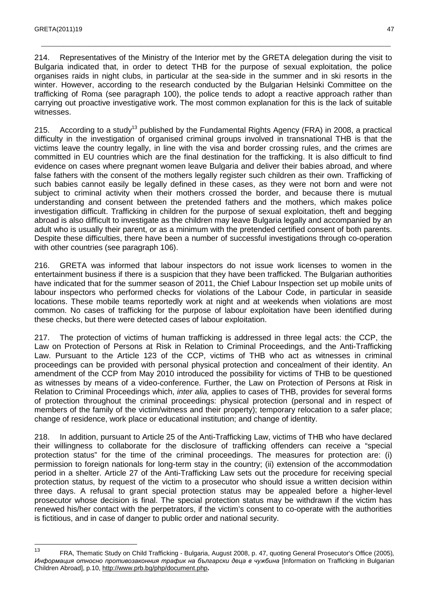214. Representatives of the Ministry of the Interior met by the GRETA delegation during the visit to Bulgaria indicated that, in order to detect THB for the purpose of sexual exploitation, the police organises raids in night clubs, in particular at the sea-side in the summer and in ski resorts in the winter. However, according to the research conducted by the Bulgarian Helsinki Committee on the trafficking of Roma (see paragraph 100), the police tends to adopt a reactive approach rather than carrying out proactive investigative work. The most common explanation for this is the lack of suitable witnesses.

\_\_\_\_\_\_\_\_\_\_\_\_\_\_\_\_\_\_\_\_\_\_\_\_\_\_\_\_\_\_\_\_\_\_\_\_\_\_\_\_\_\_\_\_\_\_\_\_\_\_\_\_\_\_\_\_\_\_\_\_\_\_\_\_\_\_\_\_\_\_\_\_\_\_\_\_\_\_\_\_\_\_\_\_\_\_\_\_\_\_\_\_\_\_\_\_\_\_\_\_\_\_\_\_\_\_\_\_\_\_

215. According to a study<sup>13</sup> published by the Fundamental Rights Agency (FRA) in 2008, a practical difficulty in the investigation of organised criminal groups involved in transnational THB is that the victims leave the country legally, in line with the visa and border crossing rules, and the crimes are committed in EU countries which are the final destination for the trafficking. It is also difficult to find evidence on cases where pregnant women leave Bulgaria and deliver their babies abroad, and where false fathers with the consent of the mothers legally register such children as their own. Trafficking of such babies cannot easily be legally defined in these cases, as they were not born and were not subject to criminal activity when their mothers crossed the border, and because there is mutual understanding and consent between the pretended fathers and the mothers, which makes police investigation difficult. Trafficking in children for the purpose of sexual exploitation, theft and begging abroad is also difficult to investigate as the children may leave Bulgaria legally and accompanied by an adult who is usually their parent, or as a minimum with the pretended certified consent of both parents. Despite these difficulties, there have been a number of successful investigations through co-operation with other countries (see paragraph 106).

216. GRETA was informed that labour inspectors do not issue work licenses to women in the entertainment business if there is a suspicion that they have been trafficked. The Bulgarian authorities have indicated that for the summer season of 2011, the Chief Labour Inspection set up mobile units of labour inspectors who performed checks for violations of the Labour Code, in particular in seaside locations. These mobile teams reportedly work at night and at weekends when violations are most common. No cases of trafficking for the purpose of labour exploitation have been identified during these checks, but there were detected cases of labour exploitation.

217. The protection of victims of human trafficking is addressed in three legal acts: the CCP, the Law on Protection of Persons at Risk in Relation to Criminal Proceedings, and the Anti-Trafficking Law. Pursuant to the Article 123 of the CCP, victims of THB who act as witnesses in criminal proceedings can be provided with personal physical protection and concealment of their identity. An amendment of the CCP from May 2010 introduced the possibility for victims of THB to be questioned as witnesses by means of a video-conference. Further, the Law on Protection of Persons at Risk in Relation to Criminal Proceedings which, inter alia, applies to cases of THB, provides for several forms of protection throughout the criminal proceedings: physical protection (personal and in respect of members of the family of the victim/witness and their property); temporary relocation to a safer place; change of residence, work place or educational institution; and change of identity.

218. In addition, pursuant to Article 25 of the Anti-Trafficking Law, victims of THB who have declared their willingness to collaborate for the disclosure of trafficking offenders can receive a "special protection status" for the time of the criminal proceedings. The measures for protection are: (i) permission to foreign nationals for long-term stay in the country; (ii) extension of the accommodation period in a shelter. Article 27 of the Anti-Trafficking Law sets out the procedure for receiving special protection status, by request of the victim to a prosecutor who should issue a written decision within three days. A refusal to grant special protection status may be appealed before a higher-level prosecutor whose decision is final. The special protection status may be withdrawn if the victim has renewed his/her contact with the perpetrators, if the victim's consent to co-operate with the authorities is fictitious, and in case of danger to public order and national security.

 $\frac{1}{13}$  FRA, Thematic Study on Child Trafficking - Bulgaria, August 2008, p. 47, quoting General Prosecutor's Office (2005), Информация относно противозаконния трафик на български деца в чужбина [Information on Trafficking in Bulgarian Children Abroad], p.10, http://www.prb.bg/php/document.php**.**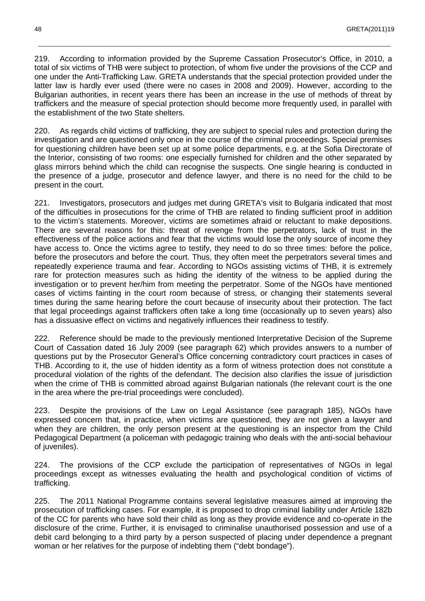219. According to information provided by the Supreme Cassation Prosecutor's Office, in 2010, a total of six victims of THB were subject to protection, of whom five under the provisions of the CCP and one under the Anti-Trafficking Law. GRETA understands that the special protection provided under the latter law is hardly ever used (there were no cases in 2008 and 2009). However, according to the Bulgarian authorities, in recent years there has been an increase in the use of methods of threat by traffickers and the measure of special protection should become more frequently used, in parallel with the establishment of the two State shelters.

\_\_\_\_\_\_\_\_\_\_\_\_\_\_\_\_\_\_\_\_\_\_\_\_\_\_\_\_\_\_\_\_\_\_\_\_\_\_\_\_\_\_\_\_\_\_\_\_\_\_\_\_\_\_\_\_\_\_\_\_\_\_\_\_\_\_\_\_\_\_\_\_\_\_\_\_\_\_\_\_\_\_\_\_\_\_\_\_\_\_\_\_\_\_\_\_\_\_\_\_\_\_\_\_\_\_\_\_\_\_\_

220. As regards child victims of trafficking, they are subject to special rules and protection during the investigation and are questioned only once in the course of the criminal proceedings. Special premises for questioning children have been set up at some police departments, e.g. at the Sofia Directorate of the Interior, consisting of two rooms: one especially furnished for children and the other separated by glass mirrors behind which the child can recognise the suspects. One single hearing is conducted in the presence of a judge, prosecutor and defence lawyer, and there is no need for the child to be present in the court.

221. Investigators, prosecutors and judges met during GRETA's visit to Bulgaria indicated that most of the difficulties in prosecutions for the crime of THB are related to finding sufficient proof in addition to the victim's statements. Moreover, victims are sometimes afraid or reluctant to make depositions. There are several reasons for this: threat of revenge from the perpetrators, lack of trust in the effectiveness of the police actions and fear that the victims would lose the only source of income they have access to. Once the victims agree to testify, they need to do so three times: before the police, before the prosecutors and before the court. Thus, they often meet the perpetrators several times and repeatedly experience trauma and fear. According to NGOs assisting victims of THB, it is extremely rare for protection measures such as hiding the identity of the witness to be applied during the investigation or to prevent her/him from meeting the perpetrator. Some of the NGOs have mentioned cases of victims fainting in the court room because of stress, or changing their statements several times during the same hearing before the court because of insecurity about their protection. The fact that legal proceedings against traffickers often take a long time (occasionally up to seven years) also has a dissuasive effect on victims and negatively influences their readiness to testify.

222. Reference should be made to the previously mentioned Interpretative Decision of the Supreme Court of Cassation dated 16 July 2009 (see paragraph 62) which provides answers to a number of questions put by the Prosecutor General's Office concerning contradictory court practices in cases of THB. According to it, the use of hidden identity as a form of witness protection does not constitute a procedural violation of the rights of the defendant. The decision also clarifies the issue of jurisdiction when the crime of THB is committed abroad against Bulgarian nationals (the relevant court is the one in the area where the pre-trial proceedings were concluded).

223. Despite the provisions of the Law on Legal Assistance (see paragraph 185), NGOs have expressed concern that, in practice, when victims are questioned, they are not given a lawyer and when they are children, the only person present at the questioning is an inspector from the Child Pedagogical Department (a policeman with pedagogic training who deals with the anti-social behaviour of juveniles).

224. The provisions of the CCP exclude the participation of representatives of NGOs in legal proceedings except as witnesses evaluating the health and psychological condition of victims of trafficking.

225. The 2011 National Programme contains several legislative measures aimed at improving the prosecution of trafficking cases. For example, it is proposed to drop criminal liability under Article 182b of the CC for parents who have sold their child as long as they provide evidence and co-operate in the disclosure of the crime. Further, it is envisaged to criminalise unauthorised possession and use of a debit card belonging to a third party by a person suspected of placing under dependence a pregnant woman or her relatives for the purpose of indebting them ("debt bondage").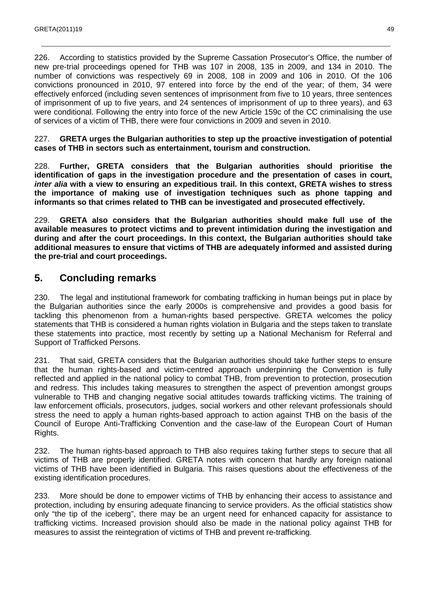226. According to statistics provided by the Supreme Cassation Prosecutor's Office, the number of new pre-trial proceedings opened for THB was 107 in 2008, 135 in 2009, and 134 in 2010. The number of convictions was respectively 69 in 2008, 108 in 2009 and 106 in 2010. Of the 106 convictions pronounced in 2010, 97 entered into force by the end of the year; of them, 34 were effectively enforced (including seven sentences of imprisonment from five to 10 years, three sentences of imprisonment of up to five years, and 24 sentences of imprisonment of up to three years), and 63 were conditional. Following the entry into force of the new Article 159c of the CC criminalising the use of services of a victim of THB, there were four convictions in 2009 and seven in 2010.

\_\_\_\_\_\_\_\_\_\_\_\_\_\_\_\_\_\_\_\_\_\_\_\_\_\_\_\_\_\_\_\_\_\_\_\_\_\_\_\_\_\_\_\_\_\_\_\_\_\_\_\_\_\_\_\_\_\_\_\_\_\_\_\_\_\_\_\_\_\_\_\_\_\_\_\_\_\_\_\_\_\_\_\_\_\_\_\_\_\_\_\_\_\_\_\_\_\_\_\_\_\_\_\_\_\_\_\_\_\_

227. **GRETA urges the Bulgarian authorities to step up the proactive investigation of potential cases of THB in sectors such as entertainment, tourism and construction.** 

228. **Further, GRETA considers that the Bulgarian authorities should prioritise the identification of gaps in the investigation procedure and the presentation of cases in court, inter alia with a view to ensuring an expeditious trail. In this context, GRETA wishes to stress the importance of making use of investigation techniques such as phone tapping and informants so that crimes related to THB can be investigated and prosecuted effectively.** 

229. **GRETA also considers that the Bulgarian authorities should make full use of the available measures to protect victims and to prevent intimidation during the investigation and during and after the court proceedings. In this context, the Bulgarian authorities should take additional measures to ensure that victims of THB are adequately informed and assisted during the pre-trial and court proceedings.**

## **5. Concluding remarks**

230. The legal and institutional framework for combating trafficking in human beings put in place by the Bulgarian authorities since the early 2000s is comprehensive and provides a good basis for tackling this phenomenon from a human-rights based perspective. GRETA welcomes the policy statements that THB is considered a human rights violation in Bulgaria and the steps taken to translate these statements into practice, most recently by setting up a National Mechanism for Referral and Support of Trafficked Persons.

231. That said, GRETA considers that the Bulgarian authorities should take further steps to ensure that the human rights-based and victim-centred approach underpinning the Convention is fully reflected and applied in the national policy to combat THB, from prevention to protection, prosecution and redress. This includes taking measures to strengthen the aspect of prevention amongst groups vulnerable to THB and changing negative social attitudes towards trafficking victims. The training of law enforcement officials, prosecutors, judges, social workers and other relevant professionals should stress the need to apply a human rights-based approach to action against THB on the basis of the Council of Europe Anti-Trafficking Convention and the case-law of the European Court of Human Rights.

232. The human rights-based approach to THB also requires taking further steps to secure that all victims of THB are properly identified. GRETA notes with concern that hardly any foreign national victims of THB have been identified in Bulgaria. This raises questions about the effectiveness of the existing identification procedures.

233. More should be done to empower victims of THB by enhancing their access to assistance and protection, including by ensuring adequate financing to service providers. As the official statistics show only "the tip of the iceberg", there may be an urgent need for enhanced capacity for assistance to trafficking victims. Increased provision should also be made in the national policy against THB for measures to assist the reintegration of victims of THB and prevent re-trafficking.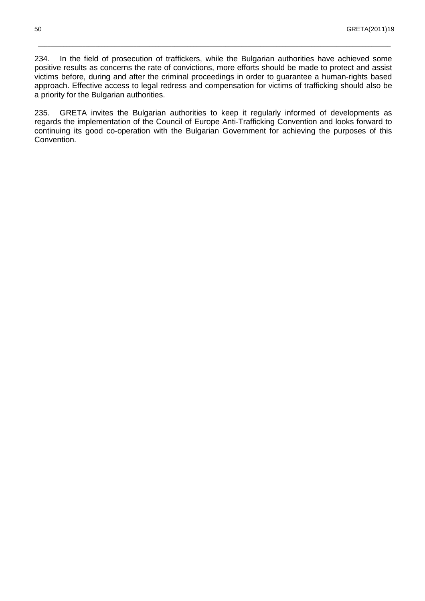234. In the field of prosecution of traffickers, while the Bulgarian authorities have achieved some positive results as concerns the rate of convictions, more efforts should be made to protect and assist victims before, during and after the criminal proceedings in order to guarantee a human-rights based approach. Effective access to legal redress and compensation for victims of trafficking should also be a priority for the Bulgarian authorities.

\_\_\_\_\_\_\_\_\_\_\_\_\_\_\_\_\_\_\_\_\_\_\_\_\_\_\_\_\_\_\_\_\_\_\_\_\_\_\_\_\_\_\_\_\_\_\_\_\_\_\_\_\_\_\_\_\_\_\_\_\_\_\_\_\_\_\_\_\_\_\_\_\_\_\_\_\_\_\_\_\_\_\_\_\_\_\_\_\_\_\_\_\_\_\_\_\_\_\_\_\_\_\_\_\_\_\_\_\_\_\_

235. GRETA invites the Bulgarian authorities to keep it regularly informed of developments as regards the implementation of the Council of Europe Anti-Trafficking Convention and looks forward to continuing its good co-operation with the Bulgarian Government for achieving the purposes of this Convention.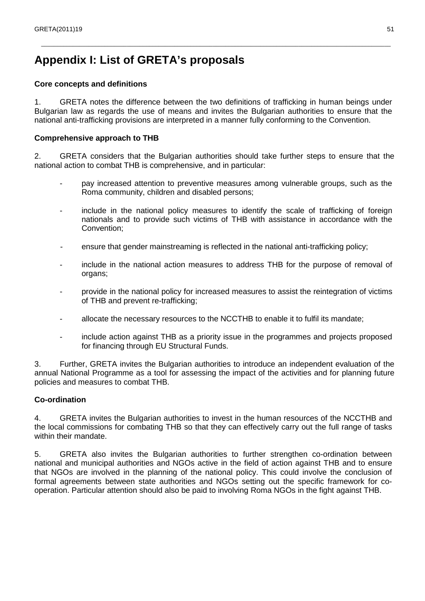## **Appendix I: List of GRETA's proposals**

#### **Core concepts and definitions**

1. GRETA notes the difference between the two definitions of trafficking in human beings under Bulgarian law as regards the use of means and invites the Bulgarian authorities to ensure that the national anti-trafficking provisions are interpreted in a manner fully conforming to the Convention.

\_\_\_\_\_\_\_\_\_\_\_\_\_\_\_\_\_\_\_\_\_\_\_\_\_\_\_\_\_\_\_\_\_\_\_\_\_\_\_\_\_\_\_\_\_\_\_\_\_\_\_\_\_\_\_\_\_\_\_\_\_\_\_\_\_\_\_\_\_\_\_\_\_\_\_\_\_\_\_\_\_\_\_\_\_\_\_\_\_\_\_\_\_\_\_\_\_\_\_\_\_\_\_\_\_\_\_\_\_\_

#### **Comprehensive approach to THB**

2. GRETA considers that the Bulgarian authorities should take further steps to ensure that the national action to combat THB is comprehensive, and in particular:

- pay increased attention to preventive measures among vulnerable groups, such as the Roma community, children and disabled persons;
- include in the national policy measures to identify the scale of trafficking of foreign nationals and to provide such victims of THB with assistance in accordance with the Convention;
- ensure that gender mainstreaming is reflected in the national anti-trafficking policy;
- include in the national action measures to address THB for the purpose of removal of organs;
- provide in the national policy for increased measures to assist the reintegration of victims of THB and prevent re-trafficking;
- allocate the necessary resources to the NCCTHB to enable it to fulfil its mandate;
- include action against THB as a priority issue in the programmes and projects proposed for financing through EU Structural Funds.

3. Further, GRETA invites the Bulgarian authorities to introduce an independent evaluation of the annual National Programme as a tool for assessing the impact of the activities and for planning future policies and measures to combat THB.

#### **Co-ordination**

4. GRETA invites the Bulgarian authorities to invest in the human resources of the NCCTHB and the local commissions for combating THB so that they can effectively carry out the full range of tasks within their mandate.

5. GRETA also invites the Bulgarian authorities to further strengthen co-ordination between national and municipal authorities and NGOs active in the field of action against THB and to ensure that NGOs are involved in the planning of the national policy. This could involve the conclusion of formal agreements between state authorities and NGOs setting out the specific framework for cooperation. Particular attention should also be paid to involving Roma NGOs in the fight against THB.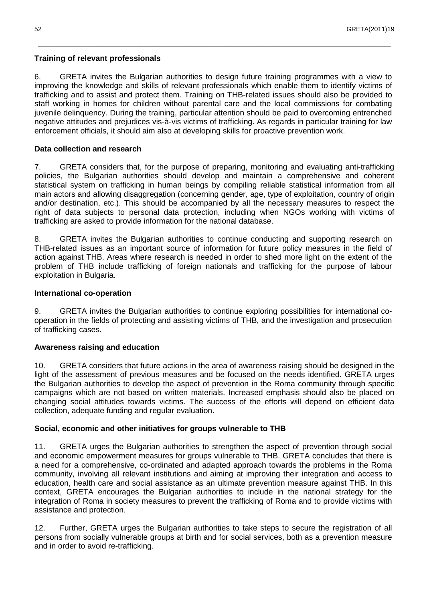#### **Training of relevant professionals**

6. GRETA invites the Bulgarian authorities to design future training programmes with a view to improving the knowledge and skills of relevant professionals which enable them to identify victims of trafficking and to assist and protect them. Training on THB-related issues should also be provided to staff working in homes for children without parental care and the local commissions for combating juvenile delinquency. During the training, particular attention should be paid to overcoming entrenched negative attitudes and prejudices vis-à-vis victims of trafficking. As regards in particular training for law enforcement officials, it should aim also at developing skills for proactive prevention work.

\_\_\_\_\_\_\_\_\_\_\_\_\_\_\_\_\_\_\_\_\_\_\_\_\_\_\_\_\_\_\_\_\_\_\_\_\_\_\_\_\_\_\_\_\_\_\_\_\_\_\_\_\_\_\_\_\_\_\_\_\_\_\_\_\_\_\_\_\_\_\_\_\_\_\_\_\_\_\_\_\_\_\_\_\_\_\_\_\_\_\_\_\_\_\_\_\_\_\_\_\_\_\_\_\_\_\_\_\_\_\_

#### **Data collection and research**

7. GRETA considers that, for the purpose of preparing, monitoring and evaluating anti-trafficking policies, the Bulgarian authorities should develop and maintain a comprehensive and coherent statistical system on trafficking in human beings by compiling reliable statistical information from all main actors and allowing disaggregation (concerning gender, age, type of exploitation, country of origin and/or destination, etc.). This should be accompanied by all the necessary measures to respect the right of data subjects to personal data protection, including when NGOs working with victims of trafficking are asked to provide information for the national database.

8. GRETA invites the Bulgarian authorities to continue conducting and supporting research on THB-related issues as an important source of information for future policy measures in the field of action against THB. Areas where research is needed in order to shed more light on the extent of the problem of THB include trafficking of foreign nationals and trafficking for the purpose of labour exploitation in Bulgaria.

#### **International co-operation**

9. GRETA invites the Bulgarian authorities to continue exploring possibilities for international cooperation in the fields of protecting and assisting victims of THB, and the investigation and prosecution of trafficking cases.

#### **Awareness raising and education**

10. GRETA considers that future actions in the area of awareness raising should be designed in the light of the assessment of previous measures and be focused on the needs identified. GRETA urges the Bulgarian authorities to develop the aspect of prevention in the Roma community through specific campaigns which are not based on written materials. Increased emphasis should also be placed on changing social attitudes towards victims. The success of the efforts will depend on efficient data collection, adequate funding and regular evaluation.

#### **Social, economic and other initiatives for groups vulnerable to THB**

11. GRETA urges the Bulgarian authorities to strengthen the aspect of prevention through social and economic empowerment measures for groups vulnerable to THB. GRETA concludes that there is a need for a comprehensive, co-ordinated and adapted approach towards the problems in the Roma community, involving all relevant institutions and aiming at improving their integration and access to education, health care and social assistance as an ultimate prevention measure against THB. In this context, GRETA encourages the Bulgarian authorities to include in the national strategy for the integration of Roma in society measures to prevent the trafficking of Roma and to provide victims with assistance and protection.

12. Further, GRETA urges the Bulgarian authorities to take steps to secure the registration of all persons from socially vulnerable groups at birth and for social services, both as a prevention measure and in order to avoid re-trafficking.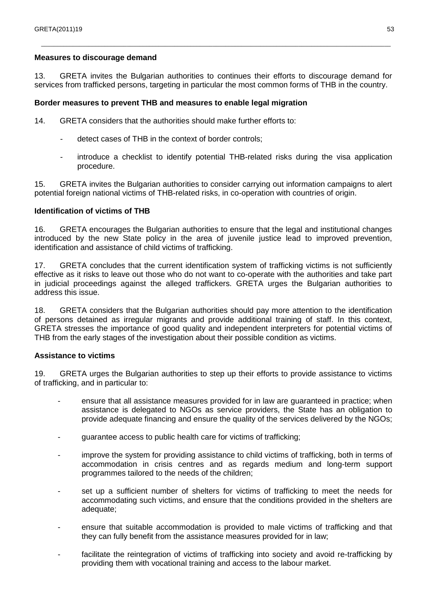#### **Measures to discourage demand**

13. GRETA invites the Bulgarian authorities to continues their efforts to discourage demand for services from trafficked persons, targeting in particular the most common forms of THB in the country.

\_\_\_\_\_\_\_\_\_\_\_\_\_\_\_\_\_\_\_\_\_\_\_\_\_\_\_\_\_\_\_\_\_\_\_\_\_\_\_\_\_\_\_\_\_\_\_\_\_\_\_\_\_\_\_\_\_\_\_\_\_\_\_\_\_\_\_\_\_\_\_\_\_\_\_\_\_\_\_\_\_\_\_\_\_\_\_\_\_\_\_\_\_\_\_\_\_\_\_\_\_\_\_\_\_\_\_\_\_\_

#### **Border measures to prevent THB and measures to enable legal migration**

14. GRETA considers that the authorities should make further efforts to:

- detect cases of THB in the context of border controls;
- introduce a checklist to identify potential THB-related risks during the visa application procedure.

15. GRETA invites the Bulgarian authorities to consider carrying out information campaigns to alert potential foreign national victims of THB-related risks, in co-operation with countries of origin.

#### **Identification of victims of THB**

16. GRETA encourages the Bulgarian authorities to ensure that the legal and institutional changes introduced by the new State policy in the area of juvenile justice lead to improved prevention, identification and assistance of child victims of trafficking.

17. GRETA concludes that the current identification system of trafficking victims is not sufficiently effective as it risks to leave out those who do not want to co-operate with the authorities and take part in judicial proceedings against the alleged traffickers. GRETA urges the Bulgarian authorities to address this issue.

18. GRETA considers that the Bulgarian authorities should pay more attention to the identification of persons detained as irregular migrants and provide additional training of staff. In this context, GRETA stresses the importance of good quality and independent interpreters for potential victims of THB from the early stages of the investigation about their possible condition as victims.

#### **Assistance to victims**

19. GRETA urges the Bulgarian authorities to step up their efforts to provide assistance to victims of trafficking, and in particular to:

- ensure that all assistance measures provided for in law are guaranteed in practice; when assistance is delegated to NGOs as service providers, the State has an obligation to provide adequate financing and ensure the quality of the services delivered by the NGOs;
- guarantee access to public health care for victims of trafficking;
- improve the system for providing assistance to child victims of trafficking, both in terms of accommodation in crisis centres and as regards medium and long-term support programmes tailored to the needs of the children;
- set up a sufficient number of shelters for victims of trafficking to meet the needs for accommodating such victims, and ensure that the conditions provided in the shelters are adequate;
- ensure that suitable accommodation is provided to male victims of trafficking and that they can fully benefit from the assistance measures provided for in law;
- facilitate the reintegration of victims of trafficking into society and avoid re-trafficking by providing them with vocational training and access to the labour market.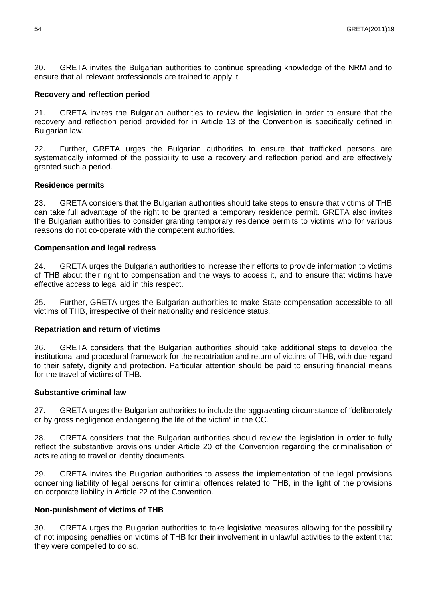20. GRETA invites the Bulgarian authorities to continue spreading knowledge of the NRM and to ensure that all relevant professionals are trained to apply it.

\_\_\_\_\_\_\_\_\_\_\_\_\_\_\_\_\_\_\_\_\_\_\_\_\_\_\_\_\_\_\_\_\_\_\_\_\_\_\_\_\_\_\_\_\_\_\_\_\_\_\_\_\_\_\_\_\_\_\_\_\_\_\_\_\_\_\_\_\_\_\_\_\_\_\_\_\_\_\_\_\_\_\_\_\_\_\_\_\_\_\_\_\_\_\_\_\_\_\_\_\_\_\_\_\_\_\_\_\_\_\_

#### **Recovery and reflection period**

21. GRETA invites the Bulgarian authorities to review the legislation in order to ensure that the recovery and reflection period provided for in Article 13 of the Convention is specifically defined in Bulgarian law.

22. Further, GRETA urges the Bulgarian authorities to ensure that trafficked persons are systematically informed of the possibility to use a recovery and reflection period and are effectively granted such a period.

#### **Residence permits**

23. GRETA considers that the Bulgarian authorities should take steps to ensure that victims of THB can take full advantage of the right to be granted a temporary residence permit. GRETA also invites the Bulgarian authorities to consider granting temporary residence permits to victims who for various reasons do not co-operate with the competent authorities.

#### **Compensation and legal redress**

24. GRETA urges the Bulgarian authorities to increase their efforts to provide information to victims of THB about their right to compensation and the ways to access it, and to ensure that victims have effective access to legal aid in this respect.

25. Further, GRETA urges the Bulgarian authorities to make State compensation accessible to all victims of THB, irrespective of their nationality and residence status.

#### **Repatriation and return of victims**

26. GRETA considers that the Bulgarian authorities should take additional steps to develop the institutional and procedural framework for the repatriation and return of victims of THB, with due regard to their safety, dignity and protection. Particular attention should be paid to ensuring financial means for the travel of victims of THB.

#### **Substantive criminal law**

27. GRETA urges the Bulgarian authorities to include the aggravating circumstance of "deliberately or by gross negligence endangering the life of the victim" in the CC.

28. GRETA considers that the Bulgarian authorities should review the legislation in order to fully reflect the substantive provisions under Article 20 of the Convention regarding the criminalisation of acts relating to travel or identity documents.

29. GRETA invites the Bulgarian authorities to assess the implementation of the legal provisions concerning liability of legal persons for criminal offences related to THB, in the light of the provisions on corporate liability in Article 22 of the Convention.

#### **Non-punishment of victims of THB**

30. GRETA urges the Bulgarian authorities to take legislative measures allowing for the possibility of not imposing penalties on victims of THB for their involvement in unlawful activities to the extent that they were compelled to do so.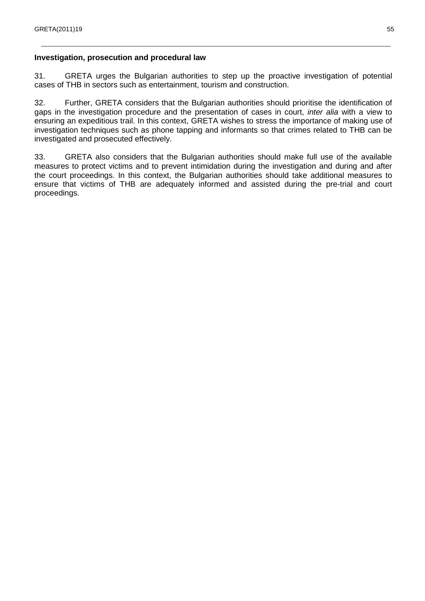#### **Investigation, prosecution and procedural law**

31. GRETA urges the Bulgarian authorities to step up the proactive investigation of potential cases of THB in sectors such as entertainment, tourism and construction.

\_\_\_\_\_\_\_\_\_\_\_\_\_\_\_\_\_\_\_\_\_\_\_\_\_\_\_\_\_\_\_\_\_\_\_\_\_\_\_\_\_\_\_\_\_\_\_\_\_\_\_\_\_\_\_\_\_\_\_\_\_\_\_\_\_\_\_\_\_\_\_\_\_\_\_\_\_\_\_\_\_\_\_\_\_\_\_\_\_\_\_\_\_\_\_\_\_\_\_\_\_\_\_\_\_\_\_\_\_\_

32. Further, GRETA considers that the Bulgarian authorities should prioritise the identification of gaps in the investigation procedure and the presentation of cases in court, *inter alia* with a view to ensuring an expeditious trail. In this context, GRETA wishes to stress the importance of making use of investigation techniques such as phone tapping and informants so that crimes related to THB can be investigated and prosecuted effectively.

33. GRETA also considers that the Bulgarian authorities should make full use of the available measures to protect victims and to prevent intimidation during the investigation and during and after the court proceedings. In this context, the Bulgarian authorities should take additional measures to ensure that victims of THB are adequately informed and assisted during the pre-trial and court proceedings.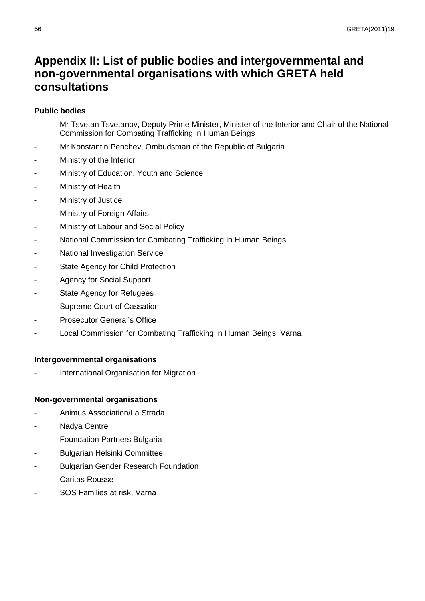## **Appendix II: List of public bodies and intergovernmental and non-governmental organisations with which GRETA held consultations**

#### **Public bodies**

Mr Tsvetan Tsvetanov, Deputy Prime Minister, Minister of the Interior and Chair of the National Commission for Combating Trafficking in Human Beings

\_\_\_\_\_\_\_\_\_\_\_\_\_\_\_\_\_\_\_\_\_\_\_\_\_\_\_\_\_\_\_\_\_\_\_\_\_\_\_\_\_\_\_\_\_\_\_\_\_\_\_\_\_\_\_\_\_\_\_\_\_\_\_\_\_\_\_\_\_\_\_\_\_\_\_\_\_\_\_\_\_\_\_\_\_\_\_\_\_\_\_\_\_\_\_\_\_\_\_\_\_\_\_\_\_\_\_\_\_\_\_

- Mr Konstantin Penchey, Ombudsman of the Republic of Bulgaria
- Ministry of the Interior
- Ministry of Education, Youth and Science
- Ministry of Health
- Ministry of Justice
- Ministry of Foreign Affairs
- Ministry of Labour and Social Policy
- National Commission for Combating Trafficking in Human Beings
- National Investigation Service
- State Agency for Child Protection
- Agency for Social Support
- State Agency for Refugees
- Supreme Court of Cassation
- Prosecutor General's Office
- Local Commission for Combating Trafficking in Human Beings, Varna

#### **Intergovernmental organisations**

International Organisation for Migration

#### **Non-governmental organisations**

- Animus Association/La Strada
- Nadya Centre
- **Foundation Partners Bulgaria**
- Bulgarian Helsinki Committee
- **Bulgarian Gender Research Foundation**
- Caritas Rousse
- SOS Families at risk, Varna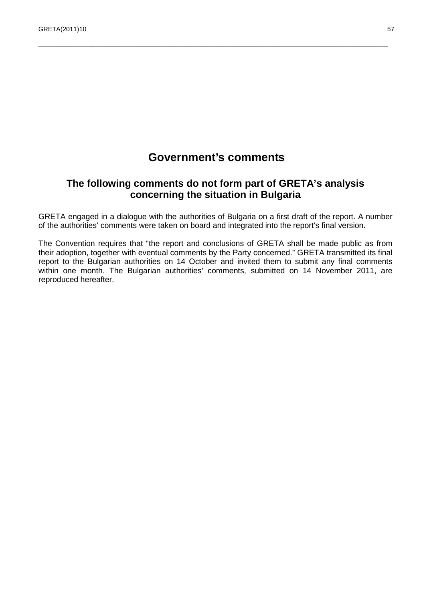## **Government's comments**

\_\_\_\_\_\_\_\_\_\_\_\_\_\_\_\_\_\_\_\_\_\_\_\_\_\_\_\_\_\_\_\_\_\_\_\_\_\_\_\_\_\_\_\_\_\_\_\_\_\_\_\_\_\_\_\_\_\_\_\_\_\_\_\_\_\_\_\_\_\_\_\_\_\_\_\_\_\_\_\_\_\_\_\_\_\_\_\_\_\_\_\_\_\_\_\_\_\_\_\_\_\_\_\_\_\_\_\_\_\_

## **The following comments do not form part of GRETA's analysis concerning the situation in Bulgaria**

GRETA engaged in a dialogue with the authorities of Bulgaria on a first draft of the report. A number of the authorities' comments were taken on board and integrated into the report's final version.

The Convention requires that "the report and conclusions of GRETA shall be made public as from their adoption, together with eventual comments by the Party concerned." GRETA transmitted its final report to the Bulgarian authorities on 14 October and invited them to submit any final comments within one month. The Bulgarian authorities' comments, submitted on 14 November 2011, are reproduced hereafter.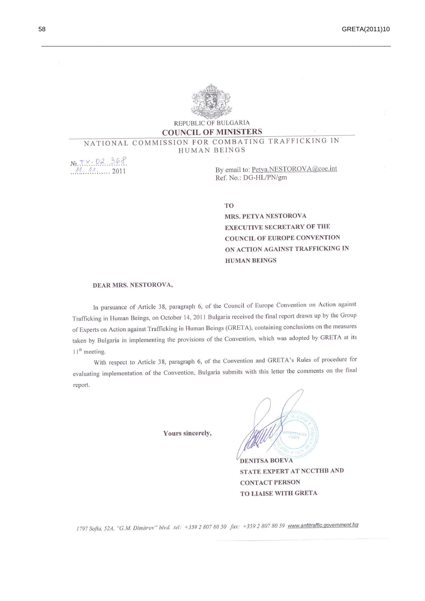

#### REPUBLIC OF BULGARIA **COUNCIL OF MINISTERS**

#### NATIONAL COMMISSION FOR COMBATING TRAFFICKING IN HUMAN BEINGS

 $N_2.T - 02.368$  $M_{\odot} M_{\odot}$  2011

By email to: Petya.NESTOROVA@coe.int Ref. No.: DG-HL/PN/gm

**TO** 

MRS. PETYA NESTOROVA **EXECUTIVE SECRETARY OF THE COUNCIL OF EUROPE CONVENTION** ON ACTION AGAINST TRAFFICKING IN **HUMAN BEINGS** 

#### DEAR MRS. NESTOROVA,

In pursuance of Article 38, paragraph 6, of the Council of Europe Convention on Action against Trafficking in Human Beings, on October 14, 2011 Bulgaria received the final report drawn up by the Group of Experts on Action against Trafficking in Human Beings (GRETA), containing conclusions on the measures taken by Bulgaria in implementing the provisions of the Convention, which was adopted by GRETA at its  $11<sup>th</sup>$  meeting.

With respect to Article 38, paragraph 6, of the Convention and GRETA's Rules of procedure for evaluating implementation of the Convention, Bulgaria submits with this letter the comments on the final report.

Yours sincerely,



STATE EXPERT AT NCCTHB AND **CONTACT PERSON** TO LIAISE WITH GRETA

1797 Sofia, 52A, "G.M. Dimitrov" blvd. tel: +359 2 807 80 50 fax: +359 2 807 80 59 www.antitraffic.government.bg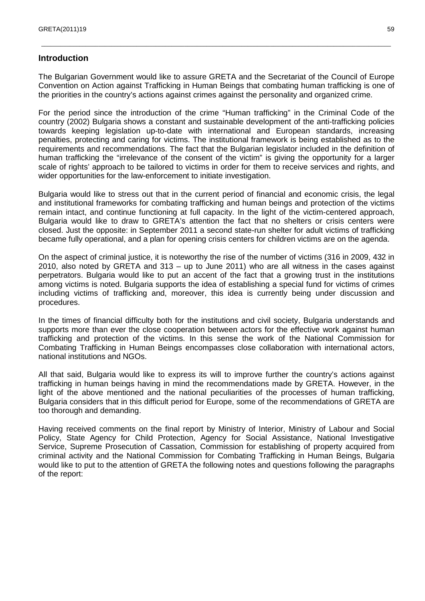#### **Introduction**

The Bulgarian Government would like to assure GRETA and the Secretariat of the Council of Europe Convention on Action against Trafficking in Human Beings that combating human trafficking is one of the priorities in the country's actions against crimes against the personality and organized crime.

\_\_\_\_\_\_\_\_\_\_\_\_\_\_\_\_\_\_\_\_\_\_\_\_\_\_\_\_\_\_\_\_\_\_\_\_\_\_\_\_\_\_\_\_\_\_\_\_\_\_\_\_\_\_\_\_\_\_\_\_\_\_\_\_\_\_\_\_\_\_\_\_\_\_\_\_\_\_\_\_\_\_\_\_\_\_\_\_\_\_\_\_\_\_\_\_\_\_\_\_\_\_\_\_\_\_\_\_\_\_

For the period since the introduction of the crime "Human trafficking" in the Criminal Code of the country (2002) Bulgaria shows a constant and sustainable development of the anti-trafficking policies towards keeping legislation up-to-date with international and European standards, increasing penalties, protecting and caring for victims. The institutional framework is being established as to the requirements and recommendations. The fact that the Bulgarian legislator included in the definition of human trafficking the "irrelevance of the consent of the victim" is giving the opportunity for a larger scale of rights' approach to be tailored to victims in order for them to receive services and rights, and wider opportunities for the law-enforcement to initiate investigation.

Bulgaria would like to stress out that in the current period of financial and economic crisis, the legal and institutional frameworks for combating trafficking and human beings and protection of the victims remain intact, and continue functioning at full capacity. In the light of the victim-centered approach, Bulgaria would like to draw to GRETA's attention the fact that no shelters or crisis centers were closed. Just the opposite: in September 2011 a second state-run shelter for adult victims of trafficking became fully operational, and a plan for opening crisis centers for children victims are on the agenda.

On the aspect of criminal justice, it is noteworthy the rise of the number of victims (316 in 2009, 432 in 2010, also noted by GRETA and 313 – up to June 2011) who are all witness in the cases against perpetrators. Bulgaria would like to put an accent of the fact that a growing trust in the institutions among victims is noted. Bulgaria supports the idea of establishing a special fund for victims of crimes including victims of trafficking and, moreover, this idea is currently being under discussion and procedures.

In the times of financial difficulty both for the institutions and civil society, Bulgaria understands and supports more than ever the close cooperation between actors for the effective work against human trafficking and protection of the victims. In this sense the work of the National Commission for Combating Trafficking in Human Beings encompasses close collaboration with international actors, national institutions and NGOs.

All that said, Bulgaria would like to express its will to improve further the country's actions against trafficking in human beings having in mind the recommendations made by GRETA. However, in the light of the above mentioned and the national peculiarities of the processes of human trafficking, Bulgaria considers that in this difficult period for Europe, some of the recommendations of GRETA are too thorough and demanding.

Having received comments on the final report by Ministry of Interior, Ministry of Labour and Social Policy, State Agency for Child Protection, Agency for Social Assistance, National Investigative Service, Supreme Prosecution of Cassation, Commission for establishing of property acquired from criminal activity and the National Commission for Combating Trafficking in Human Beings, Bulgaria would like to put to the attention of GRETA the following notes and questions following the paragraphs of the report: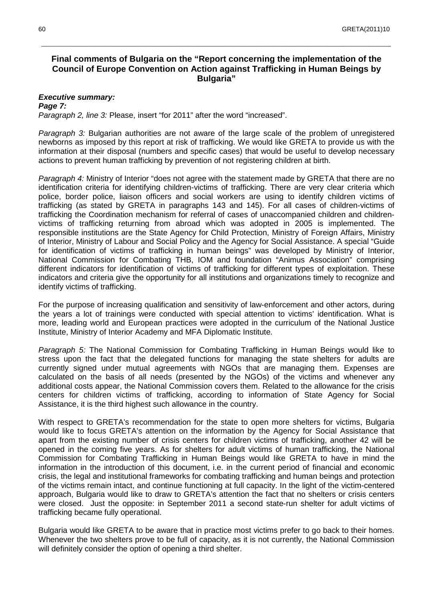#### **Final comments of Bulgaria on the "Report concerning the implementation of the Council of Europe Convention on Action against Trafficking in Human Beings by Bulgaria"**

\_\_\_\_\_\_\_\_\_\_\_\_\_\_\_\_\_\_\_\_\_\_\_\_\_\_\_\_\_\_\_\_\_\_\_\_\_\_\_\_\_\_\_\_\_\_\_\_\_\_\_\_\_\_\_\_\_\_\_\_\_\_\_\_\_\_\_\_\_\_\_\_\_\_\_\_\_\_\_\_\_\_\_\_\_\_\_\_\_\_\_\_\_\_\_\_\_\_\_\_\_\_\_\_\_\_\_\_\_\_

#### **Executive summary:**

**Page 7:**  Paragraph 2, line 3: Please, insert "for 2011" after the word "increased".

Paragraph 3: Bulgarian authorities are not aware of the large scale of the problem of unregistered newborns as imposed by this report at risk of trafficking. We would like GRETA to provide us with the information at their disposal (numbers and specific cases) that would be useful to develop necessary actions to prevent human trafficking by prevention of not registering children at birth.

Paragraph 4: Ministry of Interior "does not agree with the statement made by GRETA that there are no identification criteria for identifying children-victims of trafficking. There are very clear criteria which police, border police, liaison officers and social workers are using to identify children victims of trafficking (as stated by GRETA in paragraphs 143 and 145). For all cases of children-victims of trafficking the Coordination mechanism for referral of cases of unaccompanied children and childrenvictims of trafficking returning from abroad which was adopted in 2005 is implemented. The responsible institutions are the State Agency for Child Protection, Ministry of Foreign Affairs, Ministry of Interior, Ministry of Labour and Social Policy and the Agency for Social Assistance. A special "Guide for identification of victims of trafficking in human beings" was developed by Ministry of Interior, National Commission for Combating THB, IOM and foundation "Animus Association" comprising different indicators for identification of victims of trafficking for different types of exploitation. These indicators and criteria give the opportunity for all institutions and organizations timely to recognize and identify victims of trafficking.

For the purpose of increasing qualification and sensitivity of law-enforcement and other actors, during the years a lot of trainings were conducted with special attention to victims' identification. What is more, leading world and European practices were adopted in the curriculum of the National Justice Institute, Ministry of Interior Academy and MFA Diplomatic Institute.

Paragraph 5: The National Commission for Combating Trafficking in Human Beings would like to stress upon the fact that the delegated functions for managing the state shelters for adults are currently signed under mutual agreements with NGOs that are managing them. Expenses are calculated on the basis of all needs (presented by the NGOs) of the victims and whenever any additional costs appear, the National Commission covers them. Related to the allowance for the crisis centers for children victims of trafficking, according to information of State Agency for Social Assistance, it is the third highest such allowance in the country.

With respect to GRETA's recommendation for the state to open more shelters for victims, Bulgaria would like to focus GRETA's attention on the information by the Agency for Social Assistance that apart from the existing number of crisis centers for children victims of trafficking, another 42 will be opened in the coming five years. As for shelters for adult victims of human trafficking, the National Commission for Combating Trafficking in Human Beings would like GRETA to have in mind the information in the introduction of this document, i.e. in the current period of financial and economic crisis, the legal and institutional frameworks for combating trafficking and human beings and protection of the victims remain intact, and continue functioning at full capacity. In the light of the victim-centered approach, Bulgaria would like to draw to GRETA's attention the fact that no shelters or crisis centers were closed. Just the opposite: in September 2011 a second state-run shelter for adult victims of trafficking became fully operational.

Bulgaria would like GRETA to be aware that in practice most victims prefer to go back to their homes. Whenever the two shelters prove to be full of capacity, as it is not currently, the National Commission will definitely consider the option of opening a third shelter.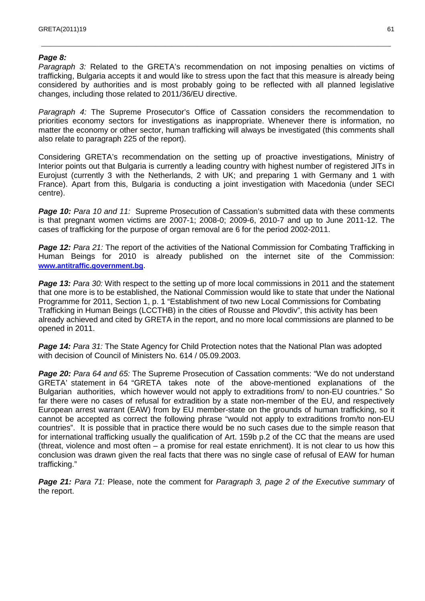#### **Page 8:**

Paragraph 3: Related to the GRETA's recommendation on not imposing penalties on victims of trafficking, Bulgaria accepts it and would like to stress upon the fact that this measure is already being considered by authorities and is most probably going to be reflected with all planned legislative changes, including those related to 2011/36/EU directive.

\_\_\_\_\_\_\_\_\_\_\_\_\_\_\_\_\_\_\_\_\_\_\_\_\_\_\_\_\_\_\_\_\_\_\_\_\_\_\_\_\_\_\_\_\_\_\_\_\_\_\_\_\_\_\_\_\_\_\_\_\_\_\_\_\_\_\_\_\_\_\_\_\_\_\_\_\_\_\_\_\_\_\_\_\_\_\_\_\_\_\_\_\_\_\_\_\_\_\_\_\_\_\_\_\_\_\_\_\_\_

Paragraph 4: The Supreme Prosecutor's Office of Cassation considers the recommendation to priorities economy sectors for investigations as inappropriate. Whenever there is information, no matter the economy or other sector, human trafficking will always be investigated (this comments shall also relate to paragraph 225 of the report).

Considering GRETA's recommendation on the setting up of proactive investigations, Ministry of Interior points out that Bulgaria is currently a leading country with highest number of registered JITs in Eurojust (currently 3 with the Netherlands, 2 with UK; and preparing 1 with Germany and 1 with France). Apart from this, Bulgaria is conducting a joint investigation with Macedonia (under SECI centre).

**Page 10:** Para 10 and 11: Supreme Prosecution of Cassation's submitted data with these comments is that pregnant women victims are 2007-1; 2008-0; 2009-6, 2010-7 and up to June 2011-12. The cases of trafficking for the purpose of organ removal are 6 for the period 2002-2011.

**Page 12:** Para 21: The report of the activities of the National Commission for Combating Trafficking in Human Beings for 2010 is already published on the internet site of the Commission: **www.antitraffic.government.bg**.

**Page 13:** Para 30: With respect to the setting up of more local commissions in 2011 and the statement that one more is to be established, the National Commission would like to state that under the National Programme for 2011, Section 1, p. 1 "Establishment of two new Local Commissions for Combating Trafficking in Human Beings (LCCTHB) in the cities of Rousse and Plovdiv", this activity has been already achieved and cited by GRETA in the report, and no more local commissions are planned to be opened in 2011.

**Page 14:** Para 31: The State Agency for Child Protection notes that the National Plan was adopted with decision of Council of Ministers No. 614 / 05.09.2003.

**Page 20:** Para 64 and 65: The Supreme Prosecution of Cassation comments: "We do not understand GRETA' statement in 64 "GRETA takes note of the above-mentioned explanations of the Bulgarian authorities, which however would not apply to extraditions from/ to non-EU countries." So far there were no cases of refusal for extradition by a state non-member of the EU, and respectively European arrest warrant (EAW) from by EU member-state on the grounds of human trafficking, so it cannot be accepted as correct the following phrase "would not apply to extraditions from/to non-EU countries". It is possible that in practice there would be no such cases due to the simple reason that for international trafficking usually the qualification of Art. 159b p.2 of the CC that the means are used (threat, violence and most often – a promise for real estate enrichment). It is not clear to us how this conclusion was drawn given the real facts that there was no single case of refusal of EAW for human trafficking."

**Page 21:** Para 71: Please, note the comment for Paragraph 3, page 2 of the Executive summary of the report.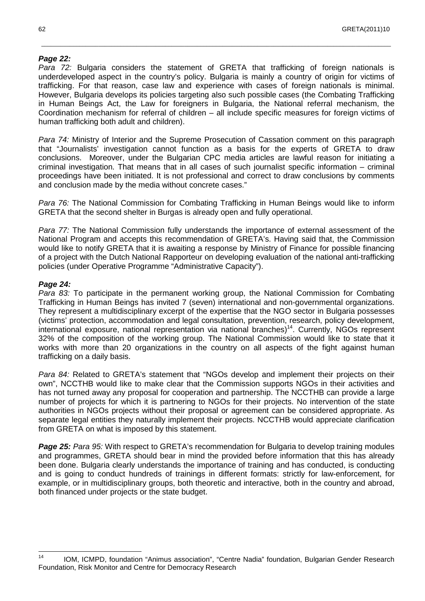#### **Page 22:**

Para 72: Bulgaria considers the statement of GRETA that trafficking of foreign nationals is underdeveloped aspect in the country's policy. Bulgaria is mainly a country of origin for victims of trafficking. For that reason, case law and experience with cases of foreign nationals is minimal. However, Bulgaria develops its policies targeting also such possible cases (the Combating Trafficking in Human Beings Act, the Law for foreigners in Bulgaria, the National referral mechanism, the Coordination mechanism for referral of children – all include specific measures for foreign victims of human trafficking both adult and children).

\_\_\_\_\_\_\_\_\_\_\_\_\_\_\_\_\_\_\_\_\_\_\_\_\_\_\_\_\_\_\_\_\_\_\_\_\_\_\_\_\_\_\_\_\_\_\_\_\_\_\_\_\_\_\_\_\_\_\_\_\_\_\_\_\_\_\_\_\_\_\_\_\_\_\_\_\_\_\_\_\_\_\_\_\_\_\_\_\_\_\_\_\_\_\_\_\_\_\_\_\_\_\_\_\_\_\_\_\_\_

Para 74: Ministry of Interior and the Supreme Prosecution of Cassation comment on this paragraph that "Journalists' investigation cannot function as a basis for the experts of GRETA to draw conclusions. Moreover, under the Bulgarian CPC media articles are lawful reason for initiating a criminal investigation. That means that in all cases of such journalist specific information – criminal proceedings have been initiated. It is not professional and correct to draw conclusions by comments and conclusion made by the media without concrete cases."

Para 76: The National Commission for Combating Trafficking in Human Beings would like to inform GRETA that the second shelter in Burgas is already open and fully operational.

Para 77: The National Commission fully understands the importance of external assessment of the National Program and accepts this recommendation of GRETA's. Having said that, the Commission would like to notify GRETA that it is awaiting a response by Ministry of Finance for possible financing of a project with the Dutch National Rapporteur on developing evaluation of the national anti-trafficking policies (under Operative Programme "Administrative Capacity").

#### **Page 24:**

Para 83: To participate in the permanent working group, the National Commission for Combating Trafficking in Human Beings has invited 7 (seven) international and non-governmental organizations. They represent a multidisciplinary excerpt of the expertise that the NGO sector in Bulgaria possesses (victims' protection, accommodation and legal consultation, prevention, research, policy development, international exposure, national representation via national branches)<sup>14</sup>. Currently, NGOs represent 32% of the composition of the working group. The National Commission would like to state that it works with more than 20 organizations in the country on all aspects of the fight against human trafficking on a daily basis.

Para 84: Related to GRETA's statement that "NGOs develop and implement their projects on their own", NCCTHB would like to make clear that the Commission supports NGOs in their activities and has not turned away any proposal for cooperation and partnership. The NCCTHB can provide a large number of projects for which it is partnering to NGOs for their projects. No intervention of the state authorities in NGOs projects without their proposal or agreement can be considered appropriate. As separate legal entities they naturally implement their projects. NCCTHB would appreciate clarification from GRETA on what is imposed by this statement.

**Page 25:** Para 95: With respect to GRETA's recommendation for Bulgaria to develop training modules and programmes, GRETA should bear in mind the provided before information that this has already been done. Bulgaria clearly understands the importance of training and has conducted, is conducting and is going to conduct hundreds of trainings in different formats: strictly for law-enforcement, for example, or in multidisciplinary groups, both theoretic and interactive, both in the country and abroad, both financed under projects or the state budget.

 $\frac{1}{14}$  IOM, ICMPD, foundation "Animus association", "Centre Nadia" foundation, Bulgarian Gender Research Foundation, Risk Monitor and Centre for Democracy Research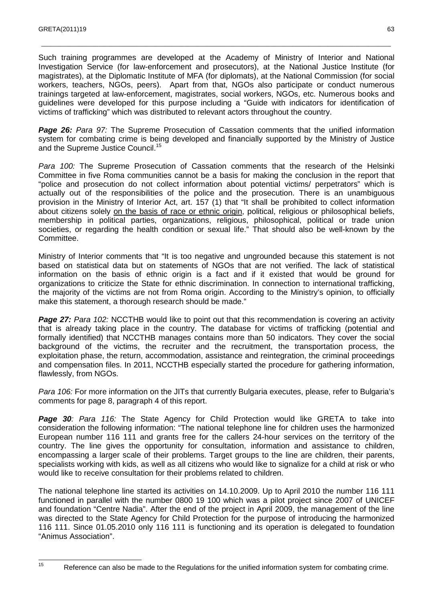Such training programmes are developed at the Academy of Ministry of Interior and National Investigation Service (for law-enforcement and prosecutors), at the National Justice Institute (for magistrates), at the Diplomatic Institute of MFA (for diplomats), at the National Commission (for social workers, teachers, NGOs, peers). Apart from that, NGOs also participate or conduct numerous trainings targeted at law-enforcement, magistrates, social workers, NGOs, etc. Numerous books and guidelines were developed for this purpose including a "Guide with indicators for identification of victims of trafficking" which was distributed to relevant actors throughout the country.

\_\_\_\_\_\_\_\_\_\_\_\_\_\_\_\_\_\_\_\_\_\_\_\_\_\_\_\_\_\_\_\_\_\_\_\_\_\_\_\_\_\_\_\_\_\_\_\_\_\_\_\_\_\_\_\_\_\_\_\_\_\_\_\_\_\_\_\_\_\_\_\_\_\_\_\_\_\_\_\_\_\_\_\_\_\_\_\_\_\_\_\_\_\_\_\_\_\_\_\_\_\_\_\_\_\_\_\_\_\_

**Page 26:** Para 97: The Supreme Prosecution of Cassation comments that the unified information system for combating crime is being developed and financially supported by the Ministry of Justice and the Supreme Justice Council.<sup>15</sup>

Para 100: The Supreme Prosecution of Cassation comments that the research of the Helsinki Committee in five Roma communities cannot be a basis for making the conclusion in the report that "police and prosecution do not collect information about potential victims/ perpetrators" which is actually out of the responsibilities of the police and the prosecution. There is an unambiguous provision in the Ministry of Interior Act, art. 157 (1) that "It shall be prohibited to collect information about citizens solely on the basis of race or ethnic origin, political, religious or philosophical beliefs, membership in political parties, organizations, religious, philosophical, political or trade union societies, or regarding the health condition or sexual life." That should also be well-known by the Committee.

Ministry of Interior comments that "It is too negative and ungrounded because this statement is not based on statistical data but on statements of NGOs that are not verified. The lack of statistical information on the basis of ethnic origin is a fact and if it existed that would be ground for organizations to criticize the State for ethnic discrimination. In connection to international trafficking, the majority of the victims are not from Roma origin. According to the Ministry's opinion, to officially make this statement, a thorough research should be made."

**Page 27:** Para 102: NCCTHB would like to point out that this recommendation is covering an activity that is already taking place in the country. The database for victims of trafficking (potential and formally identified) that NCCTHB manages contains more than 50 indicators. They cover the social background of the victims, the recruiter and the recruitment, the transportation process, the exploitation phase, the return, accommodation, assistance and reintegration, the criminal proceedings and compensation files. In 2011, NCCTHB especially started the procedure for gathering information, flawlessly, from NGOs.

Para 106: For more information on the JITs that currently Bulgaria executes, please, refer to Bulgaria's comments for page 8, paragraph 4 of this report.

**Page 30**: Para 116: The State Agency for Child Protection would like GRETA to take into consideration the following information: "The national telephone line for children uses the harmonized European number 116 111 and grants free for the callers 24-hour services on the territory of the country. The line gives the opportunity for consultation, information and assistance to children, encompassing a larger scale of their problems. Target groups to the line are children, their parents, specialists working with kids, as well as all citizens who would like to signalize for a child at risk or who would like to receive consultation for their problems related to children.

The national telephone line started its activities on 14.10.2009. Up to April 2010 the number 116 111 functioned in parallel with the number 0800 19 100 which was a pilot project since 2007 of UNICEF and foundation "Centre Nadia". After the end of the project in April 2009, the management of the line was directed to the State Agency for Child Protection for the purpose of introducing the harmonized 116 111. Since 01.05.2010 only 116 111 is functioning and its operation is delegated to foundation "Animus Association".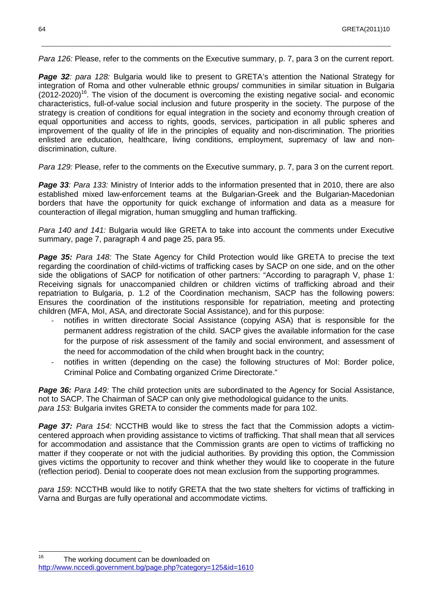Para 126: Please, refer to the comments on the Executive summary, p. 7, para 3 on the current report.

\_\_\_\_\_\_\_\_\_\_\_\_\_\_\_\_\_\_\_\_\_\_\_\_\_\_\_\_\_\_\_\_\_\_\_\_\_\_\_\_\_\_\_\_\_\_\_\_\_\_\_\_\_\_\_\_\_\_\_\_\_\_\_\_\_\_\_\_\_\_\_\_\_\_\_\_\_\_\_\_\_\_\_\_\_\_\_\_\_\_\_\_\_\_\_\_\_\_\_\_\_\_\_\_\_\_\_\_\_\_

**Page 32:** para 128: Bulgaria would like to present to GRETA's attention the National Strategy for integration of Roma and other vulnerable ethnic groups/ communities in similar situation in Bulgaria  $(2012-2020)^{16}$ . The vision of the document is overcoming the existing negative social- and economic characteristics, full-of-value social inclusion and future prosperity in the society. The purpose of the strategy is creation of conditions for equal integration in the society and economy through creation of equal opportunities and access to rights, goods, services, participation in all public spheres and improvement of the quality of life in the principles of equality and non-discrimination. The priorities enlisted are education, healthcare, living conditions, employment, supremacy of law and nondiscrimination, culture.

Para 129: Please, refer to the comments on the Executive summary, p. 7, para 3 on the current report.

**Page 33:** Para 133: Ministry of Interior adds to the information presented that in 2010, there are also established mixed law-enforcement teams at the Bulgarian-Greek and the Bulgarian-Macedonian borders that have the opportunity for quick exchange of information and data as a measure for counteraction of illegal migration, human smuggling and human trafficking.

Para 140 and 141: Bulgaria would like GRETA to take into account the comments under Executive summary, page 7, paragraph 4 and page 25, para 95.

Page 35: Para 148: The State Agency for Child Protection would like GRETA to precise the text regarding the coordination of child-victims of trafficking cases by SACP on one side, and on the other side the obligations of SACP for notification of other partners: "According to paragraph V, phase 1: Receiving signals for unaccompanied children or children victims of trafficking abroad and their repatriation to Bulgaria, p. 1.2 of the Coordination mechanism, SACP has the following powers: Ensures the coordination of the institutions responsible for repatriation, meeting and protecting children (MFA, MoI, ASA, and directorate Social Assistance), and for this purpose:

- notifies in written directorate Social Assistance (copying ASA) that is responsible for the permanent address registration of the child. SACP gives the available information for the case for the purpose of risk assessment of the family and social environment, and assessment of the need for accommodation of the child when brought back in the country;
- notifies in written (depending on the case) the following structures of MoI: Border police, Criminal Police and Combating organized Crime Directorate."

**Page 36:** Para 149: The child protection units are subordinated to the Agency for Social Assistance, not to SACP. The Chairman of SACP can only give methodological guidance to the units. para 153: Bulgaria invites GRETA to consider the comments made for para 102.

**Page 37:** Para 154: NCCTHB would like to stress the fact that the Commission adopts a victimcentered approach when providing assistance to victims of trafficking. That shall mean that all services for accommodation and assistance that the Commission grants are open to victims of trafficking no matter if they cooperate or not with the judicial authorities. By providing this option, the Commission gives victims the opportunity to recover and think whether they would like to cooperate in the future (reflection period). Denial to cooperate does not mean exclusion from the supporting programmes.

para 159: NCCTHB would like to notify GRETA that the two state shelters for victims of trafficking in Varna and Burgas are fully operational and accommodate victims.

16 The working document can be downloaded on http://www.nccedi.government.bg/page.php?category=125&id=1610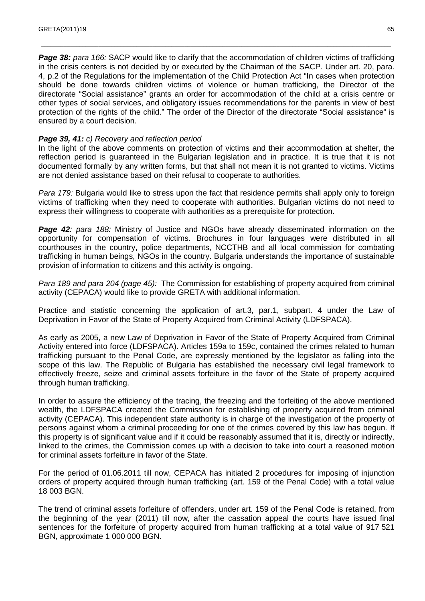**Page 38:** para 166: SACP would like to clarify that the accommodation of children victims of trafficking in the crisis centers is not decided by or executed by the Chairman of the SACP. Under art. 20, para. 4, p.2 of the Regulations for the implementation of the Child Protection Act "In cases when protection should be done towards children victims of violence or human trafficking, the Director of the directorate "Social assistance" grants an order for accommodation of the child at a crisis centre or other types of social services, and obligatory issues recommendations for the parents in view of best protection of the rights of the child." The order of the Director of the directorate "Social assistance" is ensured by a court decision.

\_\_\_\_\_\_\_\_\_\_\_\_\_\_\_\_\_\_\_\_\_\_\_\_\_\_\_\_\_\_\_\_\_\_\_\_\_\_\_\_\_\_\_\_\_\_\_\_\_\_\_\_\_\_\_\_\_\_\_\_\_\_\_\_\_\_\_\_\_\_\_\_\_\_\_\_\_\_\_\_\_\_\_\_\_\_\_\_\_\_\_\_\_\_\_\_\_\_\_\_\_\_\_\_\_\_\_\_\_\_

#### Page 39, 41: c) Recovery and reflection period

In the light of the above comments on protection of victims and their accommodation at shelter, the reflection period is guaranteed in the Bulgarian legislation and in practice. It is true that it is not documented formally by any written forms, but that shall not mean it is not granted to victims. Victims are not denied assistance based on their refusal to cooperate to authorities.

Para 179: Bulgaria would like to stress upon the fact that residence permits shall apply only to foreign victims of trafficking when they need to cooperate with authorities. Bulgarian victims do not need to express their willingness to cooperate with authorities as a prerequisite for protection.

**Page 42**: para 188: Ministry of Justice and NGOs have already disseminated information on the opportunity for compensation of victims. Brochures in four languages were distributed in all courthouses in the country, police departments, NCCTHB and all local commission for combating trafficking in human beings, NGOs in the country. Bulgaria understands the importance of sustainable provision of information to citizens and this activity is ongoing.

Para 189 and para 204 (page 45): The Commission for establishing of property acquired from criminal activity (CEPACA) would like to provide GRETA with additional information.

Practice and statistic concerning the application of art.3, par.1, subpart. 4 under the Law of Deprivation in Favor of the State of Property Acquired from Criminal Activity (LDFSPACA).

As early as 2005, a new Law of Deprivation in Favor of the State of Property Acquired from Criminal Activity entered into force (LDFSPACA). Articles 159a to 159c, contained the crimes related to human trafficking pursuant to the Penal Code, are expressly mentioned by the legislator as falling into the scope of this law. The Republic of Bulgaria has established the necessary civil legal framework to effectively freeze, seize and criminal assets forfeiture in the favor of the State of property acquired through human trafficking.

In order to assure the efficiency of the tracing, the freezing and the forfeiting of the above mentioned wealth, the LDFSPACA created the Commission for establishing of property acquired from criminal activity (CEPACA). This independent state authority is in charge of the investigation of the property of persons against whom a criminal proceeding for one of the crimes covered by this law has begun. If this property is of significant value and if it could be reasonably assumed that it is, directly or indirectly, linked to the crimes, the Commission comes up with a decision to take into court a reasoned motion for criminal assets forfeiture in favor of the State.

For the period of 01.06.2011 till now, CEPACA has initiated 2 procedures for imposing of injunction orders of property acquired through human trafficking (art. 159 of the Penal Code) with a total value 18 003 BGN.

The trend of criminal assets forfeiture of offenders, under art. 159 of the Penal Code is retained, from the beginning of the year (2011) till now, after the cassation appeal the courts have issued final sentences for the forfeiture of property acquired from human trafficking at a total value of 917 521 BGN, approximate 1 000 000 BGN.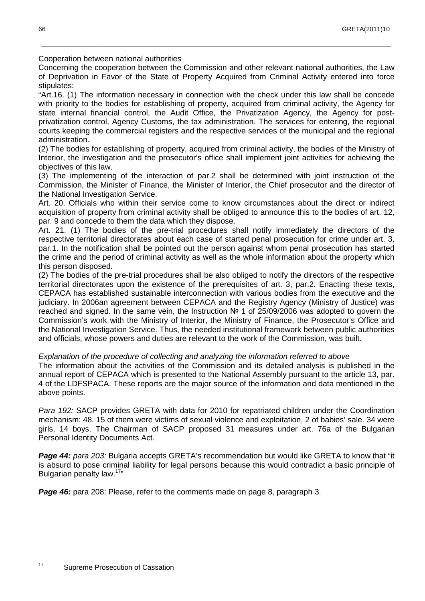Cooperation between national authorities

Concerning the cooperation between the Commission and other relevant national authorities, the Law of Deprivation in Favor of the State of Property Acquired from Criminal Activity entered into force stipulates:

\_\_\_\_\_\_\_\_\_\_\_\_\_\_\_\_\_\_\_\_\_\_\_\_\_\_\_\_\_\_\_\_\_\_\_\_\_\_\_\_\_\_\_\_\_\_\_\_\_\_\_\_\_\_\_\_\_\_\_\_\_\_\_\_\_\_\_\_\_\_\_\_\_\_\_\_\_\_\_\_\_\_\_\_\_\_\_\_\_\_\_\_\_\_\_\_\_\_\_\_\_\_\_\_\_\_\_\_\_\_

"Art.16. (1) The information necessary in connection with the check under this law shall be concede with priority to the bodies for establishing of property, acquired from criminal activity, the Agency for state internal financial control, the Audit Office, the Privatization Agency, the Agency for postprivatization control, Agency Customs, the tax administration. The services for entering, the regional courts keeping the commercial registers and the respective services of the municipal and the regional administration.

(2) The bodies for establishing of property, acquired from criminal activity, the bodies of the Ministry of Interior, the investigation and the prosecutor's office shall implement joint activities for achieving the objectives of this law.

(3) The implementing of the interaction of par.2 shall be determined with joint instruction of the Commission, the Minister of Finance, the Minister of Interior, the Chief prosecutor and the director of the National Investigation Service.

Art. 20. Officials who within their service come to know circumstances about the direct or indirect acquisition of property from criminal activity shall be obliged to announce this to the bodies of art. 12, par. 9 and concede to them the data which they dispose.

Art. 21. (1) The bodies of the pre-trial procedures shall notify immediately the directors of the respective territorial directorates about each case of started penal prosecution for crime under art. 3, par.1. In the notification shall be pointed out the person against whom penal prosecution has started the crime and the period of criminal activity as well as the whole information about the property which this person disposed.

(2) The bodies of the pre-trial procedures shall be also obliged to notify the directors of the respective territorial directorates upon the existence of the prerequisites of art. 3, par.2. Enacting these texts, CEPACA has established sustainable interconnection with various bodies from the executive and the judiciary. In 2006an agreement between CEPACA and the Registry Agency (Ministry of Justice) was reached and signed. In the same vein, the Instruction № 1 of 25/09/2006 was adopted to govern the Commission's work with the Ministry of Interior, the Ministry of Finance, the Prosecutor's Office and the National Investigation Service. Thus, the needed institutional framework between public authorities and officials, whose powers and duties are relevant to the work of the Commission, was built.

Explanation of the procedure of collecting and analyzing the information referred to above

The information about the activities of the Commission and its detailed analysis is published in the annual report of CEPACA which is presented to the National Assembly pursuant to the article 13, par. 4 of the LDFSPACA. These reports are the major source of the information and data mentioned in the above points.

Para 192: SACP provides GRETA with data for 2010 for repatriated children under the Coordination mechanism: 48. 15 of them were victims of sexual violence and exploitation, 2 of babies' sale. 34 were girls, 14 boys. The Chairman of SACP proposed 31 measures under art. 76a of the Bulgarian Personal Identity Documents Act.

Page 44: para 203: Bulgaria accepts GRETA's recommendation but would like GRETA to know that "it is absurd to pose criminal liability for legal persons because this would contradict a basic principle of Bulgarian penalty law.<sup>17</sup>"

**Page 46:** para 208: Please, refer to the comments made on page 8, paragraph 3.

 $17$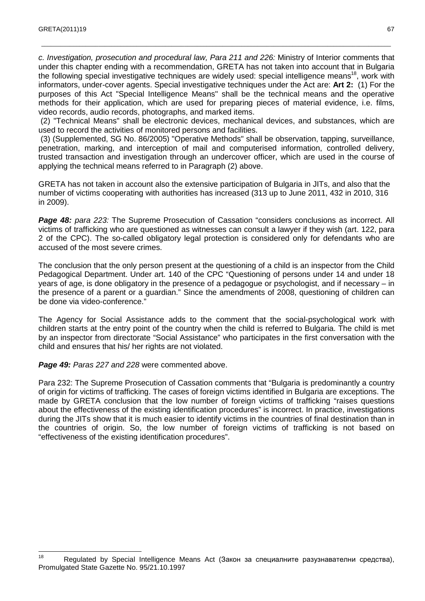c. Investigation, prosecution and procedural law, Para 211 and 226: Ministry of Interior comments that under this chapter ending with a recommendation, GRETA has not taken into account that in Bulgaria the following special investigative techniques are widely used: special intelligence means<sup>18</sup>, work with informators, under-cover agents. Special investigative techniques under the Act are: **Art 2:** (1) For the purposes of this Act "Special Intelligence Means" shall be the technical means and the operative methods for their application, which are used for preparing pieces of material evidence, i.e. films, video records, audio records, photographs, and marked items.

\_\_\_\_\_\_\_\_\_\_\_\_\_\_\_\_\_\_\_\_\_\_\_\_\_\_\_\_\_\_\_\_\_\_\_\_\_\_\_\_\_\_\_\_\_\_\_\_\_\_\_\_\_\_\_\_\_\_\_\_\_\_\_\_\_\_\_\_\_\_\_\_\_\_\_\_\_\_\_\_\_\_\_\_\_\_\_\_\_\_\_\_\_\_\_\_\_\_\_\_\_\_\_\_\_\_\_\_\_\_

 (2) "Technical Means" shall be electronic devices, mechanical devices, and substances, which are used to record the activities of monitored persons and facilities.

 (3) (Supplemented, SG No. 86/2005) "Operative Methods" shall be observation, tapping, surveillance, penetration, marking, and interception of mail and computerised information, controlled delivery, trusted transaction and investigation through an undercover officer, which are used in the course of applying the technical means referred to in Paragraph (2) above.

GRETA has not taken in account also the extensive participation of Bulgaria in JITs, and also that the number of victims cooperating with authorities has increased (313 up to June 2011, 432 in 2010, 316 in 2009).

**Page 48:** para 223: The Supreme Prosecution of Cassation "considers conclusions as incorrect. All victims of trafficking who are questioned as witnesses can consult a lawyer if they wish (art. 122, para 2 of the CPC). The so-called obligatory legal protection is considered only for defendants who are accused of the most severe crimes.

The conclusion that the only person present at the questioning of a child is an inspector from the Child Pedagogical Department. Under art. 140 of the CPC "Questioning of persons under 14 and under 18 years of age, is done obligatory in the presence of a pedagogue or psychologist, and if necessary – in the presence of a parent or a guardian." Since the amendments of 2008, questioning of children can be done via video-conference."

The Agency for Social Assistance adds to the comment that the social-psychological work with children starts at the entry point of the country when the child is referred to Bulgaria. The child is met by an inspector from directorate "Social Assistance" who participates in the first conversation with the child and ensures that his/ her rights are not violated.

Page 49: Paras 227 and 228 were commented above.

Para 232: The Supreme Prosecution of Cassation comments that "Bulgaria is predominantly a country of origin for victims of trafficking. The cases of foreign victims identified in Bulgaria are exceptions. The made by GRETA conclusion that the low number of foreign victims of trafficking "raises questions about the effectiveness of the existing identification procedures" is incorrect. In practice, investigations during the JITs show that it is much easier to identify victims in the countries of final destination than in the countries of origin. So, the low number of foreign victims of trafficking is not based on "effectiveness of the existing identification procedures".

<sup>18</sup> Regulated by Special Intelligence Means Act (Закон за специалните разузнавателни средства), Promulgated State Gazette No. 95/21.10.1997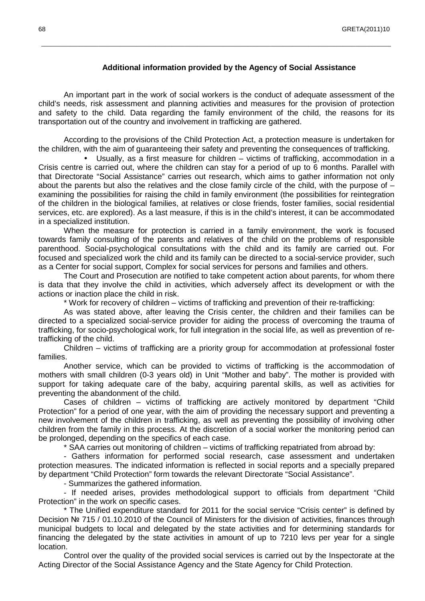#### **Additional information provided by the Agency of Social Assistance**

An important part in the work of social workers is the conduct of adequate assessment of the child's needs, risk assessment and planning activities and measures for the provision of protection and safety to the child. Data regarding the family environment of the child, the reasons for its transportation out of the country and involvement in trafficking are gathered.

\_\_\_\_\_\_\_\_\_\_\_\_\_\_\_\_\_\_\_\_\_\_\_\_\_\_\_\_\_\_\_\_\_\_\_\_\_\_\_\_\_\_\_\_\_\_\_\_\_\_\_\_\_\_\_\_\_\_\_\_\_\_\_\_\_\_\_\_\_\_\_\_\_\_\_\_\_\_\_\_\_\_\_\_\_\_\_\_\_\_\_\_\_\_\_\_\_\_\_\_\_\_\_\_\_\_\_\_\_\_

According to the provisions of the Child Protection Act, a protection measure is undertaken for the children, with the aim of guaranteeing their safety and preventing the consequences of trafficking.

• Usually, as a first measure for children – victims of trafficking, accommodation in a Crisis centre is carried out, where the children can stay for a period of up to 6 months. Parallel with that Directorate "Social Assistance" carries out research, which aims to gather information not only about the parents but also the relatives and the close family circle of the child, with the purpose of  $$ examining the possibilities for raising the child in family environment (the possibilities for reintegration of the children in the biological families, at relatives or close friends, foster families, social residential services, etc. are explored). As a last measure, if this is in the child's interest, it can be accommodated in a specialized institution.

When the measure for protection is carried in a family environment, the work is focused towards family consulting of the parents and relatives of the child on the problems of responsible parenthood. Social-psychological consultations with the child and its family are carried out. For focused and specialized work the child and its family can be directed to a social-service provider, such as a Center for social support, Complex for social services for persons and families and others.

The Court and Prosecution are notified to take competent action about parents, for whom there is data that they involve the child in activities, which adversely affect its development or with the actions or inaction place the child in risk.

\* Work for recovery of children – victims of trafficking and prevention of their re-trafficking:

As was stated above, after leaving the Crisis center, the children and their families can be directed to a specialized social-service provider for aiding the process of overcoming the trauma of trafficking, for socio-psychological work, for full integration in the social life, as well as prevention of retrafficking of the child.

Children – victims of trafficking are a priority group for accommodation at professional foster families.

Another service, which can be provided to victims of trafficking is the accommodation of mothers with small children (0-3 years old) in Unit "Mother and baby". The mother is provided with support for taking adequate care of the baby, acquiring parental skills, as well as activities for preventing the abandonment of the child.

Cases of children – victims of trafficking are actively monitored by department "Child Protection" for a period of one year, with the aim of providing the necessary support and preventing a new involvement of the children in trafficking, as well as preventing the possibility of involving other children from the family in this process. At the discretion of a social worker the monitoring period can be prolonged, depending on the specifics of each case.

\* SAA carries out monitoring of children – victims of trafficking repatriated from abroad by:

- Gathers information for performed social research, case assessment and undertaken protection measures. The indicated information is reflected in social reports and a specially prepared by department "Child Protection" form towards the relevant Directorate "Social Assistance".

- Summarizes the gathered information.

- If needed arises, provides methodological support to officials from department "Child Protection" in the work on specific cases.

\* The Unified expenditure standard for 2011 for the social service "Crisis center" is defined by Decision № 715 / 01.10.2010 of the Council of Ministers for the division of activities, finances through municipal budgets to local and delegated by the state activities and for determining standards for financing the delegated by the state activities in amount of up to 7210 levs per year for a single location.

Control over the quality of the provided social services is carried out by the Inspectorate at the Acting Director of the Social Assistance Agency and the State Agency for Child Protection.